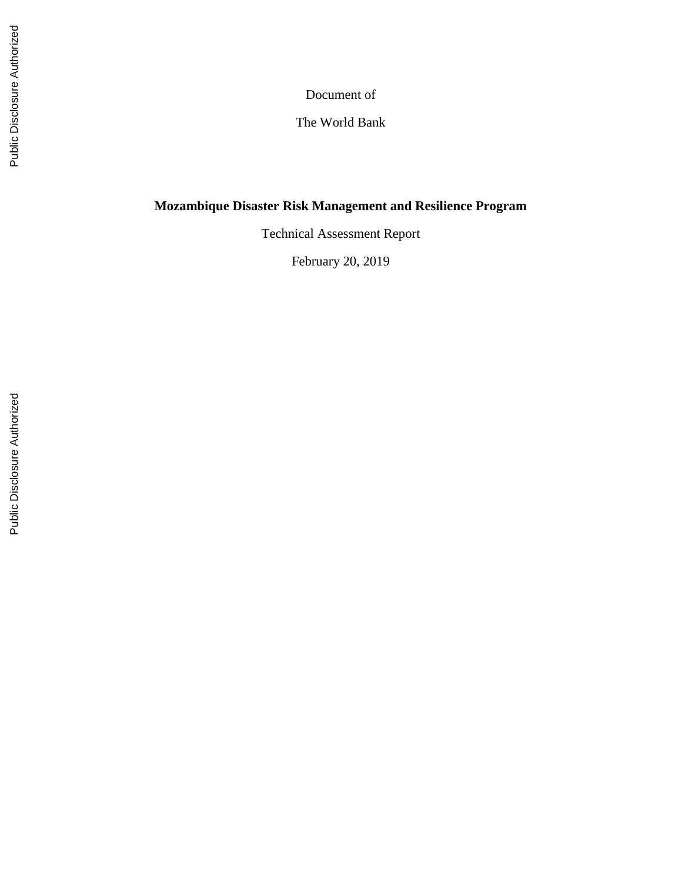Document of

The World Bank

# **Mozambique Disaster Risk Management and Resilience Program**

Technical Assessment Report

February 20, 201 9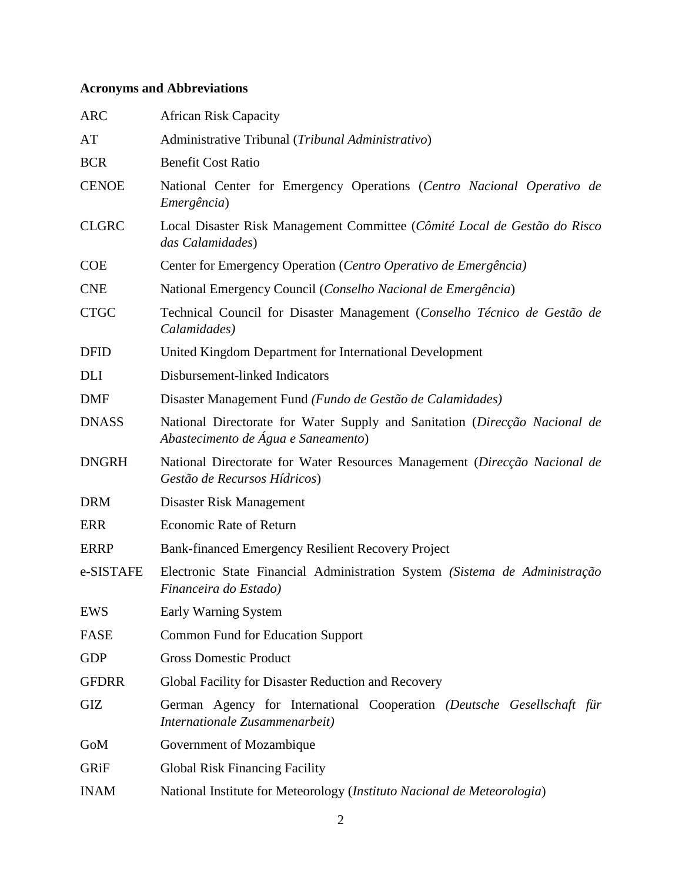# **Acronyms and Abbreviations**

| <b>ARC</b>   | <b>African Risk Capacity</b>                                                                                      |  |  |  |  |  |  |
|--------------|-------------------------------------------------------------------------------------------------------------------|--|--|--|--|--|--|
| AT           | Administrative Tribunal (Tribunal Administrativo)                                                                 |  |  |  |  |  |  |
| <b>BCR</b>   | <b>Benefit Cost Ratio</b>                                                                                         |  |  |  |  |  |  |
| <b>CENOE</b> | National Center for Emergency Operations (Centro Nacional Operativo de<br>Emergência)                             |  |  |  |  |  |  |
| <b>CLGRC</b> | Local Disaster Risk Management Committee (Cômité Local de Gestão do Risco<br>das Calamidades)                     |  |  |  |  |  |  |
| <b>COE</b>   | Center for Emergency Operation (Centro Operativo de Emergência)                                                   |  |  |  |  |  |  |
| <b>CNE</b>   | National Emergency Council (Conselho Nacional de Emergência)                                                      |  |  |  |  |  |  |
| <b>CTGC</b>  | Technical Council for Disaster Management (Conselho Técnico de Gestão de<br>Calamidades)                          |  |  |  |  |  |  |
| <b>DFID</b>  | United Kingdom Department for International Development                                                           |  |  |  |  |  |  |
| <b>DLI</b>   | Disbursement-linked Indicators                                                                                    |  |  |  |  |  |  |
| <b>DMF</b>   | Disaster Management Fund (Fundo de Gestão de Calamidades)                                                         |  |  |  |  |  |  |
| <b>DNASS</b> | National Directorate for Water Supply and Sanitation (Direcção Nacional de<br>Abastecimento de Água e Saneamento) |  |  |  |  |  |  |
| <b>DNGRH</b> | National Directorate for Water Resources Management (Direcção Nacional de<br>Gestão de Recursos Hídricos)         |  |  |  |  |  |  |
| <b>DRM</b>   | Disaster Risk Management                                                                                          |  |  |  |  |  |  |
| <b>ERR</b>   | Economic Rate of Return                                                                                           |  |  |  |  |  |  |
| <b>ERRP</b>  | Bank-financed Emergency Resilient Recovery Project                                                                |  |  |  |  |  |  |
| e-SISTAFE    | Electronic State Financial Administration System (Sistema de Administração<br>Financeira do Estado)               |  |  |  |  |  |  |
| <b>EWS</b>   | Early Warning System                                                                                              |  |  |  |  |  |  |
| <b>FASE</b>  | <b>Common Fund for Education Support</b>                                                                          |  |  |  |  |  |  |
| <b>GDP</b>   | <b>Gross Domestic Product</b>                                                                                     |  |  |  |  |  |  |
| <b>GFDRR</b> | Global Facility for Disaster Reduction and Recovery                                                               |  |  |  |  |  |  |
| GIZ          | German Agency for International Cooperation (Deutsche Gesellschaft für<br>Internationale Zusammenarbeit)          |  |  |  |  |  |  |
| GoM          | Government of Mozambique                                                                                          |  |  |  |  |  |  |
| GRiF         | <b>Global Risk Financing Facility</b>                                                                             |  |  |  |  |  |  |
| <b>INAM</b>  | National Institute for Meteorology (Instituto Nacional de Meteorologia)                                           |  |  |  |  |  |  |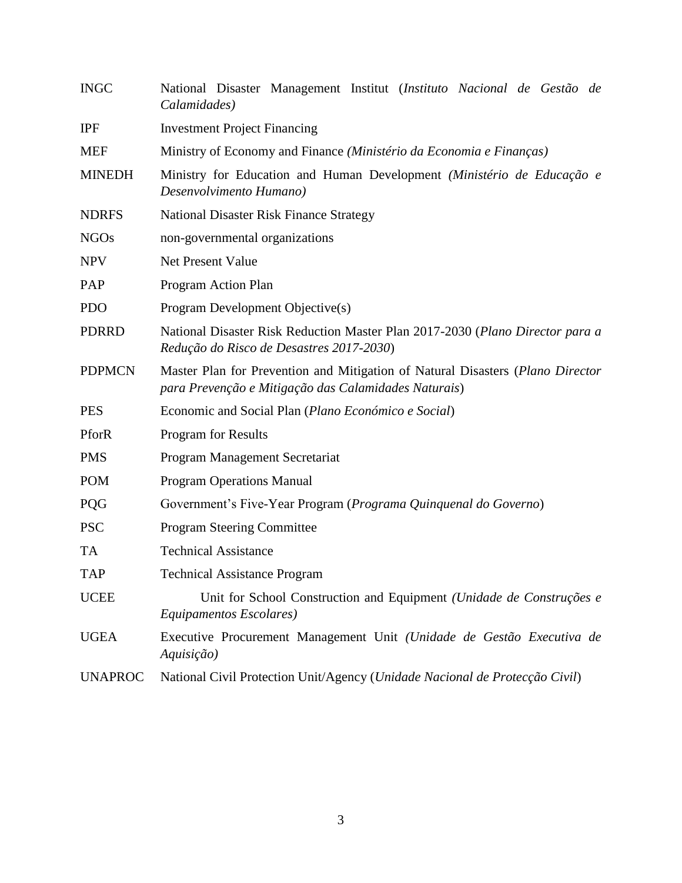| <b>INGC</b>    | National Disaster Management Institut (Instituto Nacional de Gestão de<br>Calamidades)                                                 |  |  |  |  |  |  |  |  |
|----------------|----------------------------------------------------------------------------------------------------------------------------------------|--|--|--|--|--|--|--|--|
| <b>IPF</b>     | <b>Investment Project Financing</b>                                                                                                    |  |  |  |  |  |  |  |  |
| <b>MEF</b>     | Ministry of Economy and Finance (Ministério da Economia e Finanças)                                                                    |  |  |  |  |  |  |  |  |
| <b>MINEDH</b>  | Ministry for Education and Human Development (Ministério de Educação e<br>Desenvolvimento Humano)                                      |  |  |  |  |  |  |  |  |
| <b>NDRFS</b>   | <b>National Disaster Risk Finance Strategy</b>                                                                                         |  |  |  |  |  |  |  |  |
| <b>NGOs</b>    | non-governmental organizations                                                                                                         |  |  |  |  |  |  |  |  |
| <b>NPV</b>     | Net Present Value                                                                                                                      |  |  |  |  |  |  |  |  |
| PAP            | Program Action Plan                                                                                                                    |  |  |  |  |  |  |  |  |
| <b>PDO</b>     | Program Development Objective(s)                                                                                                       |  |  |  |  |  |  |  |  |
| <b>PDRRD</b>   | National Disaster Risk Reduction Master Plan 2017-2030 (Plano Director para a<br>Redução do Risco de Desastres 2017-2030)              |  |  |  |  |  |  |  |  |
| <b>PDPMCN</b>  | Master Plan for Prevention and Mitigation of Natural Disasters (Plano Director<br>para Prevenção e Mitigação das Calamidades Naturais) |  |  |  |  |  |  |  |  |
| <b>PES</b>     | Economic and Social Plan (Plano Económico e Social)                                                                                    |  |  |  |  |  |  |  |  |
| PforR          | <b>Program for Results</b>                                                                                                             |  |  |  |  |  |  |  |  |
| <b>PMS</b>     | Program Management Secretariat                                                                                                         |  |  |  |  |  |  |  |  |
| <b>POM</b>     | <b>Program Operations Manual</b>                                                                                                       |  |  |  |  |  |  |  |  |
| <b>PQG</b>     | Government's Five-Year Program (Programa Quinquenal do Governo)                                                                        |  |  |  |  |  |  |  |  |
| <b>PSC</b>     | <b>Program Steering Committee</b>                                                                                                      |  |  |  |  |  |  |  |  |
| <b>TA</b>      | <b>Technical Assistance</b>                                                                                                            |  |  |  |  |  |  |  |  |
| <b>TAP</b>     | <b>Technical Assistance Program</b>                                                                                                    |  |  |  |  |  |  |  |  |
| <b>UCEE</b>    | Unit for School Construction and Equipment (Unidade de Construções e<br>Equipamentos Escolares)                                        |  |  |  |  |  |  |  |  |
| <b>UGEA</b>    | Executive Procurement Management Unit (Unidade de Gestão Executiva de<br>Aquisição)                                                    |  |  |  |  |  |  |  |  |
| <b>UNAPROC</b> | National Civil Protection Unit/Agency (Unidade Nacional de Protecção Civil)                                                            |  |  |  |  |  |  |  |  |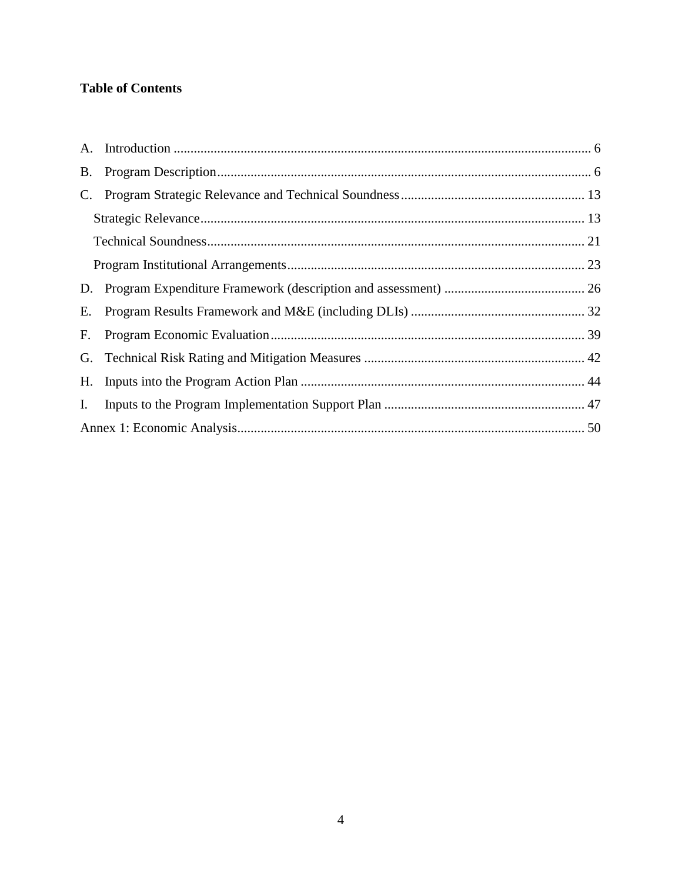# **Table of Contents**

| $\mathbf{C}$ . |  |
|----------------|--|
|                |  |
|                |  |
|                |  |
|                |  |
| Е.             |  |
| F.             |  |
|                |  |
|                |  |
| I.             |  |
|                |  |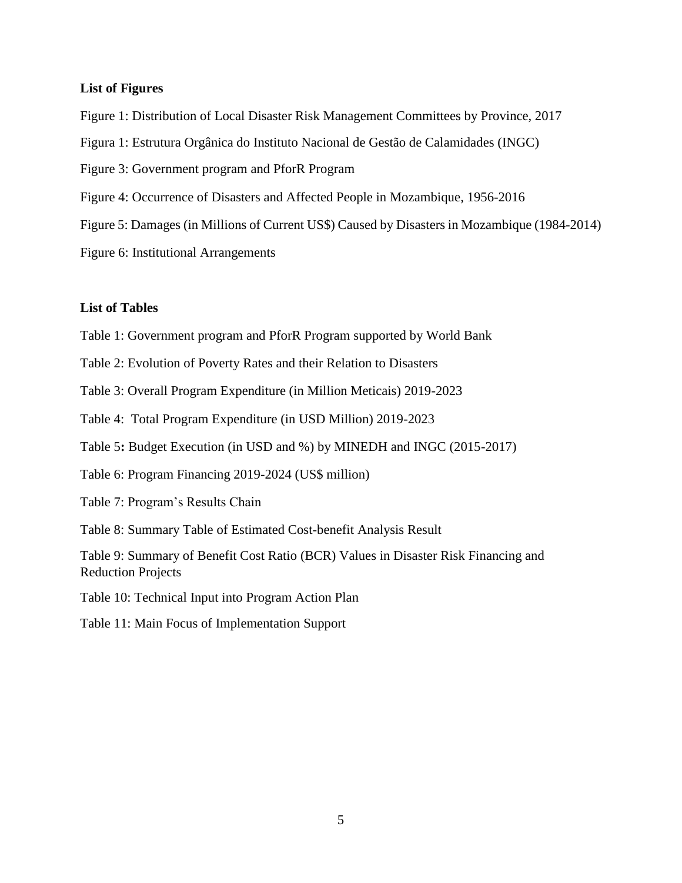#### **List of Figures**

- Figure 1: Distribution of Local Disaster Risk Management Committees by Province, 2017
- Figura 1: Estrutura Orgânica do Instituto Nacional de Gestão de Calamidades (INGC)
- Figure 3: Government program and PforR Program
- Figure 4: Occurrence of Disasters and Affected People in Mozambique, 1956-2016
- Figure 5: Damages (in Millions of Current US\$) Caused by Disasters in Mozambique (1984-2014)
- Figure 6: Institutional Arrangements

#### **List of Tables**

- Table 1: Government program and PforR Program supported by World Bank
- Table 2: Evolution of Poverty Rates and their Relation to Disasters
- Table 3: Overall Program Expenditure (in Million Meticais) 2019-2023
- Table 4: Total Program Expenditure (in USD Million) 2019-2023
- Table 5**:** Budget Execution (in USD and %) by MINEDH and INGC (2015-2017)
- Table 6: Program Financing 2019-2024 (US\$ million)
- Table 7: Program's Results Chain
- Table 8: Summary Table of Estimated Cost-benefit Analysis Result
- Table 9: Summary of Benefit Cost Ratio (BCR) Values in Disaster Risk Financing and Reduction Projects
- Table 10: Technical Input into Program Action Plan
- Table 11: Main Focus of Implementation Support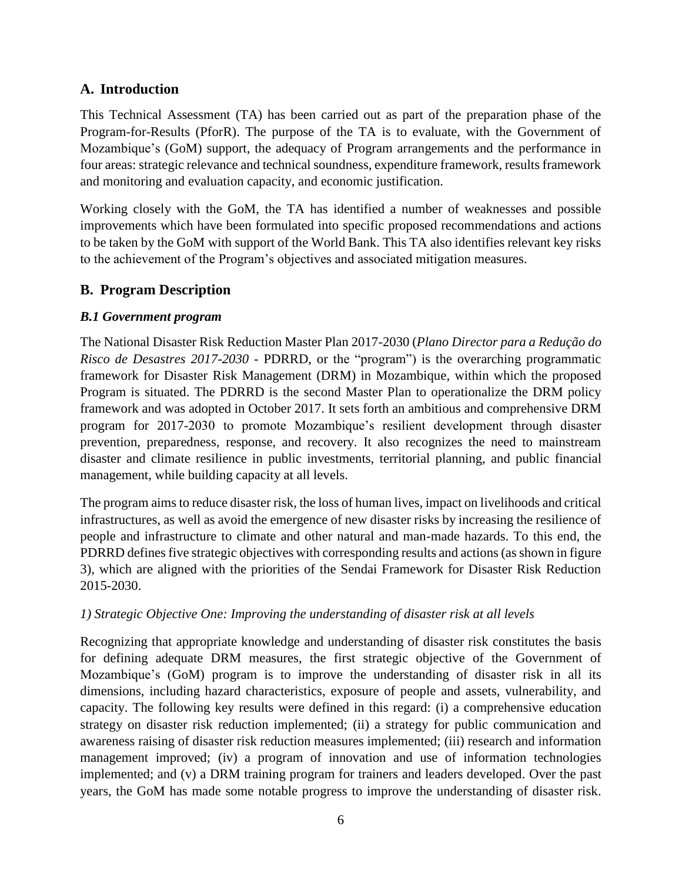## <span id="page-5-0"></span>**A. Introduction**

This Technical Assessment (TA) has been carried out as part of the preparation phase of the Program-for-Results (PforR). The purpose of the TA is to evaluate, with the Government of Mozambique's (GoM) support, the adequacy of Program arrangements and the performance in four areas: strategic relevance and technical soundness, expenditure framework, results framework and monitoring and evaluation capacity, and economic justification.

Working closely with the GoM, the TA has identified a number of weaknesses and possible improvements which have been formulated into specific proposed recommendations and actions to be taken by the GoM with support of the World Bank. This TA also identifies relevant key risks to the achievement of the Program's objectives and associated mitigation measures.

## <span id="page-5-1"></span>**B. Program Description**

## *B.1 Government program*

The National Disaster Risk Reduction Master Plan 2017-2030 (*Plano Director para a Redução do Risco de Desastres 2017-2030* - PDRRD, or the "program") is the overarching programmatic framework for Disaster Risk Management (DRM) in Mozambique, within which the proposed Program is situated. The PDRRD is the second Master Plan to operationalize the DRM policy framework and was adopted in October 2017. It sets forth an ambitious and comprehensive DRM program for 2017-2030 to promote Mozambique's resilient development through disaster prevention, preparedness, response, and recovery. It also recognizes the need to mainstream disaster and climate resilience in public investments, territorial planning, and public financial management, while building capacity at all levels.

The program aims to reduce disaster risk, the loss of human lives, impact on livelihoods and critical infrastructures, as well as avoid the emergence of new disaster risks by increasing the resilience of people and infrastructure to climate and other natural and man-made hazards. To this end, the PDRRD defines five strategic objectives with corresponding results and actions (as shown in figure 3), which are aligned with the priorities of the Sendai Framework for Disaster Risk Reduction 2015-2030.

#### *1) Strategic Objective One: Improving the understanding of disaster risk at all levels*

Recognizing that appropriate knowledge and understanding of disaster risk constitutes the basis for defining adequate DRM measures, the first strategic objective of the Government of Mozambique's (GoM) program is to improve the understanding of disaster risk in all its dimensions, including hazard characteristics, exposure of people and assets, vulnerability, and capacity. The following key results were defined in this regard: (i) a comprehensive education strategy on disaster risk reduction implemented; (ii) a strategy for public communication and awareness raising of disaster risk reduction measures implemented; (iii) research and information management improved; (iv) a program of innovation and use of information technologies implemented; and (v) a DRM training program for trainers and leaders developed. Over the past years, the GoM has made some notable progress to improve the understanding of disaster risk.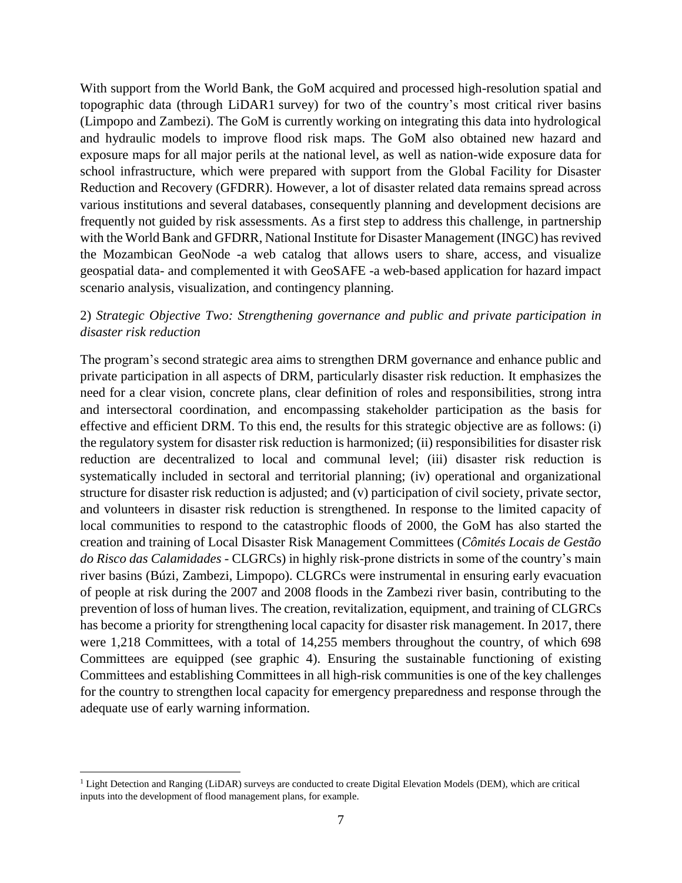With support from the World Bank, the GoM acquired and processed high-resolution spatial and topographic data (through LiDAR1 survey) for two of the country's most critical river basins (Limpopo and Zambezi). The GoM is currently working on integrating this data into hydrological and hydraulic models to improve flood risk maps. The GoM also obtained new hazard and exposure maps for all major perils at the national level, as well as nation-wide exposure data for school infrastructure, which were prepared with support from the Global Facility for Disaster Reduction and Recovery (GFDRR). However, a lot of disaster related data remains spread across various institutions and several databases, consequently planning and development decisions are frequently not guided by risk assessments. As a first step to address this challenge, in partnership with the World Bank and GFDRR, National Institute for Disaster Management (INGC) has revived the Mozambican GeoNode -a web catalog that allows users to share, access, and visualize geospatial data- and complemented it with GeoSAFE -a web-based application for hazard impact scenario analysis, visualization, and contingency planning.

#### 2) *Strategic Objective Two: Strengthening governance and public and private participation in disaster risk reduction*

The program's second strategic area aims to strengthen DRM governance and enhance public and private participation in all aspects of DRM, particularly disaster risk reduction. It emphasizes the need for a clear vision, concrete plans, clear definition of roles and responsibilities, strong intra and intersectoral coordination, and encompassing stakeholder participation as the basis for effective and efficient DRM. To this end, the results for this strategic objective are as follows: (i) the regulatory system for disaster risk reduction is harmonized; (ii) responsibilities for disaster risk reduction are decentralized to local and communal level; (iii) disaster risk reduction is systematically included in sectoral and territorial planning; (iv) operational and organizational structure for disaster risk reduction is adjusted; and (v) participation of civil society, private sector, and volunteers in disaster risk reduction is strengthened. In response to the limited capacity of local communities to respond to the catastrophic floods of 2000, the GoM has also started the creation and training of Local Disaster Risk Management Committees (*Cômités Locais de Gestão do Risco das Calamidades -* CLGRCs) in highly risk-prone districts in some of the country's main river basins (Búzi, Zambezi, Limpopo). CLGRCs were instrumental in ensuring early evacuation of people at risk during the 2007 and 2008 floods in the Zambezi river basin, contributing to the prevention of loss of human lives. The creation, revitalization, equipment, and training of CLGRCs has become a priority for strengthening local capacity for disaster risk management. In 2017, there were 1,218 Committees, with a total of 14,255 members throughout the country, of which 698 Committees are equipped (see graphic 4). Ensuring the sustainable functioning of existing Committees and establishing Committees in all high-risk communities is one of the key challenges for the country to strengthen local capacity for emergency preparedness and response through the adequate use of early warning information.

 $\overline{a}$ 

<sup>1</sup> Light Detection and Ranging (LiDAR) surveys are conducted to create Digital Elevation Models (DEM), which are critical inputs into the development of flood management plans, for example.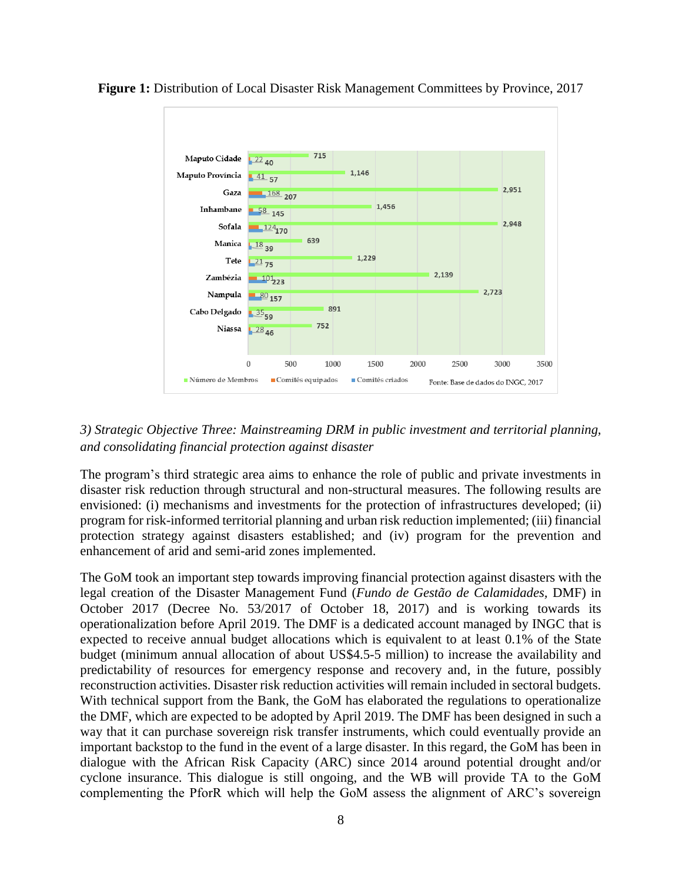

**Figure 1:** Distribution of Local Disaster Risk Management Committees by Province, 2017

#### *3) Strategic Objective Three: Mainstreaming DRM in public investment and territorial planning, and consolidating financial protection against disaster*

The program's third strategic area aims to enhance the role of public and private investments in disaster risk reduction through structural and non-structural measures. The following results are envisioned: (i) mechanisms and investments for the protection of infrastructures developed; (ii) program for risk-informed territorial planning and urban risk reduction implemented; (iii) financial protection strategy against disasters established; and (iv) program for the prevention and enhancement of arid and semi-arid zones implemented.

The GoM took an important step towards improving financial protection against disasters with the legal creation of the Disaster Management Fund (*Fundo de Gestão de Calamidades,* DMF) in October 2017 (Decree No. 53/2017 of October 18, 2017) and is working towards its operationalization before April 2019. The DMF is a dedicated account managed by INGC that is expected to receive annual budget allocations which is equivalent to at least 0.1% of the State budget (minimum annual allocation of about US\$4.5-5 million) to increase the availability and predictability of resources for emergency response and recovery and, in the future, possibly reconstruction activities. Disaster risk reduction activities will remain included in sectoral budgets. With technical support from the Bank, the GoM has elaborated the regulations to operationalize the DMF, which are expected to be adopted by April 2019. The DMF has been designed in such a way that it can purchase sovereign risk transfer instruments, which could eventually provide an important backstop to the fund in the event of a large disaster. In this regard, the GoM has been in dialogue with the African Risk Capacity (ARC) since 2014 around potential drought and/or cyclone insurance. This dialogue is still ongoing, and the WB will provide TA to the GoM complementing the PforR which will help the GoM assess the alignment of ARC's sovereign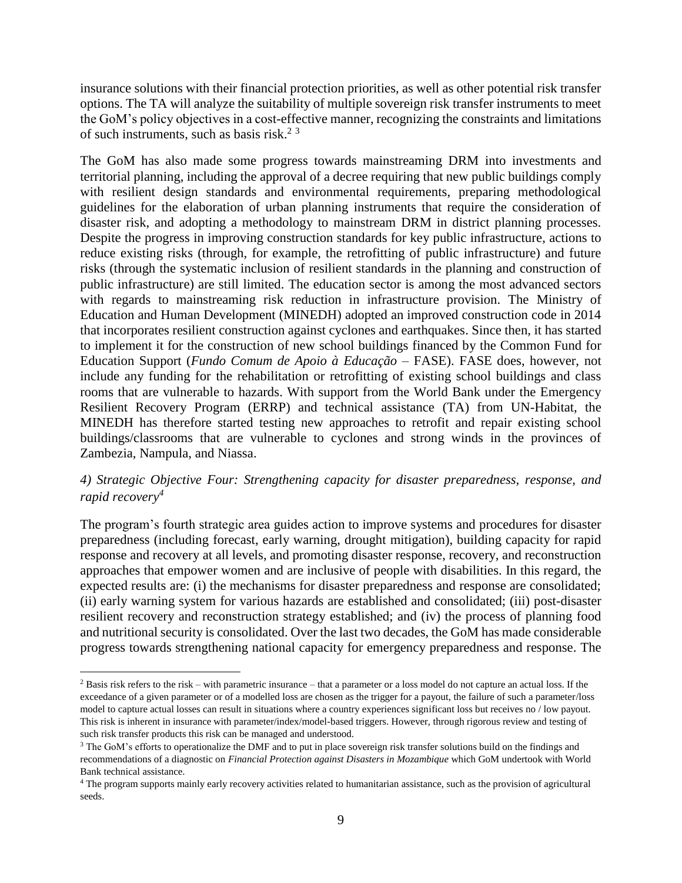insurance solutions with their financial protection priorities, as well as other potential risk transfer options. The TA will analyze the suitability of multiple sovereign risk transfer instruments to meet the GoM's policy objectives in a cost-effective manner, recognizing the constraints and limitations of such instruments, such as basis risk.<sup>2 3</sup>

The GoM has also made some progress towards mainstreaming DRM into investments and territorial planning, including the approval of a decree requiring that new public buildings comply with resilient design standards and environmental requirements, preparing methodological guidelines for the elaboration of urban planning instruments that require the consideration of disaster risk, and adopting a methodology to mainstream DRM in district planning processes. Despite the progress in improving construction standards for key public infrastructure, actions to reduce existing risks (through, for example, the retrofitting of public infrastructure) and future risks (through the systematic inclusion of resilient standards in the planning and construction of public infrastructure) are still limited. The education sector is among the most advanced sectors with regards to mainstreaming risk reduction in infrastructure provision. The Ministry of Education and Human Development (MINEDH) adopted an improved construction code in 2014 that incorporates resilient construction against cyclones and earthquakes. Since then, it has started to implement it for the construction of new school buildings financed by the Common Fund for Education Support (*Fundo Comum de Apoio à Educação* – FASE). FASE does, however, not include any funding for the rehabilitation or retrofitting of existing school buildings and class rooms that are vulnerable to hazards. With support from the World Bank under the Emergency Resilient Recovery Program (ERRP) and technical assistance (TA) from UN-Habitat, the MINEDH has therefore started testing new approaches to retrofit and repair existing school buildings/classrooms that are vulnerable to cyclones and strong winds in the provinces of Zambezia, Nampula, and Niassa.

#### *4) Strategic Objective Four: Strengthening capacity for disaster preparedness, response, and rapid recovery<sup>4</sup>*

The program's fourth strategic area guides action to improve systems and procedures for disaster preparedness (including forecast, early warning, drought mitigation), building capacity for rapid response and recovery at all levels, and promoting disaster response, recovery, and reconstruction approaches that empower women and are inclusive of people with disabilities. In this regard, the expected results are: (i) the mechanisms for disaster preparedness and response are consolidated; (ii) early warning system for various hazards are established and consolidated; (iii) post-disaster resilient recovery and reconstruction strategy established; and (iv) the process of planning food and nutritional security is consolidated. Over the last two decades, the GoM has made considerable progress towards strengthening national capacity for emergency preparedness and response. The

 $\overline{a}$ 

 $2$  Basis risk refers to the risk – with parametric insurance – that a parameter or a loss model do not capture an actual loss. If the exceedance of a given parameter or of a modelled loss are chosen as the trigger for a payout, the failure of such a parameter/loss model to capture actual losses can result in situations where a country experiences significant loss but receives no / low payout. This risk is inherent in insurance with parameter/index/model-based triggers. However, through rigorous review and testing of such risk transfer products this risk can be managed and understood.

<sup>&</sup>lt;sup>3</sup> The GoM's efforts to operationalize the DMF and to put in place sovereign risk transfer solutions build on the findings and recommendations of a diagnostic on *Financial Protection against Disasters in Mozambique* which GoM undertook with World Bank technical assistance.

<sup>&</sup>lt;sup>4</sup> The program supports mainly early recovery activities related to humanitarian assistance, such as the provision of agricultural seeds.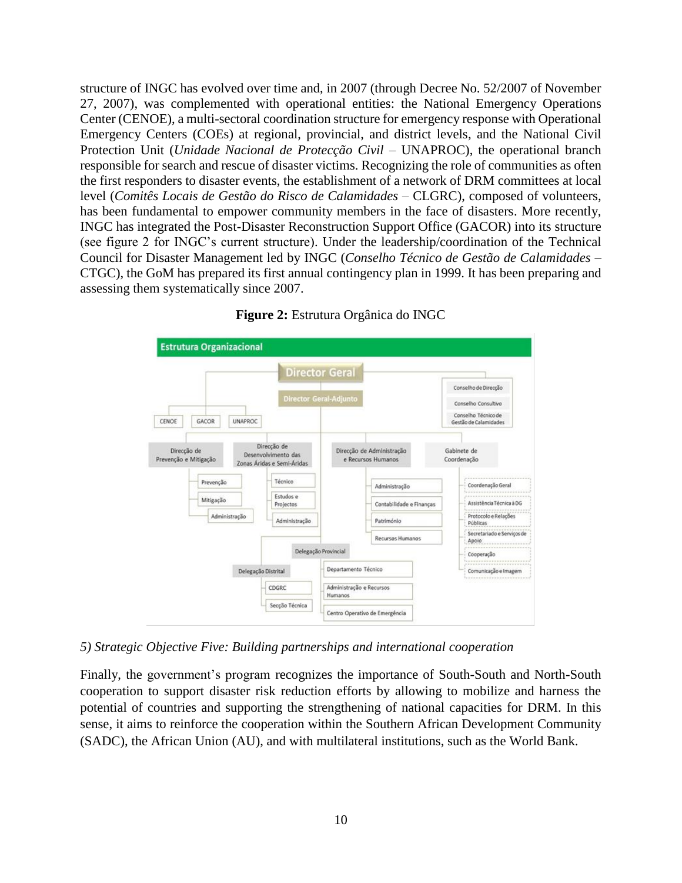structure of INGC has evolved over time and, in 2007 (through Decree No. 52/2007 of November 27, 2007), was complemented with operational entities: the National Emergency Operations Center (CENOE), a multi-sectoral coordination structure for emergency response with Operational Emergency Centers (COEs) at regional, provincial, and district levels, and the National Civil Protection Unit (*Unidade Nacional de Protecção Civil* – UNAPROC), the operational branch responsible for search and rescue of disaster victims. Recognizing the role of communities as often the first responders to disaster events, the establishment of a network of DRM committees at local level (*Comitês Locais de Gestão do Risco de Calamidades* – CLGRC), composed of volunteers, has been fundamental to empower community members in the face of disasters. More recently, INGC has integrated the Post-Disaster Reconstruction Support Office (GACOR) into its structure (see figure 2 for INGC's current structure). Under the leadership/coordination of the Technical Council for Disaster Management led by INGC (*Conselho Técnico de Gestão de Calamidades* – CTGC), the GoM has prepared its first annual contingency plan in 1999. It has been preparing and assessing them systematically since 2007.



#### **Figure 2:** Estrutura Orgânica do INGC

*5) Strategic Objective Five: Building partnerships and international cooperation*

Finally, the government's program recognizes the importance of South-South and North-South cooperation to support disaster risk reduction efforts by allowing to mobilize and harness the potential of countries and supporting the strengthening of national capacities for DRM. In this sense, it aims to reinforce the cooperation within the Southern African Development Community (SADC), the African Union (AU), and with multilateral institutions, such as the World Bank.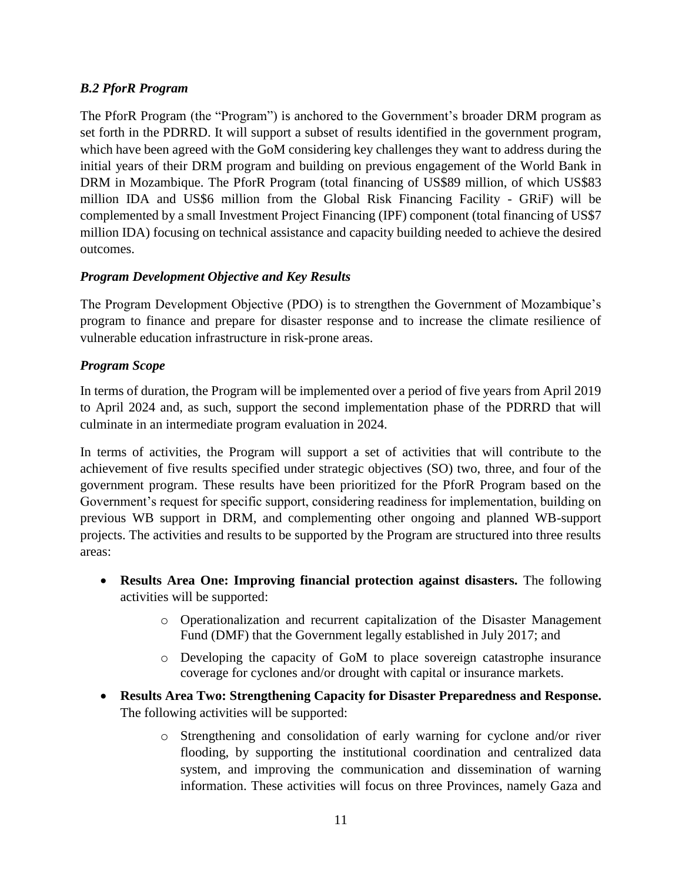## *B.2 PforR Program*

The PforR Program (the "Program") is anchored to the Government's broader DRM program as set forth in the PDRRD. It will support a subset of results identified in the government program, which have been agreed with the GoM considering key challenges they want to address during the initial years of their DRM program and building on previous engagement of the World Bank in DRM in Mozambique. The PforR Program (total financing of US\$89 million, of which US\$83 million IDA and US\$6 million from the Global Risk Financing Facility - GRiF) will be complemented by a small Investment Project Financing (IPF) component (total financing of US\$7 million IDA) focusing on technical assistance and capacity building needed to achieve the desired outcomes.

## *Program Development Objective and Key Results*

The Program Development Objective (PDO) is to strengthen the Government of Mozambique's program to finance and prepare for disaster response and to increase the climate resilience of vulnerable education infrastructure in risk-prone areas.

#### *Program Scope*

In terms of duration, the Program will be implemented over a period of five years from April 2019 to April 2024 and, as such, support the second implementation phase of the PDRRD that will culminate in an intermediate program evaluation in 2024.

In terms of activities, the Program will support a set of activities that will contribute to the achievement of five results specified under strategic objectives (SO) two, three, and four of the government program. These results have been prioritized for the PforR Program based on the Government's request for specific support, considering readiness for implementation, building on previous WB support in DRM, and complementing other ongoing and planned WB-support projects. The activities and results to be supported by the Program are structured into three results areas:

- **Results Area One: Improving financial protection against disasters.** The following activities will be supported:
	- o Operationalization and recurrent capitalization of the Disaster Management Fund (DMF) that the Government legally established in July 2017; and
	- o Developing the capacity of GoM to place sovereign catastrophe insurance coverage for cyclones and/or drought with capital or insurance markets.
- **Results Area Two: Strengthening Capacity for Disaster Preparedness and Response.**  The following activities will be supported:
	- o Strengthening and consolidation of early warning for cyclone and/or river flooding, by supporting the institutional coordination and centralized data system, and improving the communication and dissemination of warning information. These activities will focus on three Provinces, namely Gaza and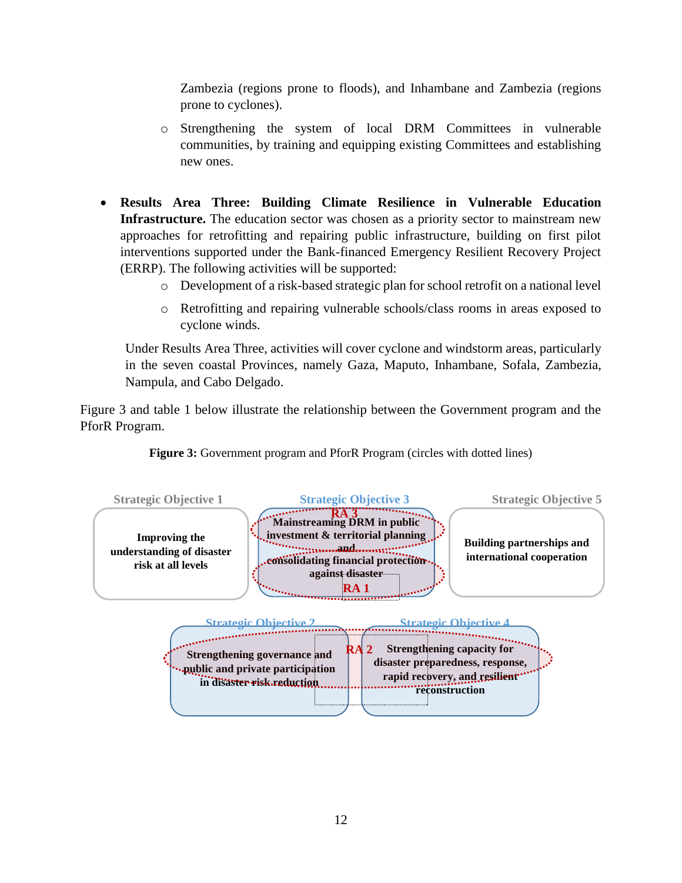Zambezia (regions prone to floods), and Inhambane and Zambezia (regions prone to cyclones).

- o Strengthening the system of local DRM Committees in vulnerable communities, by training and equipping existing Committees and establishing new ones.
- **Results Area Three: Building Climate Resilience in Vulnerable Education Infrastructure.** The education sector was chosen as a priority sector to mainstream new approaches for retrofitting and repairing public infrastructure, building on first pilot interventions supported under the Bank-financed Emergency Resilient Recovery Project (ERRP). The following activities will be supported:
	- o Development of a risk-based strategic plan for school retrofit on a national level
	- o Retrofitting and repairing vulnerable schools/class rooms in areas exposed to cyclone winds.

Under Results Area Three, activities will cover cyclone and windstorm areas, particularly in the seven coastal Provinces, namely Gaza, Maputo, Inhambane, Sofala, Zambezia, Nampula, and Cabo Delgado.

Figure 3 and table 1 below illustrate the relationship between the Government program and the PforR Program.



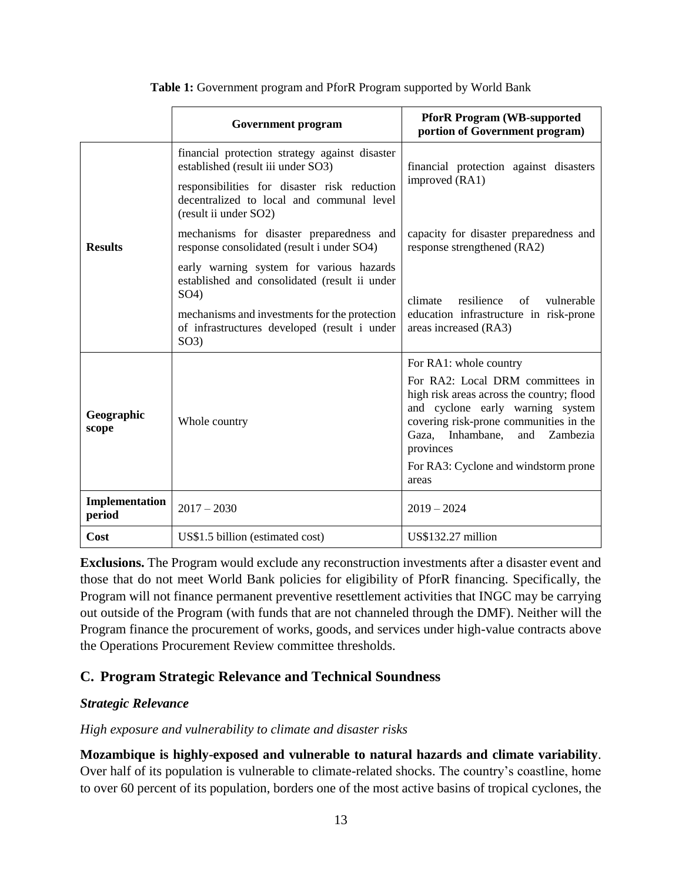|                          | <b>Government program</b>                                                                                                                                                                                                | <b>PforR Program (WB-supported)</b><br>portion of Government program)                                                                                                                                                                                                                   |
|--------------------------|--------------------------------------------------------------------------------------------------------------------------------------------------------------------------------------------------------------------------|-----------------------------------------------------------------------------------------------------------------------------------------------------------------------------------------------------------------------------------------------------------------------------------------|
|                          | financial protection strategy against disaster<br>established (result iii under SO3)<br>responsibilities for disaster risk reduction<br>decentralized to local and communal level<br>(result ii under SO2)               | financial protection against disasters<br>improved (RA1)                                                                                                                                                                                                                                |
| <b>Results</b>           | mechanisms for disaster preparedness and<br>response consolidated (result i under SO4)                                                                                                                                   | capacity for disaster preparedness and<br>response strengthened (RA2)                                                                                                                                                                                                                   |
|                          | early warning system for various hazards<br>established and consolidated (result ii under<br>SO <sub>4</sub><br>mechanisms and investments for the protection<br>of infrastructures developed (result i under<br>$SO3$ ) | climate<br>resilience<br>$\alpha$ f<br>vulnerable<br>education infrastructure in risk-prone<br>areas increased (RA3)                                                                                                                                                                    |
| Geographic<br>scope      | Whole country                                                                                                                                                                                                            | For RA1: whole country<br>For RA2: Local DRM committees in<br>high risk areas across the country; flood<br>and cyclone early warning system<br>covering risk-prone communities in the<br>Gaza, Inhambane,<br>and Zambezia<br>provinces<br>For RA3: Cyclone and windstorm prone<br>areas |
| Implementation<br>period | $2017 - 2030$                                                                                                                                                                                                            | $2019 - 2024$                                                                                                                                                                                                                                                                           |
| Cost                     | US\$1.5 billion (estimated cost)                                                                                                                                                                                         | US\$132.27 million                                                                                                                                                                                                                                                                      |

**Table 1:** Government program and PforR Program supported by World Bank

**Exclusions.** The Program would exclude any reconstruction investments after a disaster event and those that do not meet World Bank policies for eligibility of PforR financing. Specifically, the Program will not finance permanent preventive resettlement activities that INGC may be carrying out outside of the Program (with funds that are not channeled through the DMF). Neither will the Program finance the procurement of works, goods, and services under high-value contracts above the Operations Procurement Review committee thresholds.

## <span id="page-12-0"></span>**C. Program Strategic Relevance and Technical Soundness**

#### <span id="page-12-1"></span>*Strategic Relevance*

#### *High exposure and vulnerability to climate and disaster risks*

**Mozambique is highly-exposed and vulnerable to natural hazards and climate variability**. Over half of its population is vulnerable to climate-related shocks. The country's coastline, home to over 60 percent of its population, borders one of the most active basins of tropical cyclones, the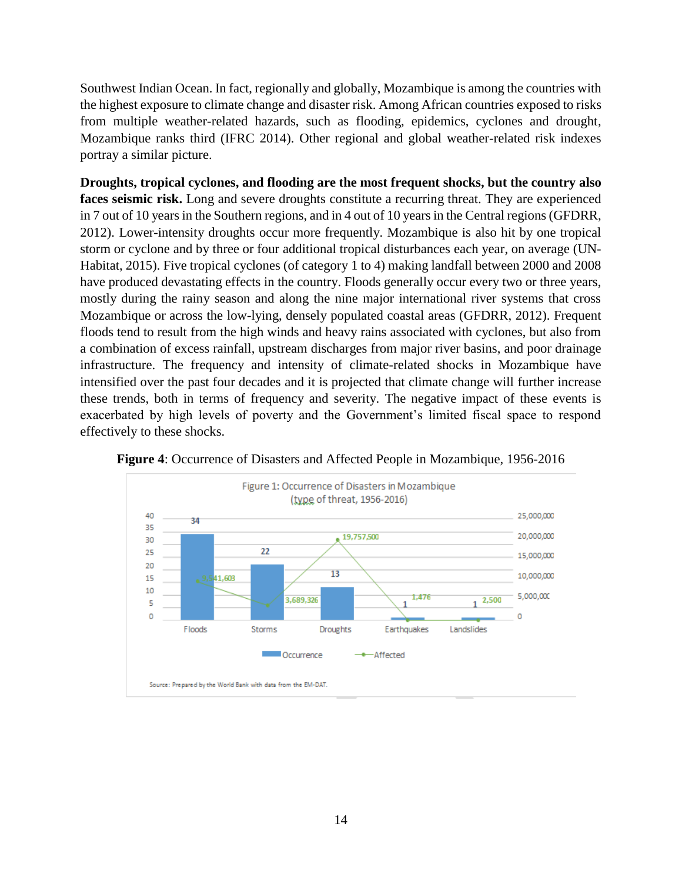Southwest Indian Ocean. In fact, regionally and globally, Mozambique is among the countries with the highest exposure to climate change and disaster risk. Among African countries exposed to risks from multiple weather-related hazards, such as flooding, epidemics, cyclones and drought, Mozambique ranks third (IFRC 2014). Other regional and global weather-related risk indexes portray a similar picture.

**Droughts, tropical cyclones, and flooding are the most frequent shocks, but the country also**  faces seismic risk. Long and severe droughts constitute a recurring threat. They are experienced in 7 out of 10 years in the Southern regions, and in 4 out of 10 years in the Central regions (GFDRR, 2012). Lower-intensity droughts occur more frequently. Mozambique is also hit by one tropical storm or cyclone and by three or four additional tropical disturbances each year, on average (UN-Habitat, 2015). Five tropical cyclones (of category 1 to 4) making landfall between 2000 and 2008 have produced devastating effects in the country. Floods generally occur every two or three years, mostly during the rainy season and along the nine major international river systems that cross Mozambique or across the low-lying, densely populated coastal areas (GFDRR, 2012). Frequent floods tend to result from the high winds and heavy rains associated with cyclones, but also from a combination of excess rainfall, upstream discharges from major river basins, and poor drainage infrastructure. The frequency and intensity of climate-related shocks in Mozambique have intensified over the past four decades and it is projected that climate change will further increase these trends, both in terms of frequency and severity. The negative impact of these events is exacerbated by high levels of poverty and the Government's limited fiscal space to respond effectively to these shocks.



**Figure 4**: Occurrence of Disasters and Affected People in Mozambique, 1956-2016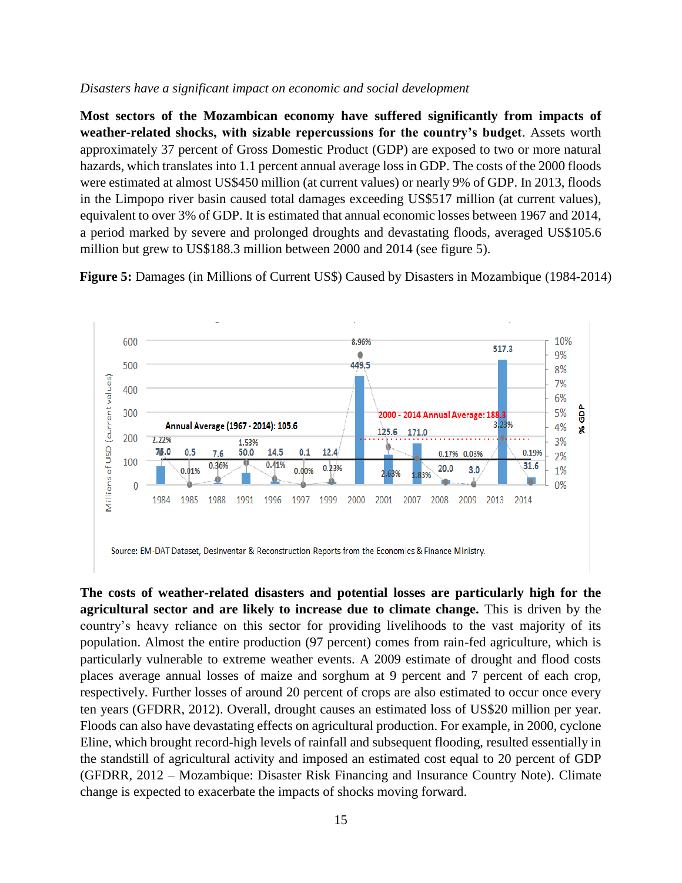#### *Disasters have a significant impact on economic and social development*

**Most sectors of the Mozambican economy have suffered significantly from impacts of weather-related shocks, with sizable repercussions for the country's budget**. Assets worth approximately 37 percent of Gross Domestic Product (GDP) are exposed to two or more natural hazards, which translates into 1.1 percent annual average loss in GDP. The costs of the 2000 floods were estimated at almost US\$450 million (at current values) or nearly 9% of GDP. In 2013, floods in the Limpopo river basin caused total damages exceeding US\$517 million (at current values), equivalent to over 3% of GDP. It is estimated that annual economic losses between 1967 and 2014, a period marked by severe and prolonged droughts and devastating floods, averaged US\$105.6 million but grew to US\$188.3 million between 2000 and 2014 (see figure 5).

**Figure 5:** Damages (in Millions of Current US\$) Caused by Disasters in Mozambique (1984-2014)



**The costs of weather-related disasters and potential losses are particularly high for the agricultural sector and are likely to increase due to climate change.** This is driven by the country's heavy reliance on this sector for providing livelihoods to the vast majority of its population. Almost the entire production (97 percent) comes from rain-fed agriculture, which is particularly vulnerable to extreme weather events. A 2009 estimate of drought and flood costs places average annual losses of maize and sorghum at 9 percent and 7 percent of each crop, respectively. Further losses of around 20 percent of crops are also estimated to occur once every ten years (GFDRR, 2012). Overall, drought causes an estimated loss of US\$20 million per year. Floods can also have devastating effects on agricultural production. For example, in 2000, cyclone Eline, which brought record-high levels of rainfall and subsequent flooding, resulted essentially in the standstill of agricultural activity and imposed an estimated cost equal to 20 percent of GDP (GFDRR, 2012 – Mozambique: Disaster Risk Financing and Insurance Country Note). Climate change is expected to exacerbate the impacts of shocks moving forward.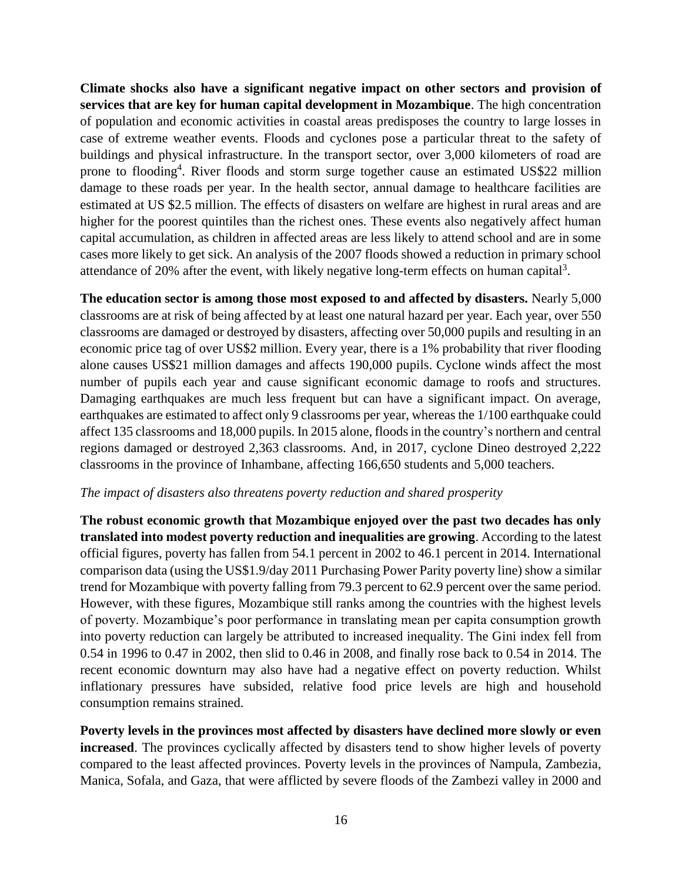**Climate shocks also have a significant negative impact on other sectors and provision of services that are key for human capital development in Mozambique**. The high concentration of population and economic activities in coastal areas predisposes the country to large losses in case of extreme weather events. Floods and cyclones pose a particular threat to the safety of buildings and physical infrastructure. In the transport sector, over 3,000 kilometers of road are prone to flooding<sup>4</sup>. River floods and storm surge together cause an estimated US\$22 million damage to these roads per year. In the health sector, annual damage to healthcare facilities are estimated at US \$2.5 million. The effects of disasters on welfare are highest in rural areas and are higher for the poorest quintiles than the richest ones. These events also negatively affect human capital accumulation, as children in affected areas are less likely to attend school and are in some cases more likely to get sick. An analysis of the 2007 floods showed a reduction in primary school attendance of 20% after the event, with likely negative long-term effects on human capital<sup>3</sup>.

**The education sector is among those most exposed to and affected by disasters.** Nearly 5,000 classrooms are at risk of being affected by at least one natural hazard per year. Each year, over 550 classrooms are damaged or destroyed by disasters, affecting over 50,000 pupils and resulting in an economic price tag of over US\$2 million. Every year, there is a 1% probability that river flooding alone causes US\$21 million damages and affects 190,000 pupils. Cyclone winds affect the most number of pupils each year and cause significant economic damage to roofs and structures. Damaging earthquakes are much less frequent but can have a significant impact. On average, earthquakes are estimated to affect only 9 classrooms per year, whereas the 1/100 earthquake could affect 135 classrooms and 18,000 pupils. In 2015 alone, floods in the country's northern and central regions damaged or destroyed 2,363 classrooms. And, in 2017, cyclone Dineo destroyed 2,222 classrooms in the province of Inhambane, affecting 166,650 students and 5,000 teachers.

#### *The impact of disasters also threatens poverty reduction and shared prosperity*

**The robust economic growth that Mozambique enjoyed over the past two decades has only translated into modest poverty reduction and inequalities are growing**. According to the latest official figures, poverty has fallen from 54.1 percent in 2002 to 46.1 percent in 2014. International comparison data (using the US\$1.9/day 2011 Purchasing Power Parity poverty line) show a similar trend for Mozambique with poverty falling from 79.3 percent to 62.9 percent over the same period. However, with these figures, Mozambique still ranks among the countries with the highest levels of poverty. Mozambique's poor performance in translating mean per capita consumption growth into poverty reduction can largely be attributed to increased inequality. The Gini index fell from 0.54 in 1996 to 0.47 in 2002, then slid to 0.46 in 2008, and finally rose back to 0.54 in 2014. The recent economic downturn may also have had a negative effect on poverty reduction. Whilst inflationary pressures have subsided, relative food price levels are high and household consumption remains strained.

**Poverty levels in the provinces most affected by disasters have declined more slowly or even increased**. The provinces cyclically affected by disasters tend to show higher levels of poverty compared to the least affected provinces. Poverty levels in the provinces of Nampula, Zambezia, Manica, Sofala, and Gaza, that were afflicted by severe floods of the Zambezi valley in 2000 and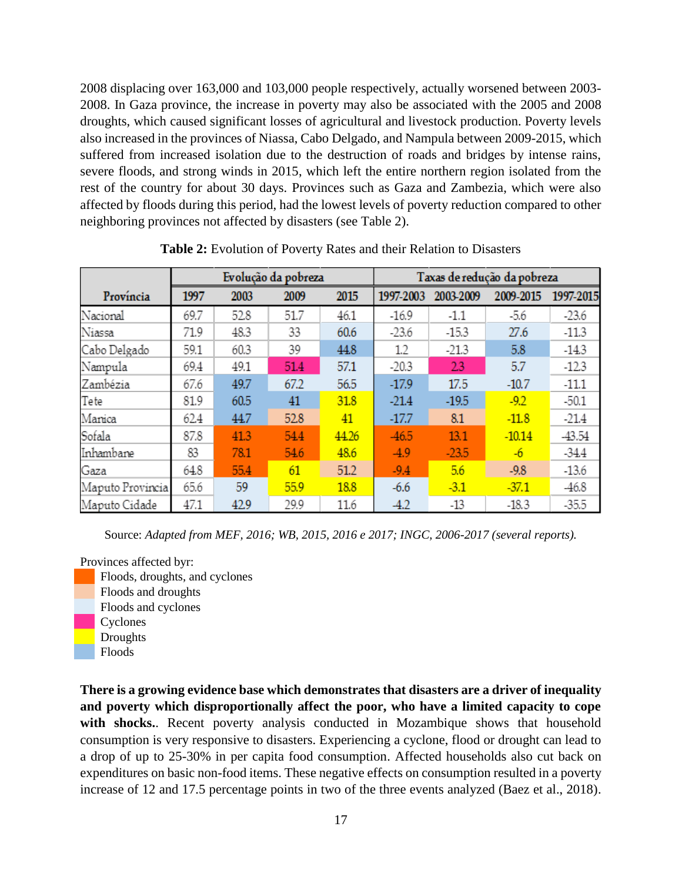2008 displacing over 163,000 and 103,000 people respectively, actually worsened between 2003- 2008. In Gaza province, the increase in poverty may also be associated with the 2005 and 2008 droughts, which caused significant losses of agricultural and livestock production. Poverty levels also increased in the provinces of Niassa, Cabo Delgado, and Nampula between 2009-2015, which suffered from increased isolation due to the destruction of roads and bridges by intense rains, severe floods, and strong winds in 2015, which left the entire northern region isolated from the rest of the country for about 30 days. Provinces such as Gaza and Zambezia, which were also affected by floods during this period, had the lowest levels of poverty reduction compared to other neighboring provinces not affected by disasters (see Table 2).

|                  |      |      | Evolução da pobreza |       | Taxas de redução da pobreza |           |           |           |
|------------------|------|------|---------------------|-------|-----------------------------|-----------|-----------|-----------|
| Província        | 1997 | 2003 | 2009                | 2015  | 1997-2003                   | 2003-2009 | 2009-2015 | 1997-2015 |
| Nacional         | 69.7 | 52.8 | 51.7                | 46.1  | $-16.9$                     | $-1.1$    | $-5.6$    | $-23.6$   |
| Niassa           | 71.9 | 48.3 | 33                  | 60.6  | $-23.6$                     | $-15.3$   | 27.6      | $-11.3$   |
| Cabo Delgado     | 59.1 | 60.3 | 39                  | 44.8  | 1.2                         | $-21.3$   | 5.8       | $-14.3$   |
| Nampula          | 69.4 | 49.1 | 51.4                | 57.1  | $-20.3$                     | 23        | 5.7       | $-12.3$   |
| Zambézia         | 67.6 | 49.7 | 67.2                | 56.5  | $-17.9$                     | 17.5      | $-10.7$   | $-11.1$   |
| Tete             | 81.9 | 60.5 | 41                  | 31.8  | $-21.4$                     | $-19.5$   | $-9.2$    | $-50.1$   |
| Marrica          | 62.4 | 44.7 | 52.8                | 41    | $-17.7$                     | 8.1       | $-11.8$   | $-21.4$   |
| Sofala           | 87.8 | 41.3 | 54.4                | 44.26 | $-46.5$                     | 13.1      | $-10.14$  | $-43.54$  |
| Inhambane        | 83   | 78.1 | 54.6                | 48.6  | $-4.9$                      | $-23.5$   | $-6$      | $-34.4$   |
| Gaza             | 64.8 | 55.4 | 61                  | 51.2  | $-9.4$                      | 5.6       | $-9.8$    | $-13.6$   |
| Maputo Provincia | 65.6 | 59   | 55.9                | 18.8  | $-6.6$                      | $-3.1$    | $-37.1$   | $-46.8$   |
| Maputo Cidade    | 47.1 | 42.9 | 29.9                | 11.6  | $-4.2$                      | $-13$     | $-18.3$   | $-35.5$   |

**Table 2:** Evolution of Poverty Rates and their Relation to Disasters

Source: *Adapted from MEF, 2016; WB, 2015, 2016 e 2017; INGC, 2006-2017 (several reports).*

Provinces affected byr:

Floods, droughts, and cyclones Floods and droughts Floods and cyclones Cyclones **Droughts** Floods

**There is a growing evidence base which demonstrates that disasters are a driver of inequality and poverty which disproportionally affect the poor, who have a limited capacity to cope**  with shocks.. Recent poverty analysis conducted in Mozambique shows that household consumption is very responsive to disasters. Experiencing a cyclone, flood or drought can lead to a drop of up to 25-30% in per capita food consumption. Affected households also cut back on expenditures on basic non-food items. These negative effects on consumption resulted in a poverty increase of 12 and 17.5 percentage points in two of the three events analyzed (Baez et al., 2018).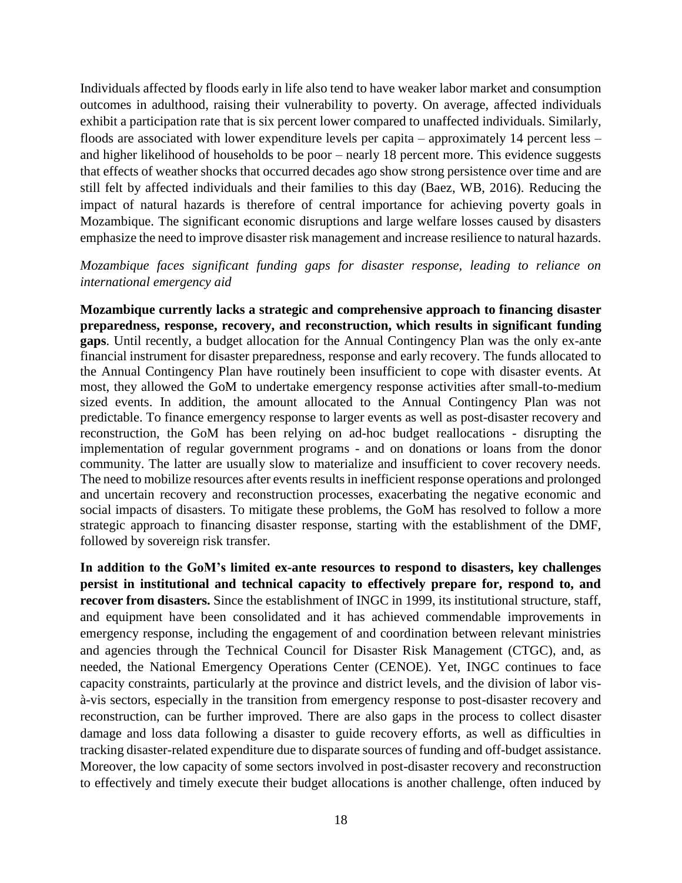Individuals affected by floods early in life also tend to have weaker labor market and consumption outcomes in adulthood, raising their vulnerability to poverty. On average, affected individuals exhibit a participation rate that is six percent lower compared to unaffected individuals. Similarly, floods are associated with lower expenditure levels per capita – approximately 14 percent less – and higher likelihood of households to be poor – nearly 18 percent more. This evidence suggests that effects of weather shocks that occurred decades ago show strong persistence over time and are still felt by affected individuals and their families to this day (Baez, WB, 2016). Reducing the impact of natural hazards is therefore of central importance for achieving poverty goals in Mozambique. The significant economic disruptions and large welfare losses caused by disasters emphasize the need to improve disaster risk management and increase resilience to natural hazards.

#### *Mozambique faces significant funding gaps for disaster response, leading to reliance on international emergency aid*

**Mozambique currently lacks a strategic and comprehensive approach to financing disaster preparedness, response, recovery, and reconstruction, which results in significant funding gaps**. Until recently, a budget allocation for the Annual Contingency Plan was the only ex-ante financial instrument for disaster preparedness, response and early recovery. The funds allocated to the Annual Contingency Plan have routinely been insufficient to cope with disaster events. At most, they allowed the GoM to undertake emergency response activities after small-to-medium sized events. In addition, the amount allocated to the Annual Contingency Plan was not predictable. To finance emergency response to larger events as well as post-disaster recovery and reconstruction, the GoM has been relying on ad-hoc budget reallocations - disrupting the implementation of regular government programs - and on donations or loans from the donor community. The latter are usually slow to materialize and insufficient to cover recovery needs. The need to mobilize resources after events results in inefficient response operations and prolonged and uncertain recovery and reconstruction processes, exacerbating the negative economic and social impacts of disasters. To mitigate these problems, the GoM has resolved to follow a more strategic approach to financing disaster response, starting with the establishment of the DMF, followed by sovereign risk transfer.

**In addition to the GoM's limited ex-ante resources to respond to disasters, key challenges persist in institutional and technical capacity to effectively prepare for, respond to, and recover from disasters.** Since the establishment of INGC in 1999, its institutional structure, staff, and equipment have been consolidated and it has achieved commendable improvements in emergency response, including the engagement of and coordination between relevant ministries and agencies through the Technical Council for Disaster Risk Management (CTGC), and, as needed, the National Emergency Operations Center (CENOE). Yet, INGC continues to face capacity constraints, particularly at the province and district levels, and the division of labor visà-vis sectors, especially in the transition from emergency response to post-disaster recovery and reconstruction, can be further improved. There are also gaps in the process to collect disaster damage and loss data following a disaster to guide recovery efforts, as well as difficulties in tracking disaster-related expenditure due to disparate sources of funding and off-budget assistance. Moreover, the low capacity of some sectors involved in post-disaster recovery and reconstruction to effectively and timely execute their budget allocations is another challenge, often induced by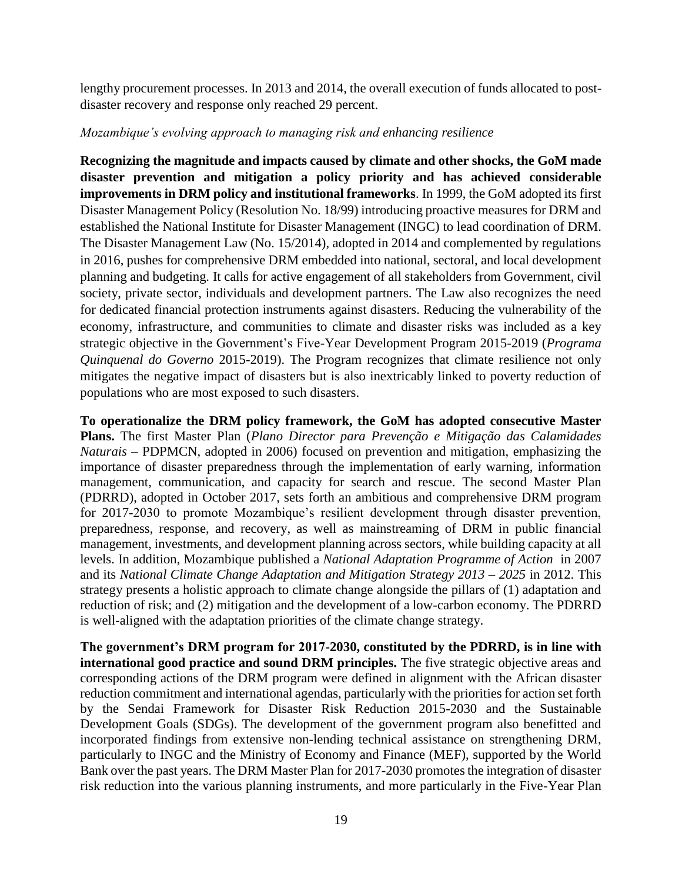lengthy procurement processes. In 2013 and 2014, the overall execution of funds allocated to postdisaster recovery and response only reached 29 percent.

#### *Mozambique's evolving approach to managing risk and enhancing resilience*

**Recognizing the magnitude and impacts caused by climate and other shocks, the GoM made disaster prevention and mitigation a policy priority and has achieved considerable improvements in DRM policy and institutional frameworks**. In 1999, the GoM adopted its first Disaster Management Policy (Resolution No. 18/99) introducing proactive measures for DRM and established the National Institute for Disaster Management (INGC) to lead coordination of DRM. The Disaster Management Law (No. 15/2014), adopted in 2014 and complemented by regulations in 2016, pushes for comprehensive DRM embedded into national, sectoral, and local development planning and budgeting. It calls for active engagement of all stakeholders from Government, civil society, private sector, individuals and development partners. The Law also recognizes the need for dedicated financial protection instruments against disasters. Reducing the vulnerability of the economy, infrastructure, and communities to climate and disaster risks was included as a key strategic objective in the Government's Five-Year Development Program 2015-2019 (*Programa Quinquenal do Governo* 2015-2019). The Program recognizes that climate resilience not only mitigates the negative impact of disasters but is also inextricably linked to poverty reduction of populations who are most exposed to such disasters.

**To operationalize the DRM policy framework, the GoM has adopted consecutive Master Plans.** The first Master Plan (*Plano Director para Prevenção e Mitigação das Calamidades Naturais* – PDPMCN, adopted in 2006) focused on prevention and mitigation, emphasizing the importance of disaster preparedness through the implementation of early warning, information management, communication, and capacity for search and rescue. The second Master Plan (PDRRD), adopted in October 2017, sets forth an ambitious and comprehensive DRM program for 2017-2030 to promote Mozambique's resilient development through disaster prevention, preparedness, response, and recovery, as well as mainstreaming of DRM in public financial management, investments, and development planning across sectors, while building capacity at all levels. In addition, Mozambique published a *National Adaptation Programme of Action* in 2007 and its *National Climate Change Adaptation and Mitigation Strategy 2013 – 2025* in 2012. This strategy presents a holistic approach to climate change alongside the pillars of (1) adaptation and reduction of risk; and (2) mitigation and the development of a low-carbon economy. The PDRRD is well-aligned with the adaptation priorities of the climate change strategy.

**The government's DRM program for 2017-2030, constituted by the PDRRD, is in line with international good practice and sound DRM principles.** The five strategic objective areas and corresponding actions of the DRM program were defined in alignment with the African disaster reduction commitment and international agendas, particularly with the priorities for action set forth by the Sendai Framework for Disaster Risk Reduction 2015-2030 and the Sustainable Development Goals (SDGs). The development of the government program also benefitted and incorporated findings from extensive non-lending technical assistance on strengthening DRM, particularly to INGC and the Ministry of Economy and Finance (MEF), supported by the World Bank over the past years. The DRM Master Plan for 2017-2030 promotes the integration of disaster risk reduction into the various planning instruments, and more particularly in the Five-Year Plan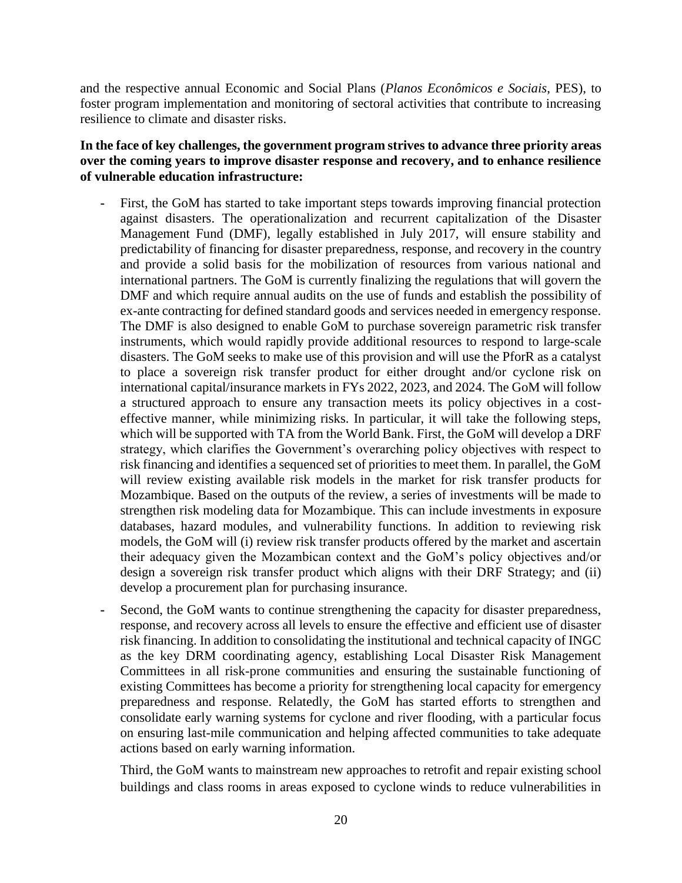and the respective annual Economic and Social Plans (*Planos Econômicos e Sociais*, PES), to foster program implementation and monitoring of sectoral activities that contribute to increasing resilience to climate and disaster risks.

#### **In the face of key challenges, the government program strives to advance three priority areas over the coming years to improve disaster response and recovery, and to enhance resilience of vulnerable education infrastructure:**

- First, the GoM has started to take important steps towards improving financial protection against disasters. The operationalization and recurrent capitalization of the Disaster Management Fund (DMF), legally established in July 2017, will ensure stability and predictability of financing for disaster preparedness, response, and recovery in the country and provide a solid basis for the mobilization of resources from various national and international partners. The GoM is currently finalizing the regulations that will govern the DMF and which require annual audits on the use of funds and establish the possibility of ex-ante contracting for defined standard goods and services needed in emergency response. The DMF is also designed to enable GoM to purchase sovereign parametric risk transfer instruments, which would rapidly provide additional resources to respond to large-scale disasters. The GoM seeks to make use of this provision and will use the PforR as a catalyst to place a sovereign risk transfer product for either drought and/or cyclone risk on international capital/insurance markets in FYs 2022, 2023, and 2024. The GoM will follow a structured approach to ensure any transaction meets its policy objectives in a costeffective manner, while minimizing risks. In particular, it will take the following steps, which will be supported with TA from the World Bank. First, the GoM will develop a DRF strategy, which clarifies the Government's overarching policy objectives with respect to risk financing and identifies a sequenced set of priorities to meet them. In parallel, the GoM will review existing available risk models in the market for risk transfer products for Mozambique. Based on the outputs of the review, a series of investments will be made to strengthen risk modeling data for Mozambique. This can include investments in exposure databases, hazard modules, and vulnerability functions. In addition to reviewing risk models, the GoM will (i) review risk transfer products offered by the market and ascertain their adequacy given the Mozambican context and the GoM's policy objectives and/or design a sovereign risk transfer product which aligns with their DRF Strategy; and (ii) develop a procurement plan for purchasing insurance.
- **-** Second, the GoM wants to continue strengthening the capacity for disaster preparedness, response, and recovery across all levels to ensure the effective and efficient use of disaster risk financing. In addition to consolidating the institutional and technical capacity of INGC as the key DRM coordinating agency, establishing Local Disaster Risk Management Committees in all risk-prone communities and ensuring the sustainable functioning of existing Committees has become a priority for strengthening local capacity for emergency preparedness and response. Relatedly, the GoM has started efforts to strengthen and consolidate early warning systems for cyclone and river flooding, with a particular focus on ensuring last-mile communication and helping affected communities to take adequate actions based on early warning information.

Third, the GoM wants to mainstream new approaches to retrofit and repair existing school buildings and class rooms in areas exposed to cyclone winds to reduce vulnerabilities in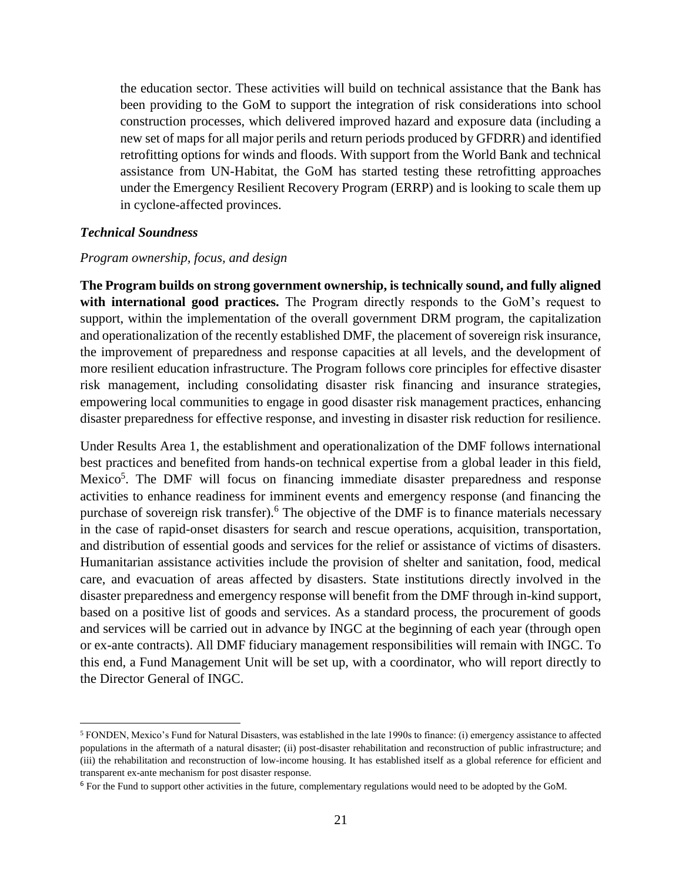the education sector. These activities will build on technical assistance that the Bank has been providing to the GoM to support the integration of risk considerations into school construction processes, which delivered improved hazard and exposure data (including a new set of maps for all major perils and return periods produced by GFDRR) and identified retrofitting options for winds and floods. With support from the World Bank and technical assistance from UN-Habitat, the GoM has started testing these retrofitting approaches under the Emergency Resilient Recovery Program (ERRP) and is looking to scale them up in cyclone-affected provinces.

#### <span id="page-20-0"></span>*Technical Soundness*

 $\overline{a}$ 

#### *Program ownership, focus, and design*

**The Program builds on strong government ownership, is technically sound, and fully aligned with international good practices.** The Program directly responds to the GoM's request to support, within the implementation of the overall government DRM program, the capitalization and operationalization of the recently established DMF, the placement of sovereign risk insurance, the improvement of preparedness and response capacities at all levels, and the development of more resilient education infrastructure. The Program follows core principles for effective disaster risk management, including consolidating disaster risk financing and insurance strategies, empowering local communities to engage in good disaster risk management practices, enhancing disaster preparedness for effective response, and investing in disaster risk reduction for resilience.

Under Results Area 1, the establishment and operationalization of the DMF follows international best practices and benefited from hands-on technical expertise from a global leader in this field, Mexico<sup>5</sup>. The DMF will focus on financing immediate disaster preparedness and response activities to enhance readiness for imminent events and emergency response (and financing the purchase of sovereign risk transfer).<sup>6</sup> The objective of the DMF is to finance materials necessary in the case of rapid-onset disasters for search and rescue operations, acquisition, transportation, and distribution of essential goods and services for the relief or assistance of victims of disasters. Humanitarian assistance activities include the provision of shelter and sanitation, food, medical care, and evacuation of areas affected by disasters. State institutions directly involved in the disaster preparedness and emergency response will benefit from the DMF through in-kind support, based on a positive list of goods and services. As a standard process, the procurement of goods and services will be carried out in advance by INGC at the beginning of each year (through open or ex-ante contracts). All DMF fiduciary management responsibilities will remain with INGC. To this end, a Fund Management Unit will be set up, with a coordinator, who will report directly to the Director General of INGC.

<sup>5</sup> FONDEN, Mexico's Fund for Natural Disasters, was established in the late 1990s to finance: (i) emergency assistance to affected populations in the aftermath of a natural disaster; (ii) post-disaster rehabilitation and reconstruction of public infrastructure; and (iii) the rehabilitation and reconstruction of low-income housing. It has established itself as a global reference for efficient and transparent ex-ante mechanism for post disaster response.

<sup>6</sup> For the Fund to support other activities in the future, complementary regulations would need to be adopted by the GoM.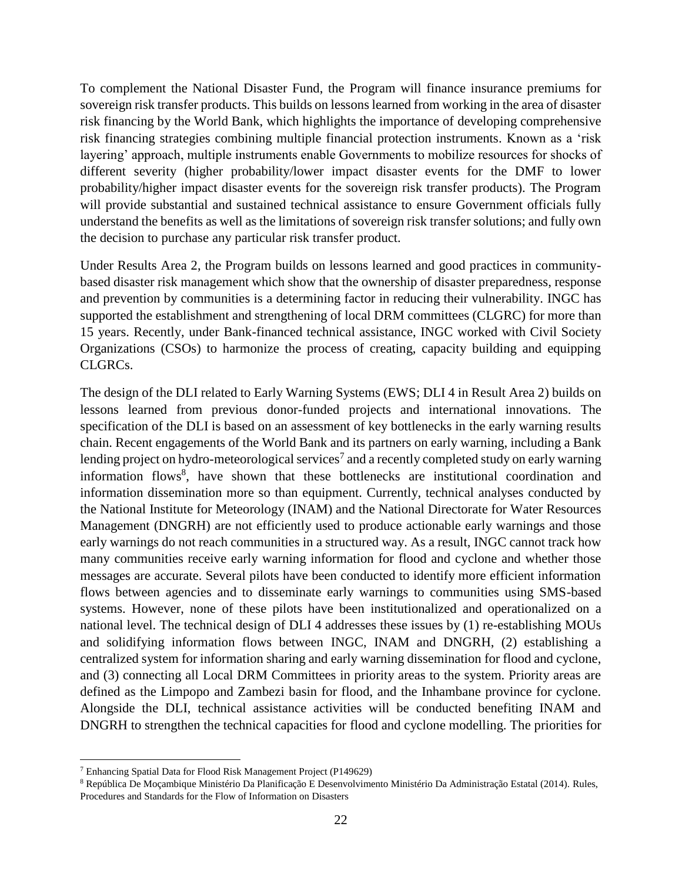To complement the National Disaster Fund, the Program will finance insurance premiums for sovereign risk transfer products. This builds on lessons learned from working in the area of disaster risk financing by the World Bank, which highlights the importance of developing comprehensive risk financing strategies combining multiple financial protection instruments. Known as a 'risk layering' approach, multiple instruments enable Governments to mobilize resources for shocks of different severity (higher probability/lower impact disaster events for the DMF to lower probability/higher impact disaster events for the sovereign risk transfer products). The Program will provide substantial and sustained technical assistance to ensure Government officials fully understand the benefits as well as the limitations of sovereign risk transfer solutions; and fully own the decision to purchase any particular risk transfer product.

Under Results Area 2, the Program builds on lessons learned and good practices in communitybased disaster risk management which show that the ownership of disaster preparedness, response and prevention by communities is a determining factor in reducing their vulnerability. INGC has supported the establishment and strengthening of local DRM committees (CLGRC) for more than 15 years. Recently, under Bank-financed technical assistance, INGC worked with Civil Society Organizations (CSOs) to harmonize the process of creating, capacity building and equipping CLGRCs.

The design of the DLI related to Early Warning Systems (EWS; DLI 4 in Result Area 2) builds on lessons learned from previous donor-funded projects and international innovations. The specification of the DLI is based on an assessment of key bottlenecks in the early warning results chain. Recent engagements of the World Bank and its partners on early warning, including a Bank lending project on hydro-meteorological services<sup>7</sup> and a recently completed study on early warning information flows<sup>8</sup>, have shown that these bottlenecks are institutional coordination and information dissemination more so than equipment. Currently, technical analyses conducted by the National Institute for Meteorology (INAM) and the National Directorate for Water Resources Management (DNGRH) are not efficiently used to produce actionable early warnings and those early warnings do not reach communities in a structured way. As a result, INGC cannot track how many communities receive early warning information for flood and cyclone and whether those messages are accurate. Several pilots have been conducted to identify more efficient information flows between agencies and to disseminate early warnings to communities using SMS-based systems. However, none of these pilots have been institutionalized and operationalized on a national level. The technical design of DLI 4 addresses these issues by (1) re-establishing MOUs and solidifying information flows between INGC, INAM and DNGRH, (2) establishing a centralized system for information sharing and early warning dissemination for flood and cyclone, and (3) connecting all Local DRM Committees in priority areas to the system. Priority areas are defined as the Limpopo and Zambezi basin for flood, and the Inhambane province for cyclone. Alongside the DLI, technical assistance activities will be conducted benefiting INAM and DNGRH to strengthen the technical capacities for flood and cyclone modelling. The priorities for

 $\overline{a}$ 

<sup>7</sup> Enhancing Spatial Data for Flood Risk Management Project (P149629)

<sup>8</sup> República De Moçambique Ministério Da Planificação E Desenvolvimento Ministério Da Administração Estatal (2014). Rules, Procedures and Standards for the Flow of Information on Disasters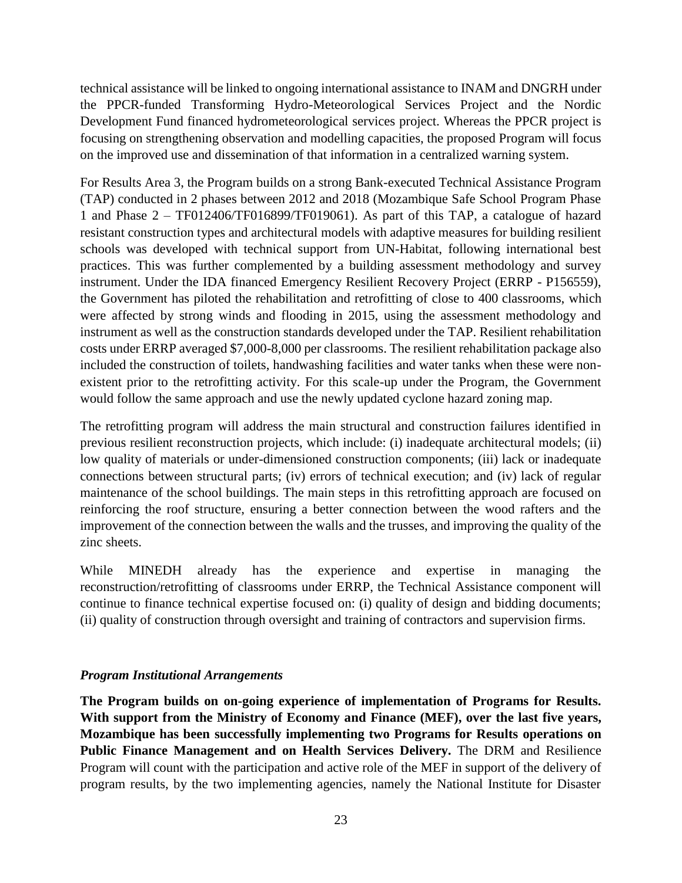technical assistance will be linked to ongoing international assistance to INAM and DNGRH under the PPCR-funded Transforming Hydro-Meteorological Services Project and the Nordic Development Fund financed hydrometeorological services project. Whereas the PPCR project is focusing on strengthening observation and modelling capacities, the proposed Program will focus on the improved use and dissemination of that information in a centralized warning system.

For Results Area 3, the Program builds on a strong Bank-executed Technical Assistance Program (TAP) conducted in 2 phases between 2012 and 2018 (Mozambique Safe School Program Phase 1 and Phase 2 – TF012406/TF016899/TF019061). As part of this TAP, a catalogue of hazard resistant construction types and architectural models with adaptive measures for building resilient schools was developed with technical support from UN-Habitat, following international best practices. This was further complemented by a building assessment methodology and survey instrument. Under the IDA financed Emergency Resilient Recovery Project (ERRP - P156559), the Government has piloted the rehabilitation and retrofitting of close to 400 classrooms, which were affected by strong winds and flooding in 2015, using the assessment methodology and instrument as well as the construction standards developed under the TAP. Resilient rehabilitation costs under ERRP averaged \$7,000-8,000 per classrooms. The resilient rehabilitation package also included the construction of toilets, handwashing facilities and water tanks when these were nonexistent prior to the retrofitting activity. For this scale-up under the Program, the Government would follow the same approach and use the newly updated cyclone hazard zoning map.

The retrofitting program will address the main structural and construction failures identified in previous resilient reconstruction projects, which include: (i) inadequate architectural models; (ii) low quality of materials or under-dimensioned construction components; (iii) lack or inadequate connections between structural parts; (iv) errors of technical execution; and (iv) lack of regular maintenance of the school buildings. The main steps in this retrofitting approach are focused on reinforcing the roof structure, ensuring a better connection between the wood rafters and the improvement of the connection between the walls and the trusses, and improving the quality of the zinc sheets.

While MINEDH already has the experience and expertise in managing the reconstruction/retrofitting of classrooms under ERRP, the Technical Assistance component will continue to finance technical expertise focused on: (i) quality of design and bidding documents; (ii) quality of construction through oversight and training of contractors and supervision firms.

#### <span id="page-22-0"></span>*Program Institutional Arrangements*

**The Program builds on on-going experience of implementation of Programs for Results. With support from the Ministry of Economy and Finance (MEF), over the last five years, Mozambique has been successfully implementing two Programs for Results operations on Public Finance Management and on Health Services Delivery.** The DRM and Resilience Program will count with the participation and active role of the MEF in support of the delivery of program results, by the two implementing agencies, namely the National Institute for Disaster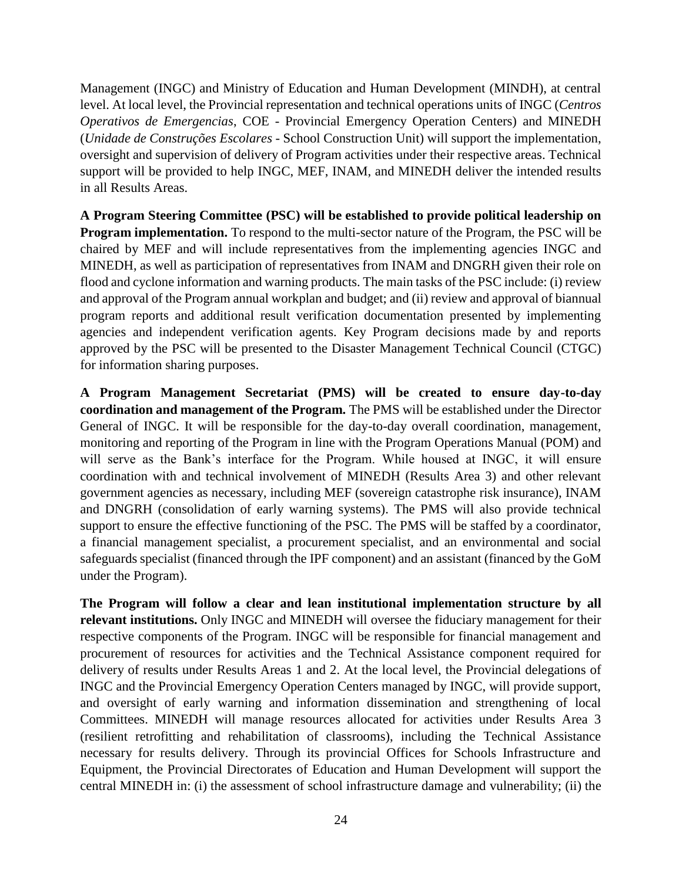Management (INGC) and Ministry of Education and Human Development (MINDH), at central level. At local level, the Provincial representation and technical operations units of INGC (*Centros Operativos de Emergencias*, COE - Provincial Emergency Operation Centers) and MINEDH (*Unidade de Construções Escolares* - School Construction Unit) will support the implementation, oversight and supervision of delivery of Program activities under their respective areas. Technical support will be provided to help INGC, MEF, INAM, and MINEDH deliver the intended results in all Results Areas.

**A Program Steering Committee (PSC) will be established to provide political leadership on Program implementation.** To respond to the multi-sector nature of the Program, the PSC will be chaired by MEF and will include representatives from the implementing agencies INGC and MINEDH, as well as participation of representatives from INAM and DNGRH given their role on flood and cyclone information and warning products. The main tasks of the PSC include: (i) review and approval of the Program annual workplan and budget; and (ii) review and approval of biannual program reports and additional result verification documentation presented by implementing agencies and independent verification agents. Key Program decisions made by and reports approved by the PSC will be presented to the Disaster Management Technical Council (CTGC) for information sharing purposes.

**A Program Management Secretariat (PMS) will be created to ensure day-to-day coordination and management of the Program.** The PMS will be established under the Director General of INGC. It will be responsible for the day-to-day overall coordination, management, monitoring and reporting of the Program in line with the Program Operations Manual (POM) and will serve as the Bank's interface for the Program. While housed at INGC, it will ensure coordination with and technical involvement of MINEDH (Results Area 3) and other relevant government agencies as necessary, including MEF (sovereign catastrophe risk insurance), INAM and DNGRH (consolidation of early warning systems). The PMS will also provide technical support to ensure the effective functioning of the PSC. The PMS will be staffed by a coordinator, a financial management specialist, a procurement specialist, and an environmental and social safeguards specialist (financed through the IPF component) and an assistant (financed by the GoM under the Program).

**The Program will follow a clear and lean institutional implementation structure by all relevant institutions.** Only INGC and MINEDH will oversee the fiduciary management for their respective components of the Program. INGC will be responsible for financial management and procurement of resources for activities and the Technical Assistance component required for delivery of results under Results Areas 1 and 2. At the local level, the Provincial delegations of INGC and the Provincial Emergency Operation Centers managed by INGC, will provide support, and oversight of early warning and information dissemination and strengthening of local Committees. MINEDH will manage resources allocated for activities under Results Area 3 (resilient retrofitting and rehabilitation of classrooms), including the Technical Assistance necessary for results delivery. Through its provincial Offices for Schools Infrastructure and Equipment, the Provincial Directorates of Education and Human Development will support the central MINEDH in: (i) the assessment of school infrastructure damage and vulnerability; (ii) the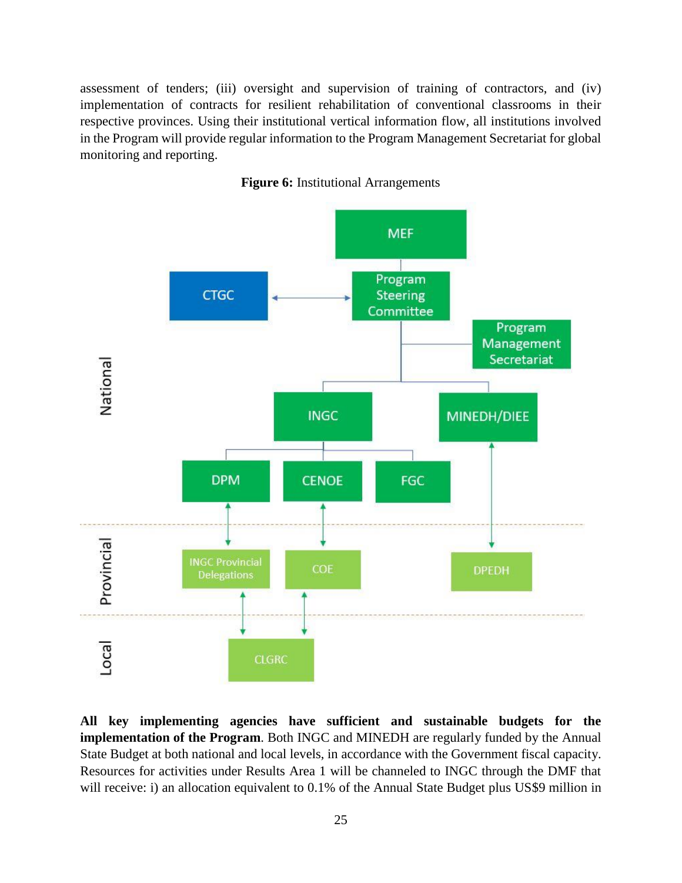assessment of tenders; (iii) oversight and supervision of training of contractors, and (iv) implementation of contracts for resilient rehabilitation of conventional classrooms in their respective provinces. Using their institutional vertical information flow, all institutions involved in the Program will provide regular information to the Program Management Secretariat for global monitoring and reporting.



**Figure 6:** Institutional Arrangements

**All key implementing agencies have sufficient and sustainable budgets for the implementation of the Program**. Both INGC and MINEDH are regularly funded by the Annual State Budget at both national and local levels, in accordance with the Government fiscal capacity. Resources for activities under Results Area 1 will be channeled to INGC through the DMF that will receive: i) an allocation equivalent to 0.1% of the Annual State Budget plus US\$9 million in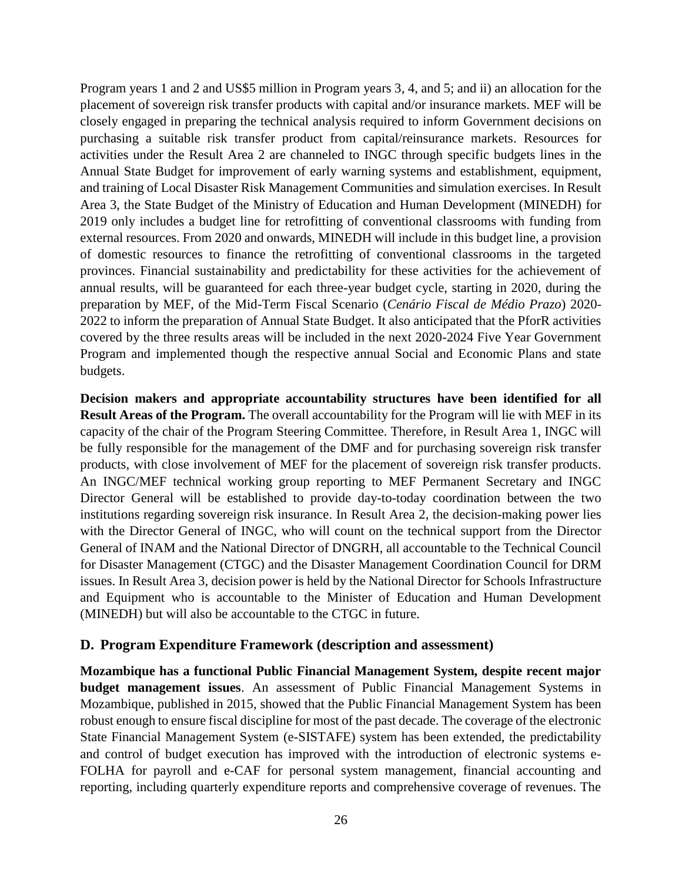Program years 1 and 2 and US\$5 million in Program years 3, 4, and 5; and ii) an allocation for the placement of sovereign risk transfer products with capital and/or insurance markets. MEF will be closely engaged in preparing the technical analysis required to inform Government decisions on purchasing a suitable risk transfer product from capital/reinsurance markets. Resources for activities under the Result Area 2 are channeled to INGC through specific budgets lines in the Annual State Budget for improvement of early warning systems and establishment, equipment, and training of Local Disaster Risk Management Communities and simulation exercises. In Result Area 3, the State Budget of the Ministry of Education and Human Development (MINEDH) for 2019 only includes a budget line for retrofitting of conventional classrooms with funding from external resources. From 2020 and onwards, MINEDH will include in this budget line, a provision of domestic resources to finance the retrofitting of conventional classrooms in the targeted provinces. Financial sustainability and predictability for these activities for the achievement of annual results, will be guaranteed for each three-year budget cycle, starting in 2020, during the preparation by MEF, of the Mid-Term Fiscal Scenario (*Cenário Fiscal de Médio Prazo*) 2020- 2022 to inform the preparation of Annual State Budget. It also anticipated that the PforR activities covered by the three results areas will be included in the next 2020-2024 Five Year Government Program and implemented though the respective annual Social and Economic Plans and state budgets.

**Decision makers and appropriate accountability structures have been identified for all Result Areas of the Program.** The overall accountability for the Program will lie with MEF in its capacity of the chair of the Program Steering Committee. Therefore, in Result Area 1, INGC will be fully responsible for the management of the DMF and for purchasing sovereign risk transfer products, with close involvement of MEF for the placement of sovereign risk transfer products. An INGC/MEF technical working group reporting to MEF Permanent Secretary and INGC Director General will be established to provide day-to-today coordination between the two institutions regarding sovereign risk insurance. In Result Area 2, the decision-making power lies with the Director General of INGC, who will count on the technical support from the Director General of INAM and the National Director of DNGRH, all accountable to the Technical Council for Disaster Management (CTGC) and the Disaster Management Coordination Council for DRM issues. In Result Area 3, decision power is held by the National Director for Schools Infrastructure and Equipment who is accountable to the Minister of Education and Human Development (MINEDH) but will also be accountable to the CTGC in future.

#### <span id="page-25-0"></span>**D. Program Expenditure Framework (description and assessment)**

**Mozambique has a functional Public Financial Management System, despite recent major budget management issues**. An assessment of Public Financial Management Systems in Mozambique, published in 2015, showed that the Public Financial Management System has been robust enough to ensure fiscal discipline for most of the past decade. The coverage of the electronic State Financial Management System (e-SISTAFE) system has been extended, the predictability and control of budget execution has improved with the introduction of electronic systems e-FOLHA for payroll and e-CAF for personal system management, financial accounting and reporting, including quarterly expenditure reports and comprehensive coverage of revenues. The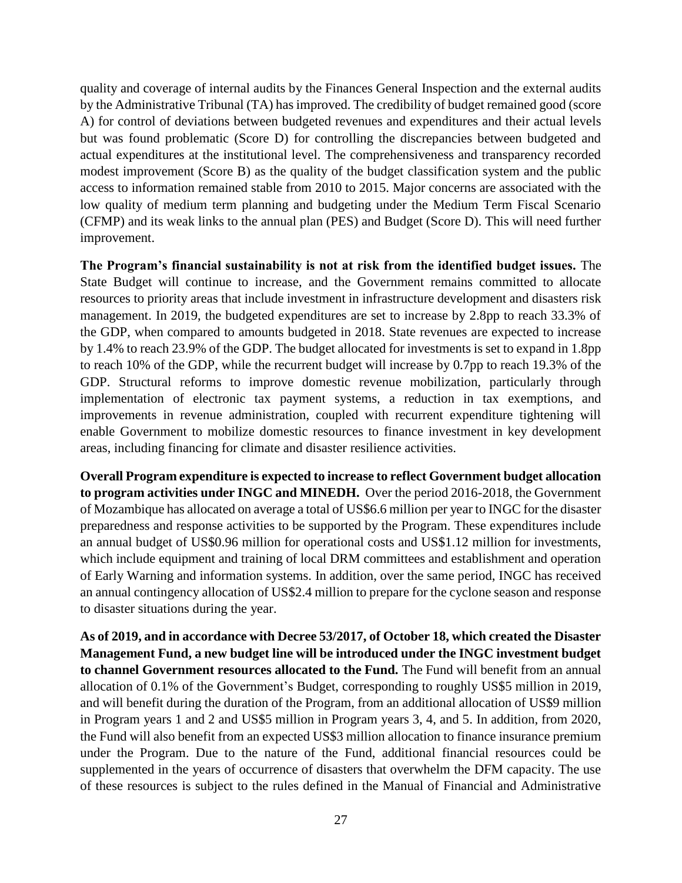quality and coverage of internal audits by the Finances General Inspection and the external audits by the Administrative Tribunal (TA) has improved. The credibility of budget remained good (score A) for control of deviations between budgeted revenues and expenditures and their actual levels but was found problematic (Score D) for controlling the discrepancies between budgeted and actual expenditures at the institutional level. The comprehensiveness and transparency recorded modest improvement (Score B) as the quality of the budget classification system and the public access to information remained stable from 2010 to 2015. Major concerns are associated with the low quality of medium term planning and budgeting under the Medium Term Fiscal Scenario (CFMP) and its weak links to the annual plan (PES) and Budget (Score D). This will need further improvement.

**The Program's financial sustainability is not at risk from the identified budget issues.** The State Budget will continue to increase, and the Government remains committed to allocate resources to priority areas that include investment in infrastructure development and disasters risk management. In 2019, the budgeted expenditures are set to increase by 2.8pp to reach 33.3% of the GDP, when compared to amounts budgeted in 2018. State revenues are expected to increase by 1.4% to reach 23.9% of the GDP. The budget allocated for investments is set to expand in 1.8pp to reach 10% of the GDP, while the recurrent budget will increase by 0.7pp to reach 19.3% of the GDP. Structural reforms to improve domestic revenue mobilization, particularly through implementation of electronic tax payment systems, a reduction in tax exemptions, and improvements in revenue administration, coupled with recurrent expenditure tightening will enable Government to mobilize domestic resources to finance investment in key development areas, including financing for climate and disaster resilience activities.

**Overall Program expenditure is expected to increase to reflect Government budget allocation to program activities under INGC and MINEDH.** Over the period 2016-2018, the Government of Mozambique has allocated on average a total of US\$6.6 million per year to INGC for the disaster preparedness and response activities to be supported by the Program. These expenditures include an annual budget of US\$0.96 million for operational costs and US\$1.12 million for investments, which include equipment and training of local DRM committees and establishment and operation of Early Warning and information systems. In addition, over the same period, INGC has received an annual contingency allocation of US\$2.4 million to prepare for the cyclone season and response to disaster situations during the year.

**As of 2019, and in accordance with Decree 53/2017, of October 18, which created the Disaster Management Fund, a new budget line will be introduced under the INGC investment budget to channel Government resources allocated to the Fund.** The Fund will benefit from an annual allocation of 0.1% of the Government's Budget, corresponding to roughly US\$5 million in 2019, and will benefit during the duration of the Program, from an additional allocation of US\$9 million in Program years 1 and 2 and US\$5 million in Program years 3, 4, and 5. In addition, from 2020, the Fund will also benefit from an expected US\$3 million allocation to finance insurance premium under the Program. Due to the nature of the Fund, additional financial resources could be supplemented in the years of occurrence of disasters that overwhelm the DFM capacity. The use of these resources is subject to the rules defined in the Manual of Financial and Administrative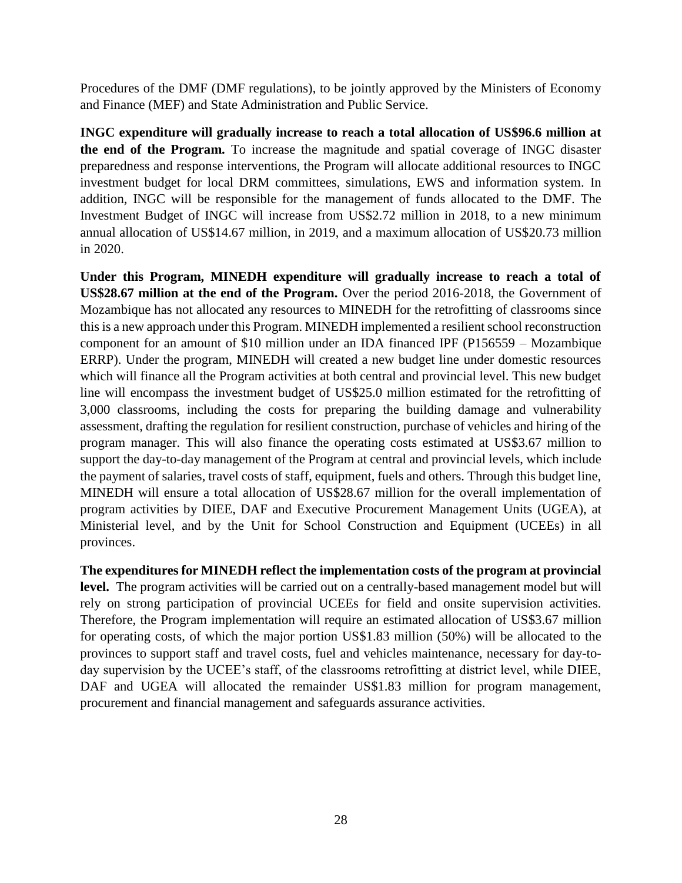Procedures of the DMF (DMF regulations), to be jointly approved by the Ministers of Economy and Finance (MEF) and State Administration and Public Service.

**INGC expenditure will gradually increase to reach a total allocation of US\$96.6 million at the end of the Program.** To increase the magnitude and spatial coverage of INGC disaster preparedness and response interventions, the Program will allocate additional resources to INGC investment budget for local DRM committees, simulations, EWS and information system. In addition, INGC will be responsible for the management of funds allocated to the DMF. The Investment Budget of INGC will increase from US\$2.72 million in 2018, to a new minimum annual allocation of US\$14.67 million, in 2019, and a maximum allocation of US\$20.73 million in 2020.

**Under this Program, MINEDH expenditure will gradually increase to reach a total of US\$28.67 million at the end of the Program.** Over the period 2016-2018, the Government of Mozambique has not allocated any resources to MINEDH for the retrofitting of classrooms since this is a new approach under this Program. MINEDH implemented a resilient school reconstruction component for an amount of \$10 million under an IDA financed IPF (P156559 – Mozambique ERRP). Under the program, MINEDH will created a new budget line under domestic resources which will finance all the Program activities at both central and provincial level. This new budget line will encompass the investment budget of US\$25.0 million estimated for the retrofitting of 3,000 classrooms, including the costs for preparing the building damage and vulnerability assessment, drafting the regulation for resilient construction, purchase of vehicles and hiring of the program manager. This will also finance the operating costs estimated at US\$3.67 million to support the day-to-day management of the Program at central and provincial levels, which include the payment of salaries, travel costs of staff, equipment, fuels and others. Through this budget line, MINEDH will ensure a total allocation of US\$28.67 million for the overall implementation of program activities by DIEE, DAF and Executive Procurement Management Units (UGEA), at Ministerial level, and by the Unit for School Construction and Equipment (UCEEs) in all provinces.

**The expenditures for MINEDH reflect the implementation costs of the program at provincial**  level. The program activities will be carried out on a centrally-based management model but will rely on strong participation of provincial UCEEs for field and onsite supervision activities. Therefore, the Program implementation will require an estimated allocation of US\$3.67 million for operating costs, of which the major portion US\$1.83 million (50%) will be allocated to the provinces to support staff and travel costs, fuel and vehicles maintenance, necessary for day-today supervision by the UCEE's staff, of the classrooms retrofitting at district level, while DIEE, DAF and UGEA will allocated the remainder US\$1.83 million for program management, procurement and financial management and safeguards assurance activities.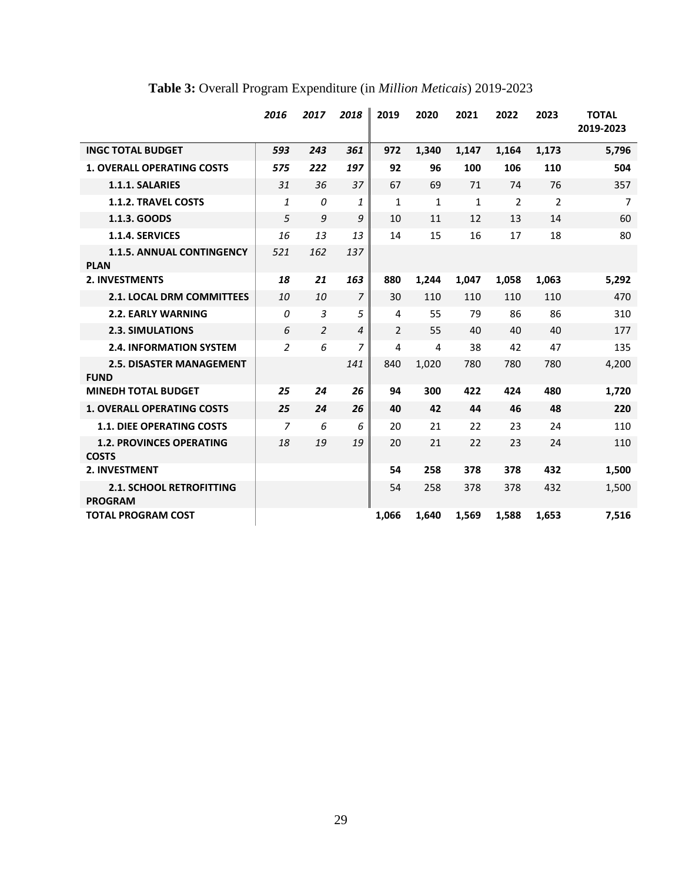|                                                   | 2016           | 2017           | 2018           | 2019           | 2020         | 2021         | 2022           | 2023           | <b>TOTAL</b><br>2019-2023 |
|---------------------------------------------------|----------------|----------------|----------------|----------------|--------------|--------------|----------------|----------------|---------------------------|
| <b>INGC TOTAL BUDGET</b>                          | 593            | 243            | 361            | 972            | 1,340        | 1,147        | 1,164          | 1,173          | 5,796                     |
| <b>1. OVERALL OPERATING COSTS</b>                 | 575            | 222            | 197            | 92             | 96           | 100          | 106            | 110            | 504                       |
| 1.1.1. SALARIES                                   | 31             | 36             | 37             | 67             | 69           | 71           | 74             | 76             | 357                       |
| <b>1.1.2. TRAVEL COSTS</b>                        | 1              | 0              | 1              | $\mathbf{1}$   | $\mathbf{1}$ | $\mathbf{1}$ | $\overline{2}$ | $\overline{2}$ | $\overline{7}$            |
| 1.1.3. GOODS                                      | 5              | 9              | 9              | 10             | 11           | 12           | 13             | 14             | 60                        |
| 1.1.4. SERVICES                                   | 16             | 13             | 13             | 14             | 15           | 16           | 17             | 18             | 80                        |
| <b>1.1.5. ANNUAL CONTINGENCY</b><br><b>PLAN</b>   | 521            | 162            | 137            |                |              |              |                |                |                           |
| <b>2. INVESTMENTS</b>                             | 18             | 21             | 163            | 880            | 1,244        | 1,047        | 1,058          | 1,063          | 5,292                     |
| <b>2.1. LOCAL DRM COMMITTEES</b>                  | 10             | 10             | 7              | 30             | 110          | 110          | 110            | 110            | 470                       |
| <b>2.2. EARLY WARNING</b>                         | 0              | $\overline{3}$ | 5              | 4              | 55           | 79           | 86             | 86             | 310                       |
| <b>2.3. SIMULATIONS</b>                           | 6              | 2              | $\overline{4}$ | $\overline{2}$ | 55           | 40           | 40             | 40             | 177                       |
| <b>2.4. INFORMATION SYSTEM</b>                    | $\overline{a}$ | 6              | 7              | 4              | 4            | 38           | 42             | 47             | 135                       |
| <b>2.5. DISASTER MANAGEMENT</b><br><b>FUND</b>    |                |                | 141            | 840            | 1,020        | 780          | 780            | 780            | 4,200                     |
| <b>MINEDH TOTAL BUDGET</b>                        | 25             | 24             | 26             | 94             | 300          | 422          | 424            | 480            | 1,720                     |
| <b>1. OVERALL OPERATING COSTS</b>                 | 25             | 24             | 26             | 40             | 42           | 44           | 46             | 48             | 220                       |
| <b>1.1. DIEE OPERATING COSTS</b>                  | $\overline{z}$ | 6              | 6              | 20             | 21           | 22           | 23             | 24             | 110                       |
| <b>1.2. PROVINCES OPERATING</b><br><b>COSTS</b>   | 18             | 19             | 19             | 20             | 21           | 22           | 23             | 24             | 110                       |
| 2. INVESTMENT                                     |                |                |                | 54             | 258          | 378          | 378            | 432            | 1,500                     |
| <b>2.1. SCHOOL RETROFITTING</b><br><b>PROGRAM</b> |                |                |                | 54             | 258          | 378          | 378            | 432            | 1,500                     |
| <b>TOTAL PROGRAM COST</b>                         |                |                |                | 1,066          | 1,640        | 1,569        | 1,588          | 1.653          | 7,516                     |

# **Table 3:** Overall Program Expenditure (in *Million Meticais*) 2019-2023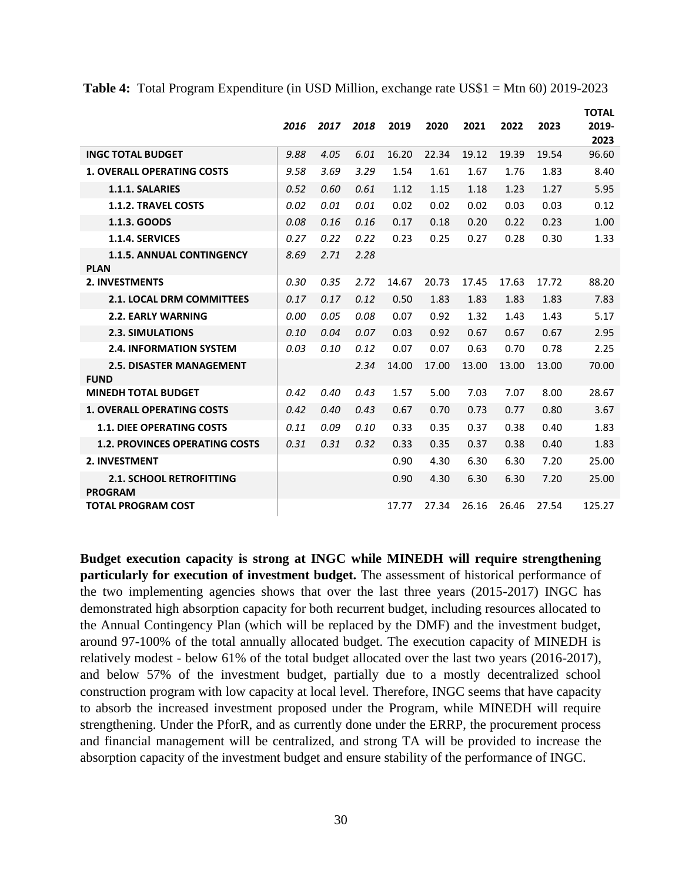|                                                   | 2016 | 2017 | 2018 | 2019  | 2020  | 2021  | 2022  | 2023  | <b>TOTAL</b><br>2019-<br>2023 |
|---------------------------------------------------|------|------|------|-------|-------|-------|-------|-------|-------------------------------|
| <b>INGC TOTAL BUDGET</b>                          | 9.88 | 4.05 | 6.01 | 16.20 | 22.34 | 19.12 | 19.39 | 19.54 | 96.60                         |
| <b>1. OVERALL OPERATING COSTS</b>                 | 9.58 | 3.69 | 3.29 | 1.54  | 1.61  | 1.67  | 1.76  | 1.83  | 8.40                          |
| 1.1.1. SALARIES                                   | 0.52 | 0.60 | 0.61 | 1.12  | 1.15  | 1.18  | 1.23  | 1.27  | 5.95                          |
| <b>1.1.2. TRAVEL COSTS</b>                        | 0.02 | 0.01 | 0.01 | 0.02  | 0.02  | 0.02  | 0.03  | 0.03  | 0.12                          |
| 1.1.3. GOODS                                      | 0.08 | 0.16 | 0.16 | 0.17  | 0.18  | 0.20  | 0.22  | 0.23  | 1.00                          |
| 1.1.4. SERVICES                                   | 0.27 | 0.22 | 0.22 | 0.23  | 0.25  | 0.27  | 0.28  | 0.30  | 1.33                          |
| <b>1.1.5. ANNUAL CONTINGENCY</b><br><b>PLAN</b>   | 8.69 | 2.71 | 2.28 |       |       |       |       |       |                               |
| <b>2. INVESTMENTS</b>                             | 0.30 | 0.35 | 2.72 | 14.67 | 20.73 | 17.45 | 17.63 | 17.72 | 88.20                         |
| 2.1. LOCAL DRM COMMITTEES                         | 0.17 | 0.17 | 0.12 | 0.50  | 1.83  | 1.83  | 1.83  | 1.83  | 7.83                          |
| <b>2.2. EARLY WARNING</b>                         | 0.00 | 0.05 | 0.08 | 0.07  | 0.92  | 1.32  | 1.43  | 1.43  | 5.17                          |
| <b>2.3. SIMULATIONS</b>                           | 0.10 | 0.04 | 0.07 | 0.03  | 0.92  | 0.67  | 0.67  | 0.67  | 2.95                          |
| <b>2.4. INFORMATION SYSTEM</b>                    | 0.03 | 0.10 | 0.12 | 0.07  | 0.07  | 0.63  | 0.70  | 0.78  | 2.25                          |
| <b>2.5. DISASTER MANAGEMENT</b><br><b>FUND</b>    |      |      | 2.34 | 14.00 | 17.00 | 13.00 | 13.00 | 13.00 | 70.00                         |
| <b>MINEDH TOTAL BUDGET</b>                        | 0.42 | 0.40 | 0.43 | 1.57  | 5.00  | 7.03  | 7.07  | 8.00  | 28.67                         |
| <b>1. OVERALL OPERATING COSTS</b>                 | 0.42 | 0.40 | 0.43 | 0.67  | 0.70  | 0.73  | 0.77  | 0.80  | 3.67                          |
| <b>1.1. DIEE OPERATING COSTS</b>                  | 0.11 | 0.09 | 0.10 | 0.33  | 0.35  | 0.37  | 0.38  | 0.40  | 1.83                          |
| <b>1.2. PROVINCES OPERATING COSTS</b>             | 0.31 | 0.31 | 0.32 | 0.33  | 0.35  | 0.37  | 0.38  | 0.40  | 1.83                          |
| 2. INVESTMENT                                     |      |      |      | 0.90  | 4.30  | 6.30  | 6.30  | 7.20  | 25.00                         |
| <b>2.1. SCHOOL RETROFITTING</b><br><b>PROGRAM</b> |      |      |      | 0.90  | 4.30  | 6.30  | 6.30  | 7.20  | 25.00                         |
| <b>TOTAL PROGRAM COST</b>                         |      |      |      | 17.77 | 27.34 | 26.16 | 26.46 | 27.54 | 125.27                        |

**Table 4:** Total Program Expenditure (in USD Million, exchange rate US\$1 = Mtn 60) 2019-2023

**Budget execution capacity is strong at INGC while MINEDH will require strengthening particularly for execution of investment budget.** The assessment of historical performance of the two implementing agencies shows that over the last three years (2015-2017) INGC has demonstrated high absorption capacity for both recurrent budget, including resources allocated to the Annual Contingency Plan (which will be replaced by the DMF) and the investment budget, around 97-100% of the total annually allocated budget. The execution capacity of MINEDH is relatively modest - below 61% of the total budget allocated over the last two years (2016-2017), and below 57% of the investment budget, partially due to a mostly decentralized school construction program with low capacity at local level. Therefore, INGC seems that have capacity to absorb the increased investment proposed under the Program, while MINEDH will require strengthening. Under the PforR, and as currently done under the ERRP, the procurement process and financial management will be centralized, and strong TA will be provided to increase the absorption capacity of the investment budget and ensure stability of the performance of INGC.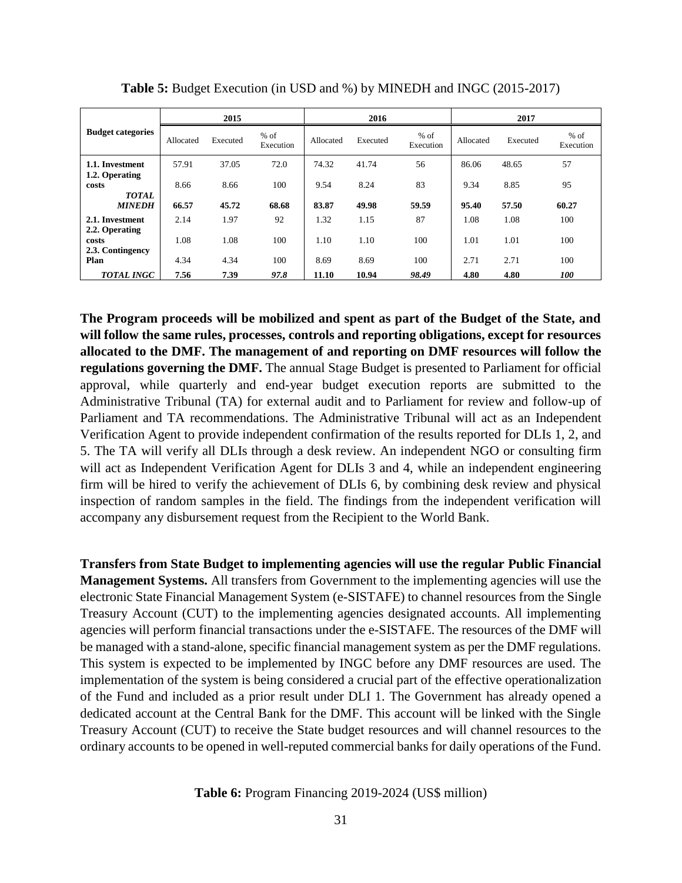|                                             | 2015      |          |                     | 2016      |          |                     | 2017      |          |                     |
|---------------------------------------------|-----------|----------|---------------------|-----------|----------|---------------------|-----------|----------|---------------------|
| <b>Budget categories</b>                    | Allocated | Executed | $%$ of<br>Execution | Allocated | Executed | $%$ of<br>Execution | Allocated | Executed | $%$ of<br>Execution |
| 1.1. Investment                             | 57.91     | 37.05    | 72.0                | 74.32     | 41.74    | 56                  | 86.06     | 48.65    | 57                  |
| 1.2. Operating<br>costs<br><b>TOTAL</b>     | 8.66      | 8.66     | 100                 | 9.54      | 8.24     | 83                  | 9.34      | 8.85     | 95                  |
| <b>MINEDH</b>                               | 66.57     | 45.72    | 68.68               | 83.87     | 49.98    | 59.59               | 95.40     | 57.50    | 60.27               |
| 2.1. Investment                             | 2.14      | 1.97     | 92                  | 1.32      | 1.15     | 87                  | 1.08      | 1.08     | 100                 |
| 2.2. Operating<br>costs<br>2.3. Contingency | 1.08      | 1.08     | 100                 | 1.10      | 1.10     | 100                 | 1.01      | 1.01     | 100                 |
| Plan                                        | 4.34      | 4.34     | 100                 | 8.69      | 8.69     | 100                 | 2.71      | 2.71     | 100                 |
| <b>TOTAL INGC</b>                           | 7.56      | 7.39     | 97.8                | 11.10     | 10.94    | 98.49               | 4.80      | 4.80     | <i>100</i>          |

**Table 5:** Budget Execution (in USD and %) by MINEDH and INGC (2015-2017)

**The Program proceeds will be mobilized and spent as part of the Budget of the State, and will follow the same rules, processes, controls and reporting obligations, except for resources allocated to the DMF. The management of and reporting on DMF resources will follow the regulations governing the DMF.** The annual Stage Budget is presented to Parliament for official approval, while quarterly and end-year budget execution reports are submitted to the Administrative Tribunal (TA) for external audit and to Parliament for review and follow-up of Parliament and TA recommendations. The Administrative Tribunal will act as an Independent Verification Agent to provide independent confirmation of the results reported for DLIs 1, 2, and 5. The TA will verify all DLIs through a desk review. An independent NGO or consulting firm will act as Independent Verification Agent for DLIs 3 and 4, while an independent engineering firm will be hired to verify the achievement of DLIs 6, by combining desk review and physical inspection of random samples in the field. The findings from the independent verification will accompany any disbursement request from the Recipient to the World Bank.

**Transfers from State Budget to implementing agencies will use the regular Public Financial Management Systems.** All transfers from Government to the implementing agencies will use the electronic State Financial Management System (e-SISTAFE) to channel resources from the Single Treasury Account (CUT) to the implementing agencies designated accounts. All implementing agencies will perform financial transactions under the e-SISTAFE. The resources of the DMF will be managed with a stand-alone, specific financial management system as per the DMF regulations. This system is expected to be implemented by INGC before any DMF resources are used. The implementation of the system is being considered a crucial part of the effective operationalization of the Fund and included as a prior result under DLI 1. The Government has already opened a dedicated account at the Central Bank for the DMF. This account will be linked with the Single Treasury Account (CUT) to receive the State budget resources and will channel resources to the ordinary accounts to be opened in well-reputed commercial banks for daily operations of the Fund.

**Table 6:** Program Financing 2019-2024 (US\$ million)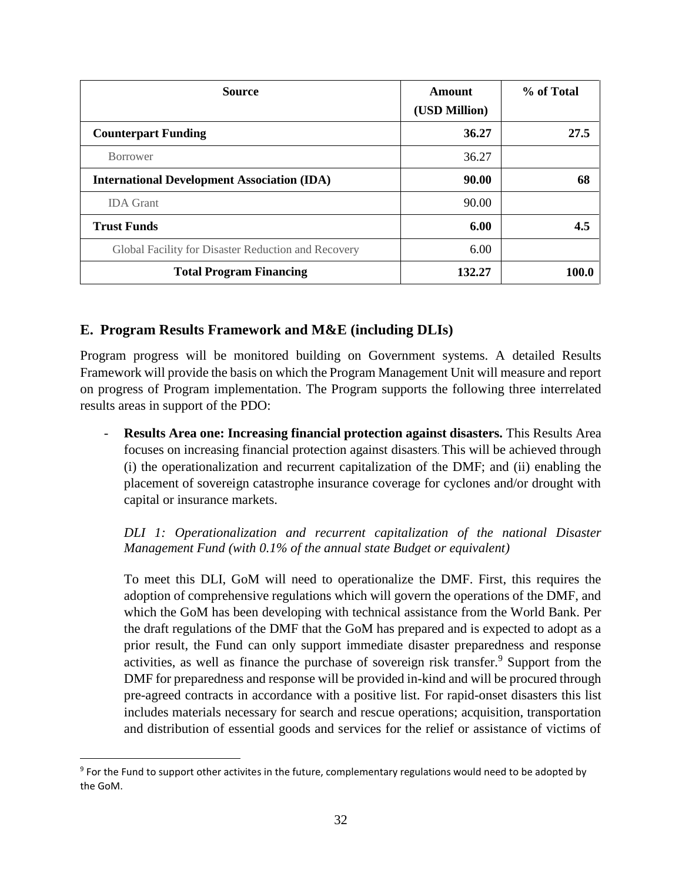| <b>Source</b>                                       | Amount<br>(USD Million) | % of Total |
|-----------------------------------------------------|-------------------------|------------|
| <b>Counterpart Funding</b>                          | 36.27                   | 27.5       |
| <b>Borrower</b>                                     | 36.27                   |            |
| <b>International Development Association (IDA)</b>  | 90.00                   | 68         |
| <b>IDA</b> Grant                                    | 90.00                   |            |
| <b>Trust Funds</b>                                  | 6.00                    | 4.5        |
| Global Facility for Disaster Reduction and Recovery | 6.00                    |            |
| <b>Total Program Financing</b>                      | 132.27                  | 100.0      |

## <span id="page-31-0"></span>**E. Program Results Framework and M&E (including DLIs)**

Program progress will be monitored building on Government systems. A detailed Results Framework will provide the basis on which the Program Management Unit will measure and report on progress of Program implementation. The Program supports the following three interrelated results areas in support of the PDO:

- **Results Area one: Increasing financial protection against disasters.** This Results Area focuses on increasing financial protection against disasters. This will be achieved through (i) the operationalization and recurrent capitalization of the DMF; and (ii) enabling the placement of sovereign catastrophe insurance coverage for cyclones and/or drought with capital or insurance markets.

*DLI 1: Operationalization and recurrent capitalization of the national Disaster Management Fund (with 0.1% of the annual state Budget or equivalent)*

To meet this DLI, GoM will need to operationalize the DMF. First, this requires the adoption of comprehensive regulations which will govern the operations of the DMF, and which the GoM has been developing with technical assistance from the World Bank. Per the draft regulations of the DMF that the GoM has prepared and is expected to adopt as a prior result, the Fund can only support immediate disaster preparedness and response activities, as well as finance the purchase of sovereign risk transfer.<sup>9</sup> Support from the DMF for preparedness and response will be provided in-kind and will be procured through pre-agreed contracts in accordance with a positive list. For rapid-onset disasters this list includes materials necessary for search and rescue operations; acquisition, transportation and distribution of essential goods and services for the relief or assistance of victims of

 $\overline{a}$ 

<sup>&</sup>lt;sup>9</sup> For the Fund to support other activites in the future, complementary regulations would need to be adopted by the GoM.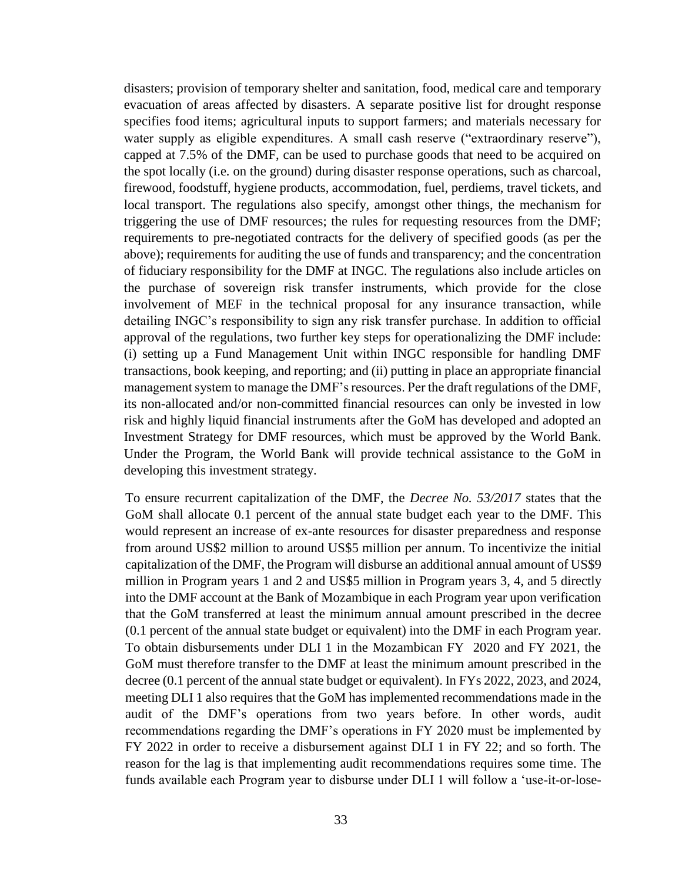disasters; provision of temporary shelter and sanitation, food, medical care and temporary evacuation of areas affected by disasters. A separate positive list for drought response specifies food items; agricultural inputs to support farmers; and materials necessary for water supply as eligible expenditures. A small cash reserve ("extraordinary reserve"), capped at 7.5% of the DMF, can be used to purchase goods that need to be acquired on the spot locally (i.e. on the ground) during disaster response operations, such as charcoal, firewood, foodstuff, hygiene products, accommodation, fuel, perdiems, travel tickets, and local transport. The regulations also specify, amongst other things, the mechanism for triggering the use of DMF resources; the rules for requesting resources from the DMF; requirements to pre-negotiated contracts for the delivery of specified goods (as per the above); requirements for auditing the use of funds and transparency; and the concentration of fiduciary responsibility for the DMF at INGC. The regulations also include articles on the purchase of sovereign risk transfer instruments, which provide for the close involvement of MEF in the technical proposal for any insurance transaction, while detailing INGC's responsibility to sign any risk transfer purchase. In addition to official approval of the regulations, two further key steps for operationalizing the DMF include: (i) setting up a Fund Management Unit within INGC responsible for handling DMF transactions, book keeping, and reporting; and (ii) putting in place an appropriate financial management system to manage the DMF's resources. Per the draft regulations of the DMF, its non-allocated and/or non-committed financial resources can only be invested in low risk and highly liquid financial instruments after the GoM has developed and adopted an Investment Strategy for DMF resources, which must be approved by the World Bank. Under the Program, the World Bank will provide technical assistance to the GoM in developing this investment strategy.

To ensure recurrent capitalization of the DMF, the *Decree No. 53/2017* states that the GoM shall allocate 0.1 percent of the annual state budget each year to the DMF. This would represent an increase of ex-ante resources for disaster preparedness and response from around US\$2 million to around US\$5 million per annum. To incentivize the initial capitalization of the DMF, the Program will disburse an additional annual amount of US\$9 million in Program years 1 and 2 and US\$5 million in Program years 3, 4, and 5 directly into the DMF account at the Bank of Mozambique in each Program year upon verification that the GoM transferred at least the minimum annual amount prescribed in the decree (0.1 percent of the annual state budget or equivalent) into the DMF in each Program year. To obtain disbursements under DLI 1 in the Mozambican FY 2020 and FY 2021, the GoM must therefore transfer to the DMF at least the minimum amount prescribed in the decree (0.1 percent of the annual state budget or equivalent). In FYs 2022, 2023, and 2024, meeting DLI 1 also requires that the GoM has implemented recommendations made in the audit of the DMF's operations from two years before. In other words, audit recommendations regarding the DMF's operations in FY 2020 must be implemented by FY 2022 in order to receive a disbursement against DLI 1 in FY 22; and so forth. The reason for the lag is that implementing audit recommendations requires some time. The funds available each Program year to disburse under DLI 1 will follow a 'use-it-or-lose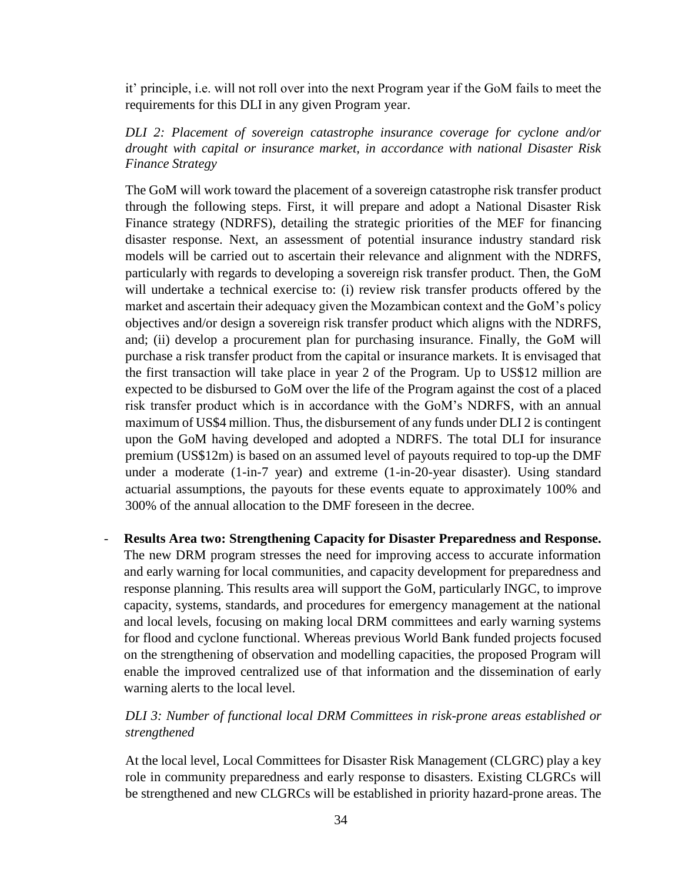it' principle, i.e. will not roll over into the next Program year if the GoM fails to meet the requirements for this DLI in any given Program year.

#### *DLI 2: Placement of sovereign catastrophe insurance coverage for cyclone and/or drought with capital or insurance market, in accordance with national Disaster Risk Finance Strategy*

The GoM will work toward the placement of a sovereign catastrophe risk transfer product through the following steps. First, it will prepare and adopt a National Disaster Risk Finance strategy (NDRFS), detailing the strategic priorities of the MEF for financing disaster response. Next, an assessment of potential insurance industry standard risk models will be carried out to ascertain their relevance and alignment with the NDRFS, particularly with regards to developing a sovereign risk transfer product. Then, the GoM will undertake a technical exercise to: (i) review risk transfer products offered by the market and ascertain their adequacy given the Mozambican context and the GoM's policy objectives and/or design a sovereign risk transfer product which aligns with the NDRFS, and; (ii) develop a procurement plan for purchasing insurance. Finally, the GoM will purchase a risk transfer product from the capital or insurance markets. It is envisaged that the first transaction will take place in year 2 of the Program. Up to US\$12 million are expected to be disbursed to GoM over the life of the Program against the cost of a placed risk transfer product which is in accordance with the GoM's NDRFS, with an annual maximum of US\$4 million. Thus, the disbursement of any funds under DLI 2 is contingent upon the GoM having developed and adopted a NDRFS. The total DLI for insurance premium (US\$12m) is based on an assumed level of payouts required to top-up the DMF under a moderate (1-in-7 year) and extreme (1-in-20-year disaster). Using standard actuarial assumptions, the payouts for these events equate to approximately 100% and 300% of the annual allocation to the DMF foreseen in the decree.

- **Results Area two: Strengthening Capacity for Disaster Preparedness and Response.**  The new DRM program stresses the need for improving access to accurate information and early warning for local communities, and capacity development for preparedness and response planning. This results area will support the GoM, particularly INGC, to improve capacity, systems, standards, and procedures for emergency management at the national and local levels, focusing on making local DRM committees and early warning systems for flood and cyclone functional. Whereas previous World Bank funded projects focused on the strengthening of observation and modelling capacities, the proposed Program will enable the improved centralized use of that information and the dissemination of early warning alerts to the local level.

## *DLI 3: Number of functional local DRM Committees in risk-prone areas established or strengthened*

At the local level, Local Committees for Disaster Risk Management (CLGRC) play a key role in community preparedness and early response to disasters. Existing CLGRCs will be strengthened and new CLGRCs will be established in priority hazard-prone areas. The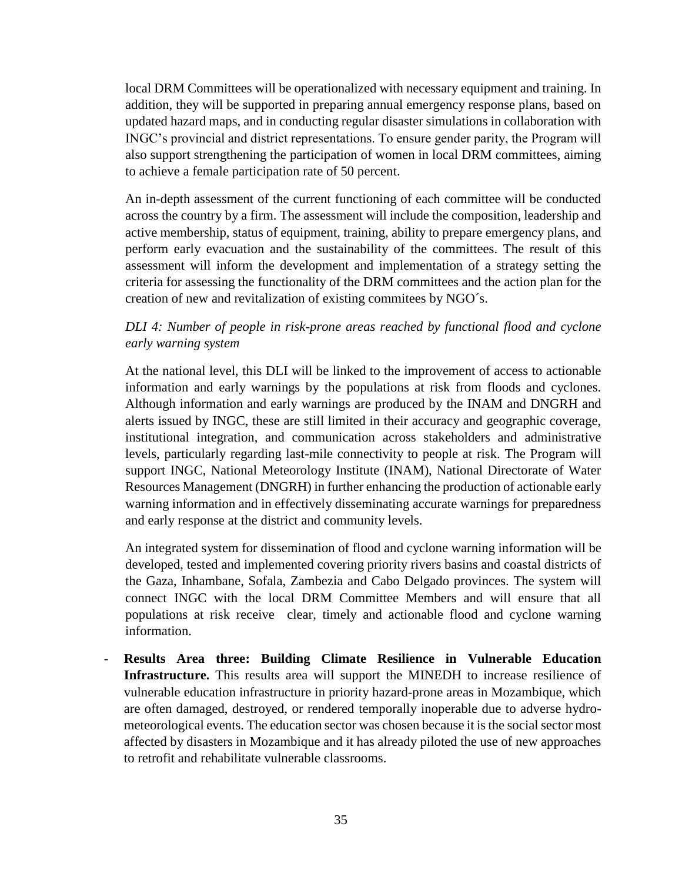local DRM Committees will be operationalized with necessary equipment and training. In addition, they will be supported in preparing annual emergency response plans, based on updated hazard maps, and in conducting regular disaster simulations in collaboration with INGC's provincial and district representations. To ensure gender parity, the Program will also support strengthening the participation of women in local DRM committees, aiming to achieve a female participation rate of 50 percent.

An in-depth assessment of the current functioning of each committee will be conducted across the country by a firm. The assessment will include the composition, leadership and active membership, status of equipment, training, ability to prepare emergency plans, and perform early evacuation and the sustainability of the committees. The result of this assessment will inform the development and implementation of a strategy setting the criteria for assessing the functionality of the DRM committees and the action plan for the creation of new and revitalization of existing commitees by NGO´s.

#### *DLI 4: Number of people in risk-prone areas reached by functional flood and cyclone early warning system*

At the national level, this DLI will be linked to the improvement of access to actionable information and early warnings by the populations at risk from floods and cyclones. Although information and early warnings are produced by the INAM and DNGRH and alerts issued by INGC, these are still limited in their accuracy and geographic coverage, institutional integration, and communication across stakeholders and administrative levels, particularly regarding last-mile connectivity to people at risk. The Program will support INGC, National Meteorology Institute (INAM), National Directorate of Water Resources Management (DNGRH) in further enhancing the production of actionable early warning information and in effectively disseminating accurate warnings for preparedness and early response at the district and community levels.

An integrated system for dissemination of flood and cyclone warning information will be developed, tested and implemented covering priority rivers basins and coastal districts of the Gaza, Inhambane, Sofala, Zambezia and Cabo Delgado provinces. The system will connect INGC with the local DRM Committee Members and will ensure that all populations at risk receive clear, timely and actionable flood and cyclone warning information.

- **Results Area three: Building Climate Resilience in Vulnerable Education Infrastructure.** This results area will support the MINEDH to increase resilience of vulnerable education infrastructure in priority hazard-prone areas in Mozambique, which are often damaged, destroyed, or rendered temporally inoperable due to adverse hydrometeorological events. The education sector was chosen because it is the social sector most affected by disasters in Mozambique and it has already piloted the use of new approaches to retrofit and rehabilitate vulnerable classrooms.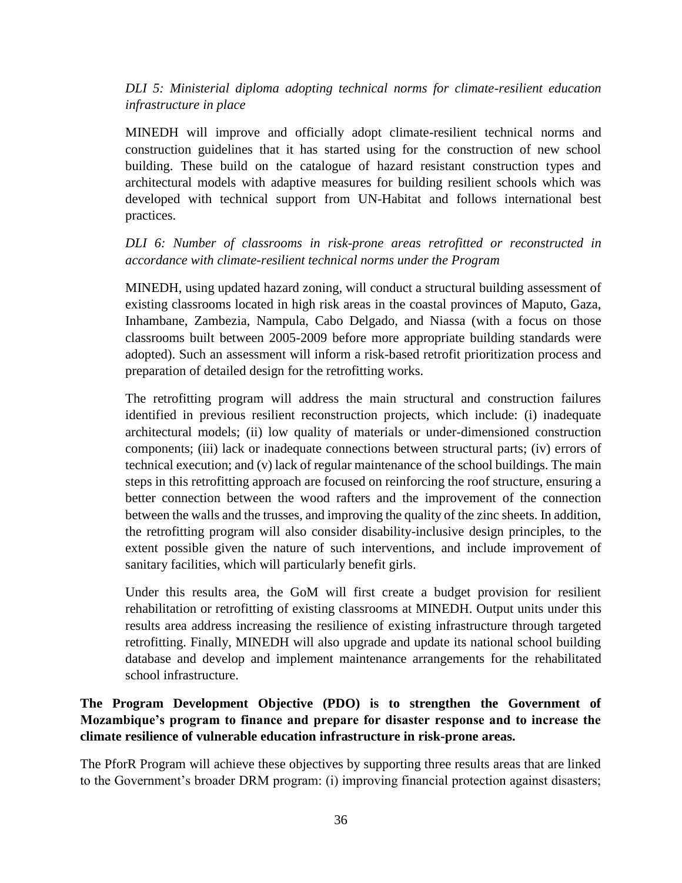*DLI 5: Ministerial diploma adopting technical norms for climate-resilient education infrastructure in place*

MINEDH will improve and officially adopt climate-resilient technical norms and construction guidelines that it has started using for the construction of new school building. These build on the catalogue of hazard resistant construction types and architectural models with adaptive measures for building resilient schools which was developed with technical support from UN-Habitat and follows international best practices.

*DLI 6: Number of classrooms in risk-prone areas retrofitted or reconstructed in accordance with climate-resilient technical norms under the Program*

MINEDH, using updated hazard zoning, will conduct a structural building assessment of existing classrooms located in high risk areas in the coastal provinces of Maputo, Gaza, Inhambane, Zambezia, Nampula, Cabo Delgado, and Niassa (with a focus on those classrooms built between 2005-2009 before more appropriate building standards were adopted). Such an assessment will inform a risk-based retrofit prioritization process and preparation of detailed design for the retrofitting works.

The retrofitting program will address the main structural and construction failures identified in previous resilient reconstruction projects, which include: (i) inadequate architectural models; (ii) low quality of materials or under-dimensioned construction components; (iii) lack or inadequate connections between structural parts; (iv) errors of technical execution; and (v) lack of regular maintenance of the school buildings. The main steps in this retrofitting approach are focused on reinforcing the roof structure, ensuring a better connection between the wood rafters and the improvement of the connection between the walls and the trusses, and improving the quality of the zinc sheets. In addition, the retrofitting program will also consider disability-inclusive design principles, to the extent possible given the nature of such interventions, and include improvement of sanitary facilities, which will particularly benefit girls.

Under this results area, the GoM will first create a budget provision for resilient rehabilitation or retrofitting of existing classrooms at MINEDH. Output units under this results area address increasing the resilience of existing infrastructure through targeted retrofitting. Finally, MINEDH will also upgrade and update its national school building database and develop and implement maintenance arrangements for the rehabilitated school infrastructure.

## **The Program Development Objective (PDO) is to strengthen the Government of Mozambique's program to finance and prepare for disaster response and to increase the climate resilience of vulnerable education infrastructure in risk-prone areas.**

The PforR Program will achieve these objectives by supporting three results areas that are linked to the Government's broader DRM program: (i) improving financial protection against disasters;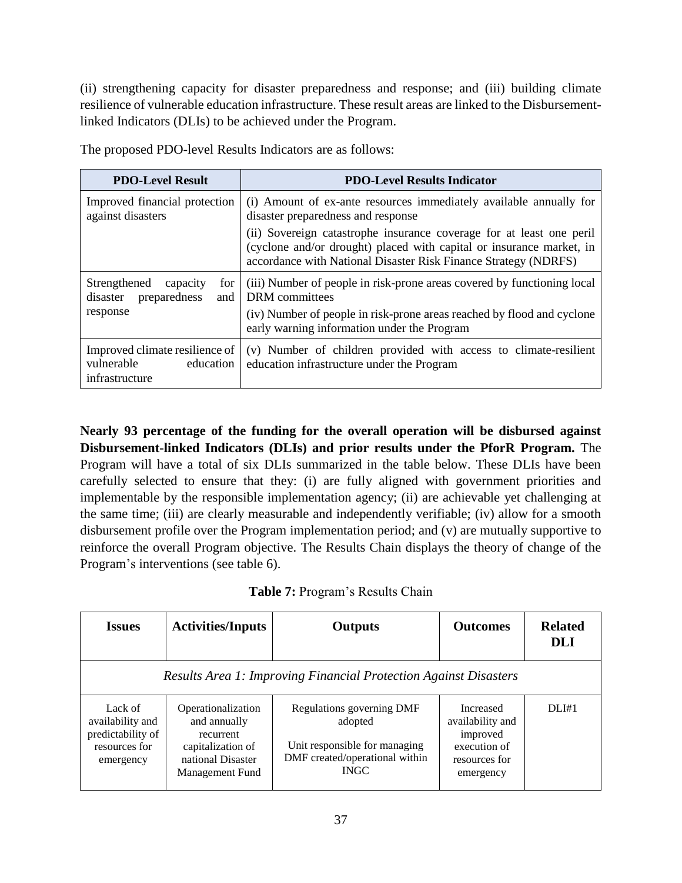(ii) strengthening capacity for disaster preparedness and response; and (iii) building climate resilience of vulnerable education infrastructure. These result areas are linked to the Disbursementlinked Indicators (DLIs) to be achieved under the Program.

|  |  |  |  |  | The proposed PDO-level Results Indicators are as follows: |
|--|--|--|--|--|-----------------------------------------------------------|
|--|--|--|--|--|-----------------------------------------------------------|

| <b>PDO-Level Result</b>                                                     | <b>PDO-Level Results Indicator</b>                                                                                                                                                                              |
|-----------------------------------------------------------------------------|-----------------------------------------------------------------------------------------------------------------------------------------------------------------------------------------------------------------|
| Improved financial protection<br>against disasters                          | (i) Amount of ex-ante resources immediately available annually for<br>disaster preparedness and response                                                                                                        |
|                                                                             | (ii) Sovereign catastrophe insurance coverage for at least one peril<br>(cyclone and/or drought) placed with capital or insurance market, in<br>accordance with National Disaster Risk Finance Strategy (NDRFS) |
| Strengthened<br>for<br>capacity<br>preparedness<br>disaster<br>and          | (iii) Number of people in risk-prone areas covered by functioning local<br>DRM committees                                                                                                                       |
| response                                                                    | (iv) Number of people in risk-prone areas reached by flood and cyclone<br>early warning information under the Program                                                                                           |
| Improved climate resilience of<br>vulnerable<br>education<br>infrastructure | (v) Number of children provided with access to climate-resilient<br>education infrastructure under the Program                                                                                                  |

**Nearly 93 percentage of the funding for the overall operation will be disbursed against Disbursement-linked Indicators (DLIs) and prior results under the PforR Program.** The Program will have a total of six DLIs summarized in the table below. These DLIs have been carefully selected to ensure that they: (i) are fully aligned with government priorities and implementable by the responsible implementation agency; (ii) are achievable yet challenging at the same time; (iii) are clearly measurable and independently verifiable; (iv) allow for a smooth disbursement profile over the Program implementation period; and (v) are mutually supportive to reinforce the overall Program objective. The Results Chain displays the theory of change of the Program's interventions (see table 6).

**Table 7:** Program's Results Chain

| <b>Issues</b>                                                                  | <b>Activities/Inputs</b>                                                                                     | <b>Outputs</b>                                                                                                         | <b>Outcomes</b>                                                                         | <b>Related</b><br><b>DLI</b> |  |  |  |  |  |  |
|--------------------------------------------------------------------------------|--------------------------------------------------------------------------------------------------------------|------------------------------------------------------------------------------------------------------------------------|-----------------------------------------------------------------------------------------|------------------------------|--|--|--|--|--|--|
|                                                                                | <b>Results Area 1: Improving Financial Protection Against Disasters</b>                                      |                                                                                                                        |                                                                                         |                              |  |  |  |  |  |  |
| Lack of<br>availability and<br>predictability of<br>resources for<br>emergency | Operationalization<br>and annually<br>recurrent<br>capitalization of<br>national Disaster<br>Management Fund | Regulations governing DMF<br>adopted<br>Unit responsible for managing<br>DMF created/operational within<br><b>INGC</b> | Increased<br>availability and<br>improved<br>execution of<br>resources for<br>emergency | DLI#1                        |  |  |  |  |  |  |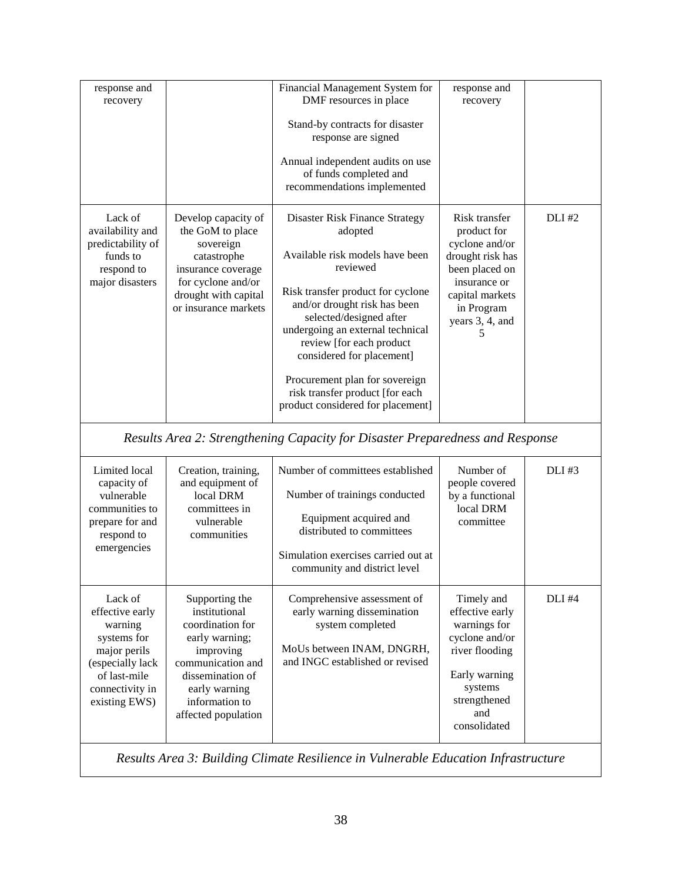| response and<br>recovery                                                                                                                     |                                                                                                                                                                                       | Financial Management System for<br>DMF resources in place<br>Stand-by contracts for disaster<br>response are signed<br>Annual independent audits on use<br>of funds completed and<br>recommendations implemented                                                                                                                                                                                | response and<br>recovery                                                                                                                                      |               |
|----------------------------------------------------------------------------------------------------------------------------------------------|---------------------------------------------------------------------------------------------------------------------------------------------------------------------------------------|-------------------------------------------------------------------------------------------------------------------------------------------------------------------------------------------------------------------------------------------------------------------------------------------------------------------------------------------------------------------------------------------------|---------------------------------------------------------------------------------------------------------------------------------------------------------------|---------------|
| Lack of<br>availability and<br>predictability of<br>funds to<br>respond to<br>major disasters                                                | Develop capacity of<br>the GoM to place<br>sovereign<br>catastrophe<br>insurance coverage<br>for cyclone and/or<br>drought with capital<br>or insurance markets                       | Disaster Risk Finance Strategy<br>adopted<br>Available risk models have been<br>reviewed<br>Risk transfer product for cyclone<br>and/or drought risk has been<br>selected/designed after<br>undergoing an external technical<br>review [for each product<br>considered for placement]<br>Procurement plan for sovereign<br>risk transfer product [for each<br>product considered for placement] | Risk transfer<br>product for<br>cyclone and/or<br>drought risk has<br>been placed on<br>insurance or<br>capital markets<br>in Program<br>years 3, 4, and<br>5 | <b>DLI</b> #2 |
|                                                                                                                                              |                                                                                                                                                                                       | Results Area 2: Strengthening Capacity for Disaster Preparedness and Response                                                                                                                                                                                                                                                                                                                   |                                                                                                                                                               |               |
| Limited local<br>capacity of<br>vulnerable<br>communities to<br>prepare for and<br>respond to<br>emergencies                                 | Creation, training,<br>and equipment of<br>local DRM<br>committees in<br>vulnerable<br>communities                                                                                    | Number of committees established<br>Number of trainings conducted<br>Equipment acquired and<br>distributed to committees<br>Simulation exercises carried out at<br>community and district level                                                                                                                                                                                                 | Number of<br>people covered<br>by a functional<br>local DRM<br>committee                                                                                      | <b>DLI#3</b>  |
| Lack of<br>effective early<br>warning<br>systems for<br>major perils<br>(especially lack<br>of last-mile<br>connectivity in<br>existing EWS) | Supporting the<br>institutional<br>coordination for<br>early warning;<br>improving<br>communication and<br>dissemination of<br>early warning<br>information to<br>affected population | Comprehensive assessment of<br>early warning dissemination<br>system completed<br>MoUs between INAM, DNGRH,<br>and INGC established or revised                                                                                                                                                                                                                                                  | Timely and<br>effective early<br>warnings for<br>cyclone and/or<br>river flooding<br>Early warning<br>systems<br>strengthened<br>and<br>consolidated          | $DLI$ #4      |

*Results Area 3: Building Climate Resilience in Vulnerable Education Infrastructure*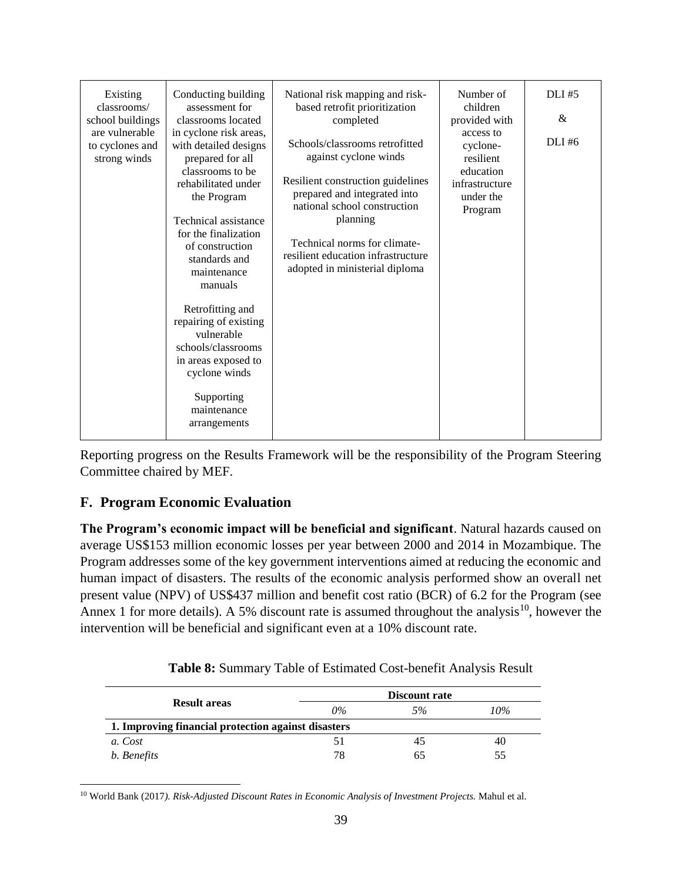| Existing<br>classrooms/<br>school buildings<br>are vulnerable<br>to cyclones and<br>strong winds | Conducting building<br>assessment for<br>classrooms located<br>in cyclone risk areas,<br>with detailed designs<br>prepared for all<br>classrooms to be<br>rehabilitated under<br>the Program<br>Technical assistance<br>for the finalization<br>of construction<br>standards and<br>maintenance<br>manuals<br>Retrofitting and<br>repairing of existing<br>vulnerable<br>schools/classrooms<br>in areas exposed to<br>cyclone winds<br>Supporting<br>maintenance | National risk mapping and risk-<br>based retrofit prioritization<br>completed<br>Schools/classrooms retrofitted<br>against cyclone winds<br>Resilient construction guidelines<br>prepared and integrated into<br>national school construction<br>planning<br>Technical norms for climate-<br>resilient education infrastructure<br>adopted in ministerial diploma | Number of<br>children<br>provided with<br>access to<br>cyclone-<br>resilient<br>education<br>infrastructure<br>under the<br>Program | $DLI$ #5<br>$\&$<br>DLI#6 |
|--------------------------------------------------------------------------------------------------|------------------------------------------------------------------------------------------------------------------------------------------------------------------------------------------------------------------------------------------------------------------------------------------------------------------------------------------------------------------------------------------------------------------------------------------------------------------|-------------------------------------------------------------------------------------------------------------------------------------------------------------------------------------------------------------------------------------------------------------------------------------------------------------------------------------------------------------------|-------------------------------------------------------------------------------------------------------------------------------------|---------------------------|
|                                                                                                  | arrangements                                                                                                                                                                                                                                                                                                                                                                                                                                                     |                                                                                                                                                                                                                                                                                                                                                                   |                                                                                                                                     |                           |

Reporting progress on the Results Framework will be the responsibility of the Program Steering Committee chaired by MEF.

## <span id="page-38-0"></span>**F. Program Economic Evaluation**

**The Program's economic impact will be beneficial and significant**. Natural hazards caused on average US\$153 million economic losses per year between 2000 and 2014 in Mozambique. The Program addresses some of the key government interventions aimed at reducing the economic and human impact of disasters. The results of the economic analysis performed show an overall net present value (NPV) of US\$437 million and benefit cost ratio (BCR) of 6.2 for the Program (see Annex 1 for more details). A 5% discount rate is assumed throughout the analysis<sup>10</sup>, however the intervention will be beneficial and significant even at a 10% discount rate.

|                                                     |       | Discount rate |     |
|-----------------------------------------------------|-------|---------------|-----|
| <b>Result areas</b>                                 | $0\%$ | 5%            | 10% |
| 1. Improving financial protection against disasters |       |               |     |
| a. Cost                                             | 51    |               | 40  |
| b. Benefits                                         | 78    | რ*            | 55  |

 $\overline{a}$ <sup>10</sup> World Bank (2017*). Risk-Adjusted Discount Rates in Economic Analysis of Investment Projects.* Mahul et al.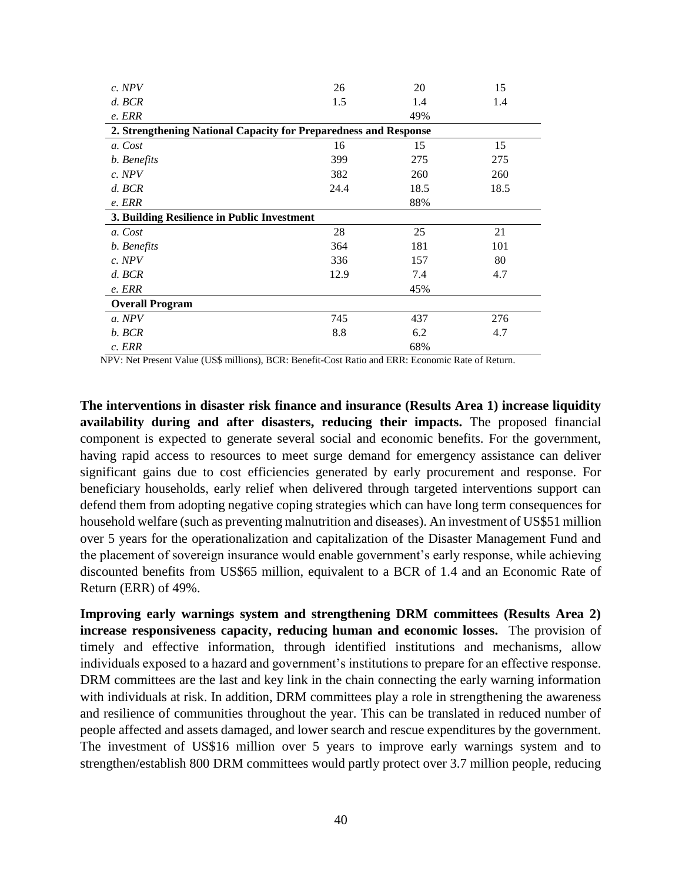| c. NPV                                                           | 26   | 20   | 15   |  |  |  |
|------------------------------------------------------------------|------|------|------|--|--|--|
| $d.$ BCR                                                         | 1.5  | 1.4  | 1.4  |  |  |  |
| e. ERR                                                           |      | 49%  |      |  |  |  |
| 2. Strengthening National Capacity for Preparedness and Response |      |      |      |  |  |  |
| a. Cost                                                          | 16   | 15   | 15   |  |  |  |
| b. Benefits                                                      | 399  | 275  | 275  |  |  |  |
| c. NPV                                                           | 382  | 260  | 260  |  |  |  |
| $d.$ BCR                                                         | 24.4 | 18.5 | 18.5 |  |  |  |
| e. ERR                                                           |      | 88%  |      |  |  |  |
| 3. Building Resilience in Public Investment                      |      |      |      |  |  |  |
| a. Cost                                                          | 28   | 25   | 21   |  |  |  |
| b. Benefits                                                      | 364  | 181  | 101  |  |  |  |
| c. NPV                                                           | 336  | 157  | 80   |  |  |  |
| $d.$ BCR                                                         | 12.9 | 7.4  | 4.7  |  |  |  |
| e. ERR                                                           |      | 45%  |      |  |  |  |
| <b>Overall Program</b>                                           |      |      |      |  |  |  |
| a. NPV                                                           | 745  | 437  | 276  |  |  |  |
| b. BCR                                                           | 8.8  | 6.2  | 4.7  |  |  |  |
| c. ERR                                                           |      | 68%  |      |  |  |  |

NPV: Net Present Value (US\$ millions), BCR: Benefit-Cost Ratio and ERR: Economic Rate of Return.

**The interventions in disaster risk finance and insurance (Results Area 1) increase liquidity availability during and after disasters, reducing their impacts.** The proposed financial component is expected to generate several social and economic benefits. For the government, having rapid access to resources to meet surge demand for emergency assistance can deliver significant gains due to cost efficiencies generated by early procurement and response. For beneficiary households, early relief when delivered through targeted interventions support can defend them from adopting negative coping strategies which can have long term consequences for household welfare (such as preventing malnutrition and diseases). An investment of US\$51 million over 5 years for the operationalization and capitalization of the Disaster Management Fund and the placement of sovereign insurance would enable government's early response, while achieving discounted benefits from US\$65 million, equivalent to a BCR of 1.4 and an Economic Rate of Return (ERR) of 49%.

**Improving early warnings system and strengthening DRM committees (Results Area 2) increase responsiveness capacity, reducing human and economic losses.** The provision of timely and effective information, through identified institutions and mechanisms, allow individuals exposed to a hazard and government's institutions to prepare for an effective response. DRM committees are the last and key link in the chain connecting the early warning information with individuals at risk. In addition, DRM committees play a role in strengthening the awareness and resilience of communities throughout the year. This can be translated in reduced number of people affected and assets damaged, and lower search and rescue expenditures by the government. The investment of US\$16 million over 5 years to improve early warnings system and to strengthen/establish 800 DRM committees would partly protect over 3.7 million people, reducing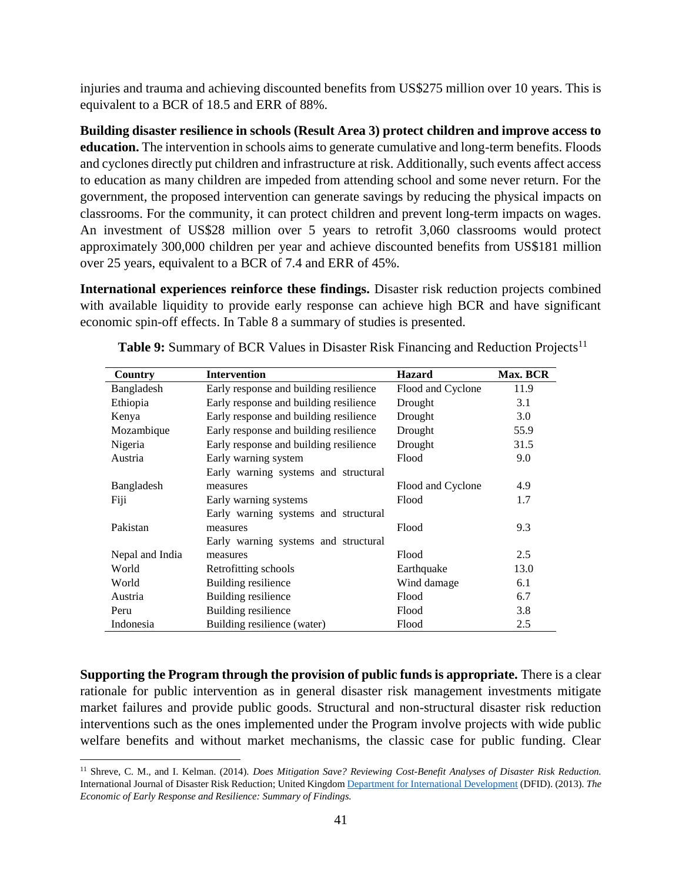injuries and trauma and achieving discounted benefits from US\$275 million over 10 years. This is equivalent to a BCR of 18.5 and ERR of 88%.

**Building disaster resilience in schools (Result Area 3) protect children and improve access to education.** The intervention in schools aims to generate cumulative and long-term benefits. Floods and cyclones directly put children and infrastructure at risk. Additionally, such events affect access to education as many children are impeded from attending school and some never return. For the government, the proposed intervention can generate savings by reducing the physical impacts on classrooms. For the community, it can protect children and prevent long-term impacts on wages. An investment of US\$28 million over 5 years to retrofit 3,060 classrooms would protect approximately 300,000 children per year and achieve discounted benefits from US\$181 million over 25 years, equivalent to a BCR of 7.4 and ERR of 45%.

**International experiences reinforce these findings.** Disaster risk reduction projects combined with available liquidity to provide early response can achieve high BCR and have significant economic spin-off effects. In Table 8 a summary of studies is presented.

| Country         | <b>Intervention</b>                    | <b>Hazard</b>     | Max. BCR |
|-----------------|----------------------------------------|-------------------|----------|
| Bangladesh      | Early response and building resilience | Flood and Cyclone | 11.9     |
| Ethiopia        | Early response and building resilience | Drought           | 3.1      |
| Kenya           | Early response and building resilience | Drought           | 3.0      |
| Mozambique      | Early response and building resilience | Drought           | 55.9     |
| Nigeria         | Early response and building resilience | Drought           | 31.5     |
| Austria         | Early warning system                   | Flood             | 9.0      |
|                 | Early warning systems and structural   |                   |          |
| Bangladesh      | measures                               | Flood and Cyclone | 4.9      |
| Fiji            | Early warning systems                  | Flood             | 1.7      |
|                 | Early warning systems and structural   |                   |          |
| Pakistan        | measures                               | Flood             | 9.3      |
|                 | Early warning systems and structural   |                   |          |
| Nepal and India | measures                               | Flood             | 2.5      |
| World           | Retrofitting schools                   | Earthquake        | 13.0     |
| World           | Building resilience                    | Wind damage       | 6.1      |
| Austria         | Building resilience                    | Flood             | 6.7      |
| Peru            | Building resilience                    | Flood             | 3.8      |
| Indonesia       | Building resilience (water)            | Flood             | 2.5      |

**Table 9:** Summary of BCR Values in Disaster Risk Financing and Reduction Projects<sup>11</sup>

**Supporting the Program through the provision of public funds is appropriate.** There is a clear rationale for public intervention as in general disaster risk management investments mitigate market failures and provide public goods. Structural and non-structural disaster risk reduction interventions such as the ones implemented under the Program involve projects with wide public welfare benefits and without market mechanisms, the classic case for public funding. Clear

 $\overline{a}$ 

<sup>11</sup> Shreve, C. M., and I. Kelman. (2014). *Does Mitigation Save? Reviewing Cost-Benefit Analyses of Disaster Risk Reduction.* International Journal of Disaster Risk Reduction; United Kingdo[m Department for International Development](https://www.gov.uk/government/organisations/department-for-international-development) (DFID). (2013). *The Economic of Early Response and Resilience: Summary of Findings.*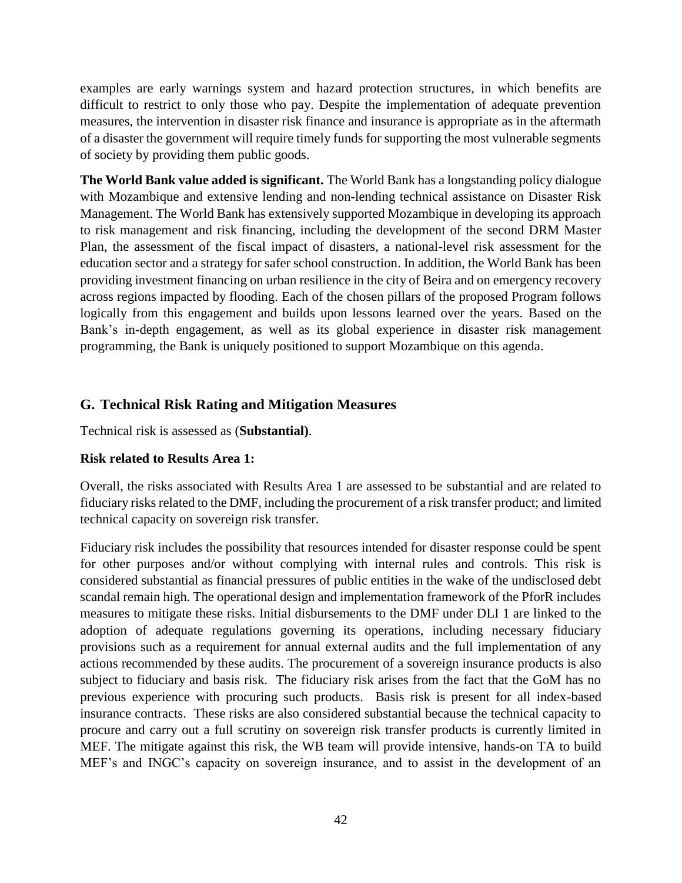examples are early warnings system and hazard protection structures, in which benefits are difficult to restrict to only those who pay. Despite the implementation of adequate prevention measures, the intervention in disaster risk finance and insurance is appropriate as in the aftermath of a disaster the government will require timely funds for supporting the most vulnerable segments of society by providing them public goods.

**The World Bank value added is significant.** The World Bank has a longstanding policy dialogue with Mozambique and extensive lending and non-lending technical assistance on Disaster Risk Management. The World Bank has extensively supported Mozambique in developing its approach to risk management and risk financing, including the development of the second DRM Master Plan, the assessment of the fiscal impact of disasters, a national-level risk assessment for the education sector and a strategy for safer school construction. In addition, the World Bank has been providing investment financing on urban resilience in the city of Beira and on emergency recovery across regions impacted by flooding. Each of the chosen pillars of the proposed Program follows logically from this engagement and builds upon lessons learned over the years. Based on the Bank's in-depth engagement, as well as its global experience in disaster risk management programming, the Bank is uniquely positioned to support Mozambique on this agenda.

## <span id="page-41-0"></span>**G. Technical Risk Rating and Mitigation Measures**

Technical risk is assessed as (**Substantial)**.

#### **Risk related to Results Area 1:**

Overall, the risks associated with Results Area 1 are assessed to be substantial and are related to fiduciary risks related to the DMF, including the procurement of a risk transfer product; and limited technical capacity on sovereign risk transfer.

Fiduciary risk includes the possibility that resources intended for disaster response could be spent for other purposes and/or without complying with internal rules and controls. This risk is considered substantial as financial pressures of public entities in the wake of the undisclosed debt scandal remain high. The operational design and implementation framework of the PforR includes measures to mitigate these risks. Initial disbursements to the DMF under DLI 1 are linked to the adoption of adequate regulations governing its operations, including necessary fiduciary provisions such as a requirement for annual external audits and the full implementation of any actions recommended by these audits. The procurement of a sovereign insurance products is also subject to fiduciary and basis risk. The fiduciary risk arises from the fact that the GoM has no previous experience with procuring such products. Basis risk is present for all index-based insurance contracts. These risks are also considered substantial because the technical capacity to procure and carry out a full scrutiny on sovereign risk transfer products is currently limited in MEF. The mitigate against this risk, the WB team will provide intensive, hands-on TA to build MEF's and INGC's capacity on sovereign insurance, and to assist in the development of an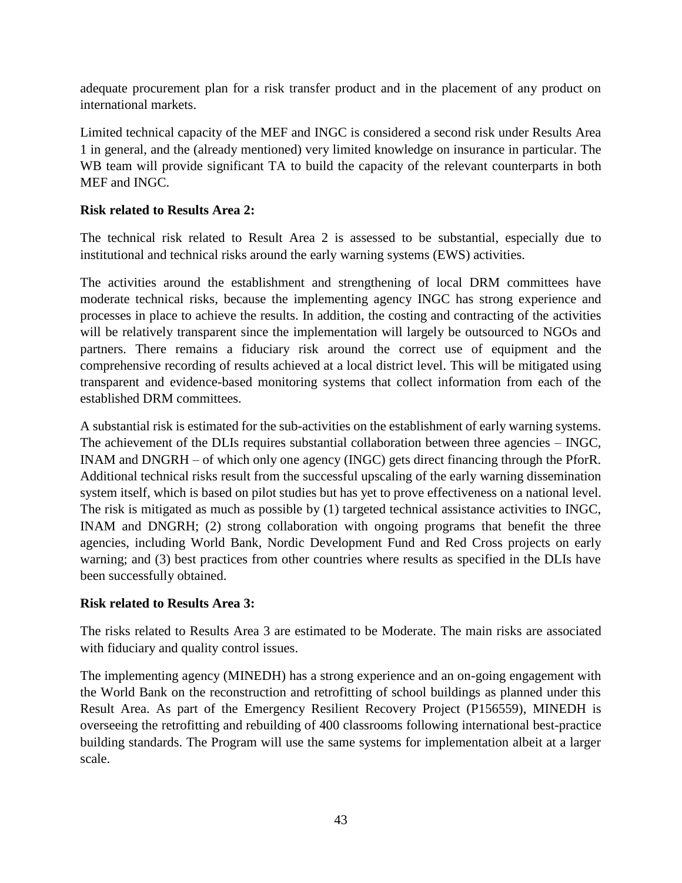adequate procurement plan for a risk transfer product and in the placement of any product on international markets.

Limited technical capacity of the MEF and INGC is considered a second risk under Results Area 1 in general, and the (already mentioned) very limited knowledge on insurance in particular. The WB team will provide significant TA to build the capacity of the relevant counterparts in both MEF and INGC.

## **Risk related to Results Area 2:**

The technical risk related to Result Area 2 is assessed to be substantial, especially due to institutional and technical risks around the early warning systems (EWS) activities.

The activities around the establishment and strengthening of local DRM committees have moderate technical risks, because the implementing agency INGC has strong experience and processes in place to achieve the results. In addition, the costing and contracting of the activities will be relatively transparent since the implementation will largely be outsourced to NGOs and partners. There remains a fiduciary risk around the correct use of equipment and the comprehensive recording of results achieved at a local district level. This will be mitigated using transparent and evidence-based monitoring systems that collect information from each of the established DRM committees.

A substantial risk is estimated for the sub-activities on the establishment of early warning systems. The achievement of the DLIs requires substantial collaboration between three agencies – INGC, INAM and DNGRH – of which only one agency (INGC) gets direct financing through the PforR. Additional technical risks result from the successful upscaling of the early warning dissemination system itself, which is based on pilot studies but has yet to prove effectiveness on a national level. The risk is mitigated as much as possible by (1) targeted technical assistance activities to INGC, INAM and DNGRH; (2) strong collaboration with ongoing programs that benefit the three agencies, including World Bank, Nordic Development Fund and Red Cross projects on early warning; and (3) best practices from other countries where results as specified in the DLIs have been successfully obtained.

#### **Risk related to Results Area 3:**

The risks related to Results Area 3 are estimated to be Moderate. The main risks are associated with fiduciary and quality control issues.

The implementing agency (MINEDH) has a strong experience and an on-going engagement with the World Bank on the reconstruction and retrofitting of school buildings as planned under this Result Area. As part of the Emergency Resilient Recovery Project (P156559), MINEDH is overseeing the retrofitting and rebuilding of 400 classrooms following international best-practice building standards. The Program will use the same systems for implementation albeit at a larger scale.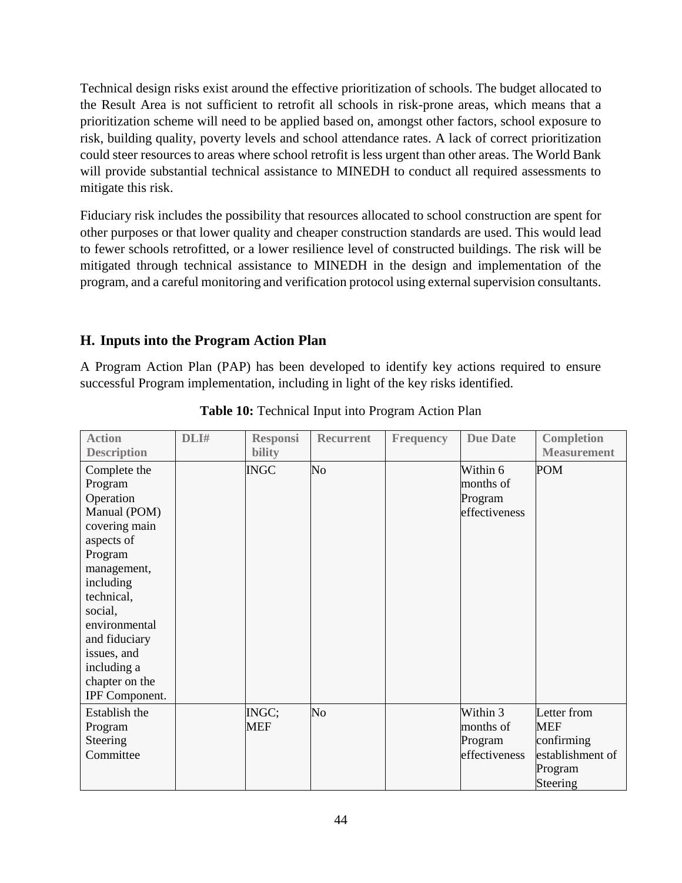Technical design risks exist around the effective prioritization of schools. The budget allocated to the Result Area is not sufficient to retrofit all schools in risk-prone areas, which means that a prioritization scheme will need to be applied based on, amongst other factors, school exposure to risk, building quality, poverty levels and school attendance rates. A lack of correct prioritization could steer resources to areas where school retrofit is less urgent than other areas. The World Bank will provide substantial technical assistance to MINEDH to conduct all required assessments to mitigate this risk.

Fiduciary risk includes the possibility that resources allocated to school construction are spent for other purposes or that lower quality and cheaper construction standards are used. This would lead to fewer schools retrofitted, or a lower resilience level of constructed buildings. The risk will be mitigated through technical assistance to MINEDH in the design and implementation of the program, and a careful monitoring and verification protocol using external supervision consultants.

## <span id="page-43-0"></span>**H. Inputs into the Program Action Plan**

A Program Action Plan (PAP) has been developed to identify key actions required to ensure successful Program implementation, including in light of the key risks identified.

| <b>Action</b><br><b>Description</b>                                                                                                                                                                                                                     | DLI# | <b>Responsi</b><br><b>bility</b> | <b>Recurrent</b> | <b>Frequency</b> | <b>Due Date</b>                                   | <b>Completion</b><br><b>Measurement</b>                                            |
|---------------------------------------------------------------------------------------------------------------------------------------------------------------------------------------------------------------------------------------------------------|------|----------------------------------|------------------|------------------|---------------------------------------------------|------------------------------------------------------------------------------------|
| Complete the<br>Program<br>Operation<br>Manual (POM)<br>covering main<br>aspects of<br>Program<br>management,<br>including<br>technical,<br>social,<br>environmental<br>and fiduciary<br>issues, and<br>including a<br>chapter on the<br>IPF Component. |      | <b>INGC</b>                      | No               |                  | Within 6<br>months of<br>Program<br>effectiveness | <b>POM</b>                                                                         |
| Establish the<br>Program<br>Steering<br>Committee                                                                                                                                                                                                       |      | INGC;<br><b>MEF</b>              | No               |                  | Within 3<br>months of<br>Program<br>effectiveness | Letter from<br><b>MEF</b><br>confirming<br>establishment of<br>Program<br>Steering |

**Table 10:** Technical Input into Program Action Plan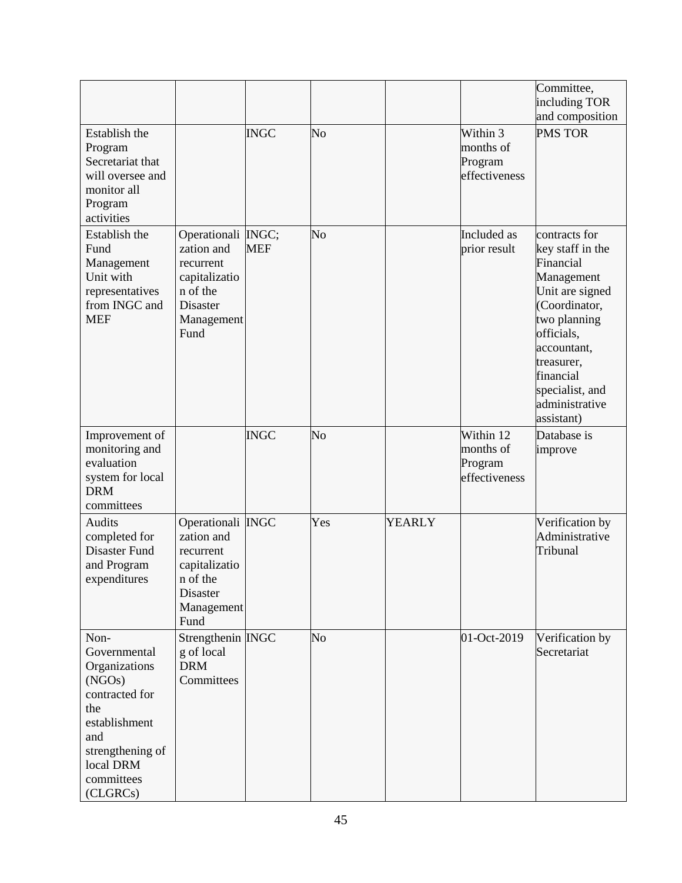|                                                                                                                                                             |                                                                                                                     |             |                |               |                                                    | Committee,<br>including TOR<br>and composition                                                                                                                                                                              |
|-------------------------------------------------------------------------------------------------------------------------------------------------------------|---------------------------------------------------------------------------------------------------------------------|-------------|----------------|---------------|----------------------------------------------------|-----------------------------------------------------------------------------------------------------------------------------------------------------------------------------------------------------------------------------|
| Establish the<br>Program<br>Secretariat that<br>will oversee and<br>monitor all<br>Program<br>activities                                                    |                                                                                                                     | <b>INGC</b> | No             |               | Within 3<br>months of<br>Program<br>effectiveness  | <b>PMS TOR</b>                                                                                                                                                                                                              |
| Establish the<br>Fund<br>Management<br>Unit with<br>representatives<br>from INGC and<br><b>MEF</b>                                                          | Operationali INGC;<br>zation and<br>recurrent<br>capitalizatio<br>n of the<br><b>Disaster</b><br>Management<br>Fund | <b>MEF</b>  | N <sub>o</sub> |               | Included as<br>prior result                        | contracts for<br>key staff in the<br>Financial<br>Management<br>Unit are signed<br>(Coordinator,<br>two planning<br>officials,<br>accountant,<br>treasurer,<br>financial<br>specialist, and<br>administrative<br>assistant) |
| Improvement of<br>monitoring and<br>evaluation<br>system for local<br><b>DRM</b><br>committees                                                              |                                                                                                                     | <b>INGC</b> | No             |               | Within 12<br>months of<br>Program<br>effectiveness | Database is<br>improve                                                                                                                                                                                                      |
| Audits<br>completed for<br>Disaster Fund<br>and Program<br>expenditures                                                                                     | Operationali INGC<br>zation and<br>recurrent<br>capitalizatio<br>n of the<br>Disaster<br>Management<br>Fund         |             | Yes            | <b>YEARLY</b> |                                                    | Verification by<br>Administrative<br>Tribunal                                                                                                                                                                               |
| Non-<br>Governmental<br>Organizations<br>(NGOs)<br>contracted for<br>the<br>establishment<br>and<br>strengthening of<br>local DRM<br>committees<br>(CLGRCs) | Strengthenin INGC<br>g of local<br><b>DRM</b><br>Committees                                                         |             | N <sub>o</sub> |               | 01-Oct-2019                                        | Verification by<br>Secretariat                                                                                                                                                                                              |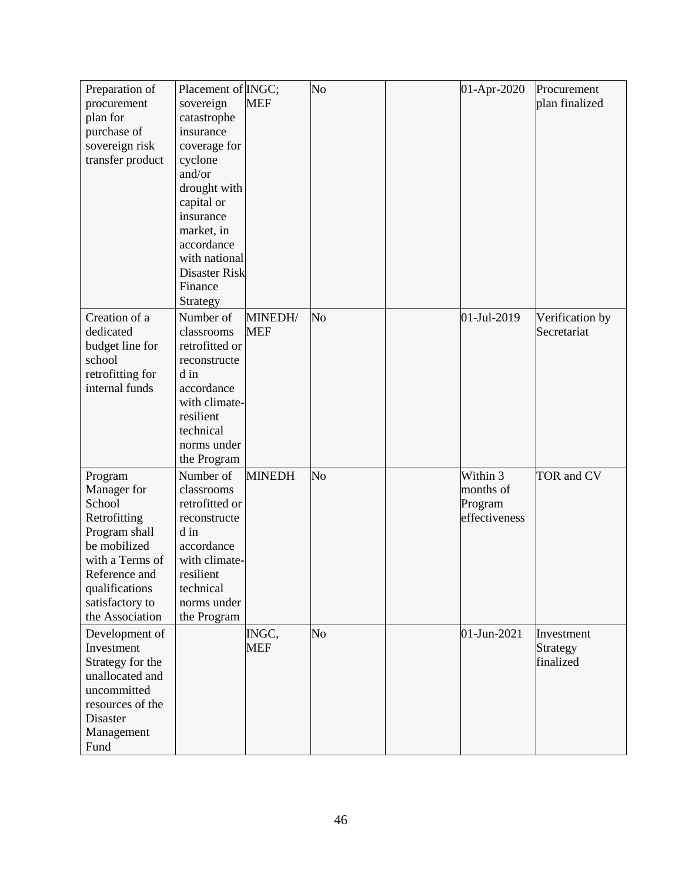| Preparation of         | Placement of <i>INGC</i> ; |               | N <sub>o</sub> | 01-Apr-2020   | Procurement     |
|------------------------|----------------------------|---------------|----------------|---------------|-----------------|
| procurement            | sovereign                  | <b>MEF</b>    |                |               | plan finalized  |
| plan for               | catastrophe                |               |                |               |                 |
| purchase of            | insurance                  |               |                |               |                 |
| sovereign risk         | coverage for               |               |                |               |                 |
| transfer product       | cyclone                    |               |                |               |                 |
|                        | and/or                     |               |                |               |                 |
|                        | drought with               |               |                |               |                 |
|                        | capital or                 |               |                |               |                 |
|                        | insurance                  |               |                |               |                 |
|                        | market, in                 |               |                |               |                 |
|                        | accordance                 |               |                |               |                 |
|                        | with national              |               |                |               |                 |
|                        | <b>Disaster Risk</b>       |               |                |               |                 |
|                        | Finance                    |               |                |               |                 |
|                        | Strategy                   |               |                |               |                 |
| Creation of a          | Number of                  | MINEDH/       | No             | 01-Jul-2019   | Verification by |
| dedicated              | classrooms                 | <b>MEF</b>    |                |               | Secretariat     |
| budget line for        | retrofitted or             |               |                |               |                 |
| school                 | reconstructe               |               |                |               |                 |
| retrofitting for       | d in                       |               |                |               |                 |
| internal funds         | accordance                 |               |                |               |                 |
|                        | with climate-<br>resilient |               |                |               |                 |
|                        | technical                  |               |                |               |                 |
|                        | norms under                |               |                |               |                 |
|                        | the Program                |               |                |               |                 |
|                        | Number of                  | <b>MINEDH</b> | No             | Within 3      | TOR and CV      |
| Program<br>Manager for | classrooms                 |               |                | months of     |                 |
| School                 | retrofitted or             |               |                | Program       |                 |
| Retrofitting           | reconstructe               |               |                | effectiveness |                 |
| Program shall          | d in                       |               |                |               |                 |
| be mobilized           | accordance                 |               |                |               |                 |
| with a Terms of        | with climate-              |               |                |               |                 |
| Reference and          | resilient                  |               |                |               |                 |
| qualifications         | technical                  |               |                |               |                 |
| satisfactory to        | norms under                |               |                |               |                 |
| the Association        | the Program                |               |                |               |                 |
| Development of         |                            | INGC,         | No             | 01-Jun-2021   | Investment      |
| Investment             |                            | <b>MEF</b>    |                |               | Strategy        |
| Strategy for the       |                            |               |                |               | finalized       |
| unallocated and        |                            |               |                |               |                 |
| uncommitted            |                            |               |                |               |                 |
| resources of the       |                            |               |                |               |                 |
| Disaster               |                            |               |                |               |                 |
| Management             |                            |               |                |               |                 |
| Fund                   |                            |               |                |               |                 |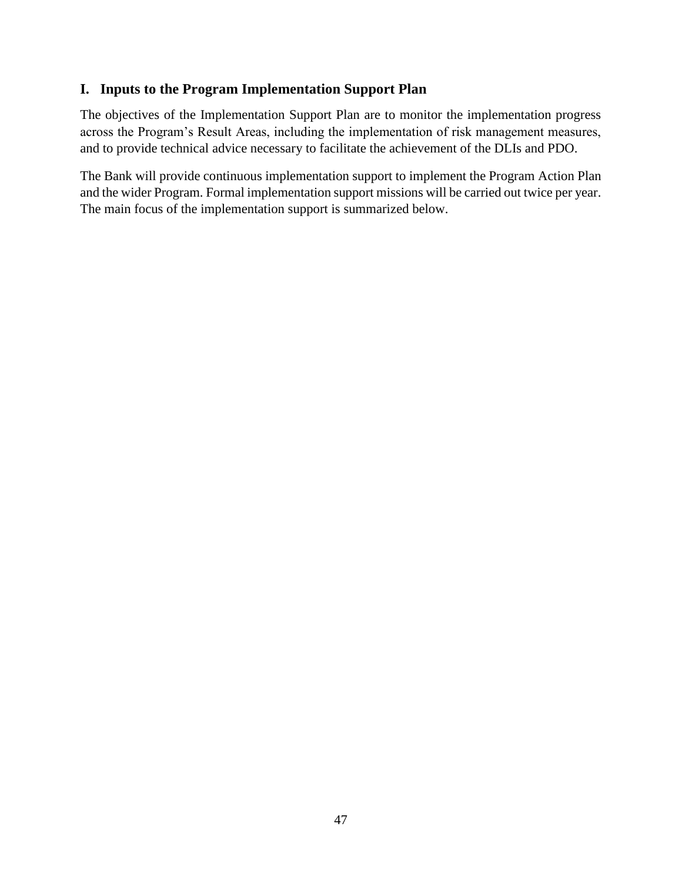## <span id="page-46-0"></span>**I. Inputs to the Program Implementation Support Plan**

The objectives of the Implementation Support Plan are to monitor the implementation progress across the Program's Result Areas, including the implementation of risk management measures, and to provide technical advice necessary to facilitate the achievement of the DLIs and PDO.

The Bank will provide continuous implementation support to implement the Program Action Plan and the wider Program. Formal implementation support missions will be carried out twice per year. The main focus of the implementation support is summarized below.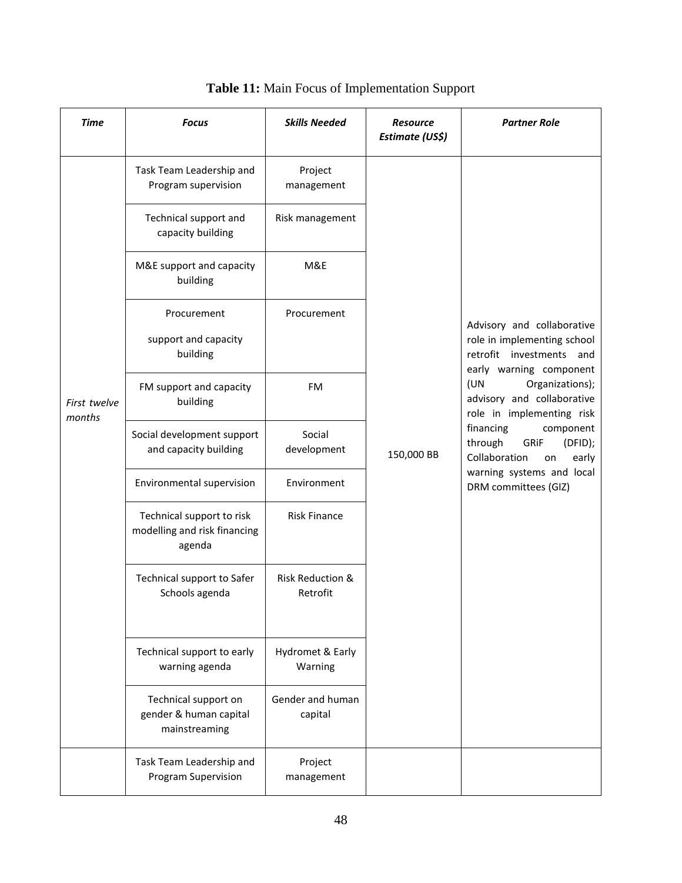| <b>Time</b>            | <b>Focus</b>                                                        | <b>Skills Needed</b>                    | <b>Resource</b><br>Estimate (US\$)                                                                        | <b>Partner Role</b>                                                                                              |  |
|------------------------|---------------------------------------------------------------------|-----------------------------------------|-----------------------------------------------------------------------------------------------------------|------------------------------------------------------------------------------------------------------------------|--|
|                        | Task Team Leadership and<br>Program supervision                     | Project<br>management                   |                                                                                                           |                                                                                                                  |  |
| First twelve<br>months | Technical support and<br>capacity building                          | Risk management                         |                                                                                                           |                                                                                                                  |  |
|                        | M&E support and capacity<br>building                                | M&E                                     |                                                                                                           |                                                                                                                  |  |
|                        | Procurement<br>support and capacity<br>building                     | Procurement                             |                                                                                                           | Advisory and collaborative<br>role in implementing school<br>retrofit investments and<br>early warning component |  |
|                        | FM support and capacity<br>building                                 | <b>FM</b>                               |                                                                                                           | (UN<br>Organizations);<br>advisory and collaborative<br>role in implementing risk                                |  |
|                        | Social development support<br>and capacity building                 | Social<br>development                   | through<br>GRiF<br>150,000 BB<br>Collaboration<br>on<br>warning systems and local<br>DRM committees (GIZ) | financing<br>component<br>(DFID);<br>early                                                                       |  |
|                        | Environmental supervision                                           | Environment                             |                                                                                                           |                                                                                                                  |  |
|                        | Technical support to risk<br>modelling and risk financing<br>agenda | <b>Risk Finance</b>                     |                                                                                                           |                                                                                                                  |  |
|                        | Technical support to Safer<br>Schools agenda                        | <b>Risk Reduction &amp;</b><br>Retrofit |                                                                                                           |                                                                                                                  |  |
|                        | Technical support to early<br>warning agenda                        | Hydromet & Early<br>Warning             |                                                                                                           |                                                                                                                  |  |
|                        | Technical support on<br>gender & human capital<br>mainstreaming     | Gender and human<br>capital             |                                                                                                           |                                                                                                                  |  |
|                        | Task Team Leadership and<br>Program Supervision                     | Project<br>management                   |                                                                                                           |                                                                                                                  |  |

**Table 11:** Main Focus of Implementation Support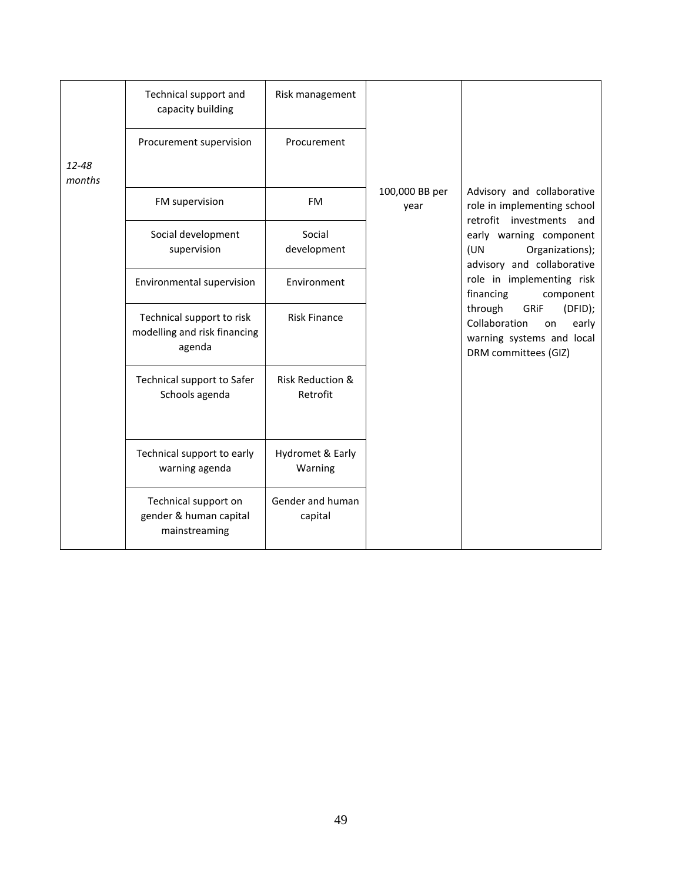|                 | Technical support and<br>capacity building                          | Risk management                         |                        |                                                                                                                 |
|-----------------|---------------------------------------------------------------------|-----------------------------------------|------------------------|-----------------------------------------------------------------------------------------------------------------|
|                 | Procurement supervision                                             | Procurement                             |                        |                                                                                                                 |
| 12-48<br>months |                                                                     |                                         |                        |                                                                                                                 |
|                 | FM supervision                                                      | <b>FM</b>                               | 100,000 BB per<br>year | Advisory and collaborative<br>role in implementing school<br>retrofit investments and                           |
|                 | Social development<br>supervision                                   | Social<br>development                   |                        | early warning component<br>Organizations);<br>(UN<br>advisory and collaborative                                 |
|                 | Environmental supervision                                           | Environment                             |                        | role in implementing risk<br>financing<br>component                                                             |
|                 | Technical support to risk<br>modelling and risk financing<br>agenda | <b>Risk Finance</b>                     |                        | through<br>(DFID);<br>GRIF<br>Collaboration<br>early<br>on<br>warning systems and local<br>DRM committees (GIZ) |
|                 | Technical support to Safer<br>Schools agenda                        | <b>Risk Reduction &amp;</b><br>Retrofit |                        |                                                                                                                 |
|                 | Technical support to early<br>warning agenda                        | Hydromet & Early<br>Warning             |                        |                                                                                                                 |
|                 | Technical support on<br>gender & human capital<br>mainstreaming     | Gender and human<br>capital             |                        |                                                                                                                 |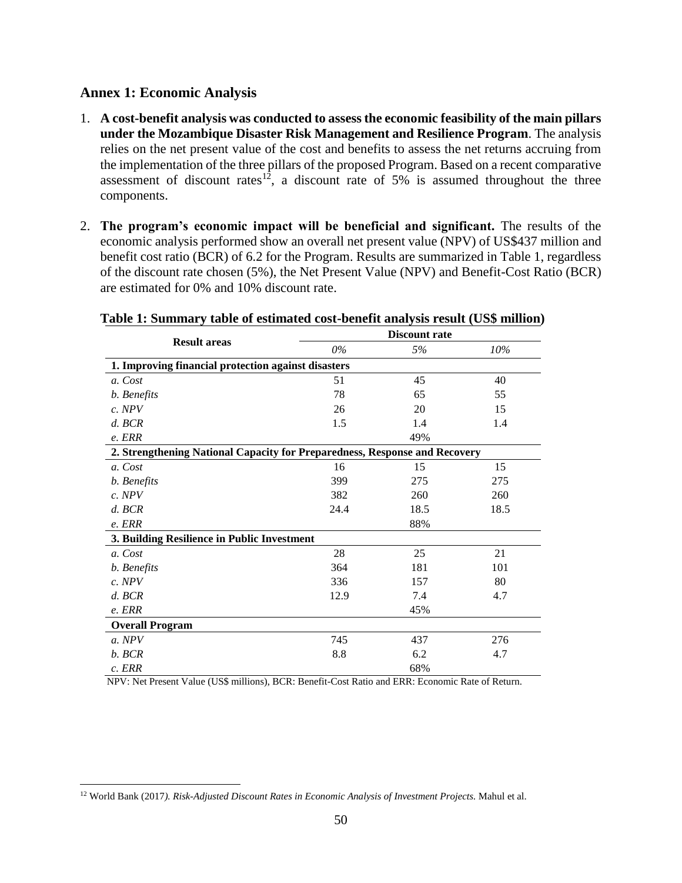#### <span id="page-49-0"></span>**Annex 1: Economic Analysis**

- 1. **A cost-benefit analysis was conducted to assess the economic feasibility of the main pillars under the Mozambique Disaster Risk Management and Resilience Program**. The analysis relies on the net present value of the cost and benefits to assess the net returns accruing from the implementation of the three pillars of the proposed Program. Based on a recent comparative assessment of discount rates<sup>12</sup>, a discount rate of 5% is assumed throughout the three components.
- 2. **The program's economic impact will be beneficial and significant.** The results of the economic analysis performed show an overall net present value (NPV) of US\$437 million and benefit cost ratio (BCR) of 6.2 for the Program. Results are summarized in Table 1, regardless of the discount rate chosen (5%), the Net Present Value (NPV) and Benefit-Cost Ratio (BCR) are estimated for 0% and 10% discount rate.

|                                                                            |       | <b>Discount rate</b> |      |  |  |
|----------------------------------------------------------------------------|-------|----------------------|------|--|--|
| <b>Result areas</b>                                                        | $0\%$ | 5%                   | 10%  |  |  |
| 1. Improving financial protection against disasters                        |       |                      |      |  |  |
| a. Cost                                                                    | 51    | 45                   | 40   |  |  |
| b. Benefits                                                                | 78    | 65                   | 55   |  |  |
| c. NPV                                                                     | 26    | 20                   | 15   |  |  |
| $d.$ BCR                                                                   | 1.5   | 1.4                  | 1.4  |  |  |
| e. ERR                                                                     |       | 49%                  |      |  |  |
| 2. Strengthening National Capacity for Preparedness, Response and Recovery |       |                      |      |  |  |
| a. Cost                                                                    | 16    | 15                   | 15   |  |  |
| b. Benefits                                                                | 399   | 275                  | 275  |  |  |
| c. NPV                                                                     | 382   | 260                  | 260  |  |  |
| $d.$ BCR                                                                   | 24.4  | 18.5                 | 18.5 |  |  |
| e. ERR                                                                     |       | 88%                  |      |  |  |
| 3. Building Resilience in Public Investment                                |       |                      |      |  |  |
| a. Cost                                                                    | 28    | 25                   | 21   |  |  |
| b. Benefits                                                                | 364   | 181                  | 101  |  |  |
| $c.$ NPV                                                                   | 336   | 157                  | 80   |  |  |
| $d.$ BCR                                                                   | 12.9  | 7.4                  | 4.7  |  |  |
| e. ERR                                                                     |       | 45%                  |      |  |  |
| <b>Overall Program</b>                                                     |       |                      |      |  |  |
| a. NPV                                                                     | 745   | 437                  | 276  |  |  |
| b. BCR                                                                     | 8.8   | 6.2                  | 4.7  |  |  |
| $c.$ <i>ERR</i>                                                            |       | 68%                  |      |  |  |

#### **Table 1: Summary table of estimated cost-benefit analysis result (US\$ million)**

NPV: Net Present Value (US\$ millions), BCR: Benefit-Cost Ratio and ERR: Economic Rate of Return.

 $\overline{a}$ <sup>12</sup> World Bank (2017*). Risk-Adjusted Discount Rates in Economic Analysis of Investment Projects.* Mahul et al.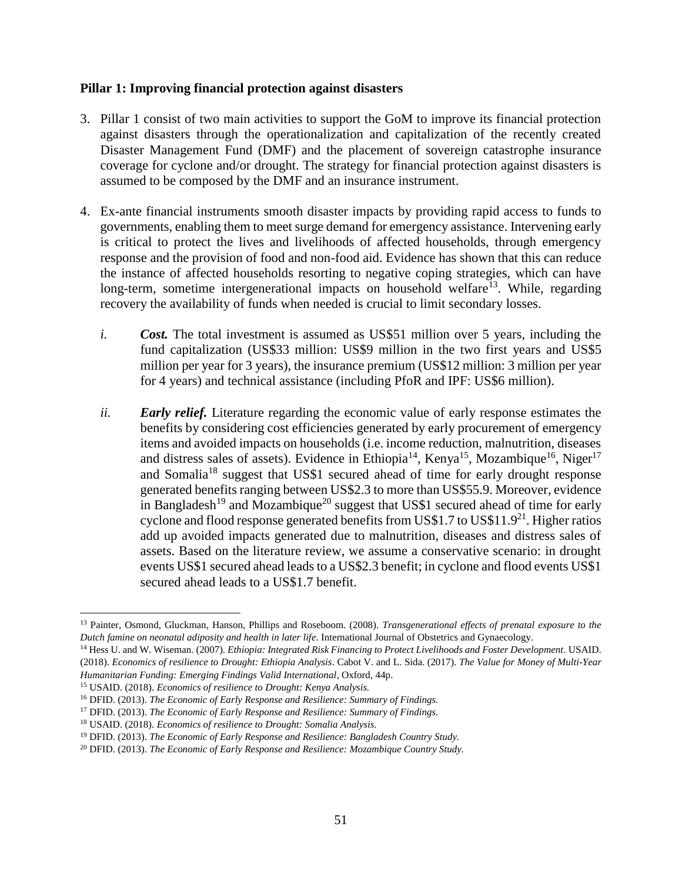#### **Pillar 1: Improving financial protection against disasters**

- 3. Pillar 1 consist of two main activities to support the GoM to improve its financial protection against disasters through the operationalization and capitalization of the recently created Disaster Management Fund (DMF) and the placement of sovereign catastrophe insurance coverage for cyclone and/or drought. The strategy for financial protection against disasters is assumed to be composed by the DMF and an insurance instrument.
- 4. Ex-ante financial instruments smooth disaster impacts by providing rapid access to funds to governments, enabling them to meet surge demand for emergency assistance. Intervening early is critical to protect the lives and livelihoods of affected households, through emergency response and the provision of food and non-food aid. Evidence has shown that this can reduce the instance of affected households resorting to negative coping strategies, which can have long-term, sometime intergenerational impacts on household welfare<sup>13</sup>. While, regarding recovery the availability of funds when needed is crucial to limit secondary losses.
	- *i. Cost.* The total investment is assumed as US\$51 million over 5 years, including the fund capitalization (US\$33 million: US\$9 million in the two first years and US\$5 million per year for 3 years), the insurance premium (US\$12 million: 3 million per year for 4 years) and technical assistance (including PfoR and IPF: US\$6 million).
	- *ii. Early relief.* Literature regarding the economic value of early response estimates the benefits by considering cost efficiencies generated by early procurement of emergency items and avoided impacts on households (i.e. income reduction, malnutrition, diseases and distress sales of assets). Evidence in Ethiopia<sup>14</sup>, Kenya<sup>15</sup>, Mozambique<sup>16</sup>, Niger<sup>17</sup> and Somalia<sup>18</sup> suggest that US\$1 secured ahead of time for early drought response generated benefits ranging between US\$2.3 to more than US\$55.9. Moreover, evidence in Bangladesh<sup>19</sup> and Mozambique<sup>20</sup> suggest that US\$1 secured ahead of time for early cyclone and flood response generated benefits from US\$1.7 to US\$11.9<sup>21</sup>. Higher ratios add up avoided impacts generated due to malnutrition, diseases and distress sales of assets. Based on the literature review, we assume a conservative scenario: in drought events US\$1 secured ahead leads to a US\$2.3 benefit; in cyclone and flood events US\$1 secured ahead leads to a US\$1.7 benefit.

 $\overline{a}$ <sup>13</sup> Painter, Osmond, Gluckman, Hanson, Phillips and Roseboom. (2008). *Transgenerational effects of prenatal exposure to the Dutch famine on neonatal adiposity and health in later life*. International Journal of Obstetrics and Gynaecology.

<sup>&</sup>lt;sup>14</sup> Hess U. and W. Wiseman. (2007). *Ethiopia: Integrated Risk Financing to Protect Livelihoods and Foster Development*. USAID. (2018). *Economics of resilience to Drought: Ethiopia Analysis*. Cabot V. and L. Sida. (2017). *The Value for Money of Multi-Year Humanitarian Funding: Emerging Findings Valid International*, Oxford, 44p.

<sup>15</sup> USAID. (2018). *Economics of resilience to Drought: Kenya Analysis.* 

<sup>16</sup> DFID. (2013). *The Economic of Early Response and Resilience: Summary of Findings.* 

<sup>17</sup> DFID. (2013). *The Economic of Early Response and Resilience: Summary of Findings.*

<sup>18</sup> USAID. (2018). *Economics of resilience to Drought: Somalia Analysis.*

<sup>19</sup> DFID. (2013). *The Economic of Early Response and Resilience: Bangladesh Country Study.*

<sup>20</sup> DFID. (2013). *The Economic of Early Response and Resilience: Mozambique Country Study.*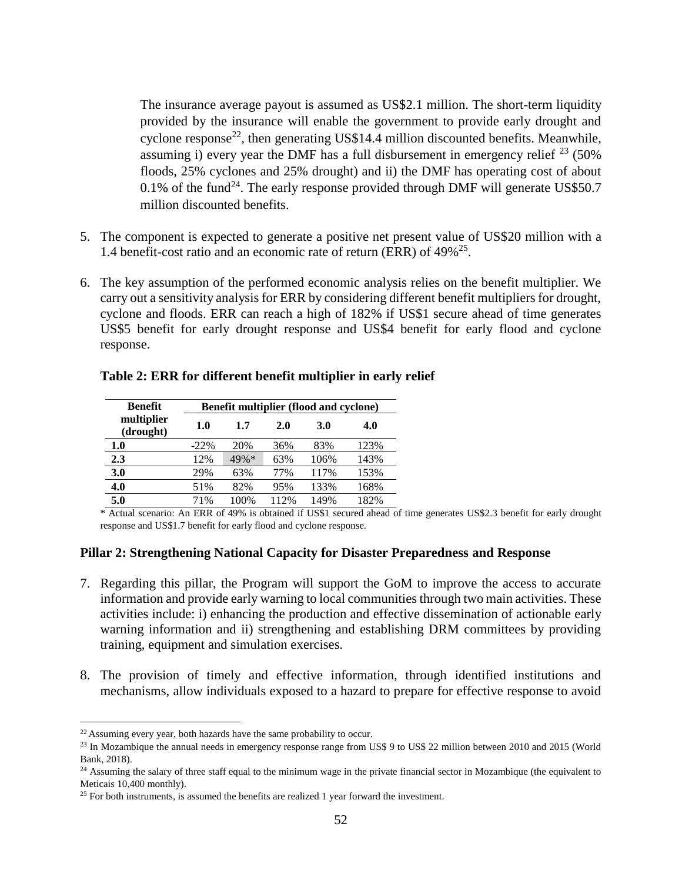The insurance average payout is assumed as US\$2.1 million. The short-term liquidity provided by the insurance will enable the government to provide early drought and cyclone response<sup>22</sup>, then generating US\$14.4 million discounted benefits. Meanwhile, assuming i) every year the DMF has a full disbursement in emergency relief  $^{23}$  (50%) floods, 25% cyclones and 25% drought) and ii) the DMF has operating cost of about 0.1% of the fund<sup>24</sup>. The early response provided through DMF will generate US\$50.7 million discounted benefits.

- 5. The component is expected to generate a positive net present value of US\$20 million with a 1.4 benefit-cost ratio and an economic rate of return (ERR) of 49%<sup>25</sup>.
- 6. The key assumption of the performed economic analysis relies on the benefit multiplier. We carry out a sensitivity analysis for ERR by considering different benefit multipliers for drought, cyclone and floods. ERR can reach a high of 182% if US\$1 secure ahead of time generates US\$5 benefit for early drought response and US\$4 benefit for early flood and cyclone response.

| <b>Benefit</b>          | <b>Benefit multiplier (flood and cyclone)</b> |      |      |            |      |  |
|-------------------------|-----------------------------------------------|------|------|------------|------|--|
| multiplier<br>(drought) | 1.0                                           | 1.7  | 2.0  | <b>3.0</b> | 4.0  |  |
| 1.0                     | $-22\%$                                       | 20%  | 36%  | 83%        | 123% |  |
| 2.3                     | 12%                                           | 49%* | 63%  | 106%       | 143% |  |
| 3.0                     | 29%                                           | 63%  | 77%  | 117%       | 153% |  |
| 4.0                     | 51%                                           | 82%  | 95%  | 133%       | 168% |  |
| 5.0                     | 71%                                           | 100% | 112% | 149%       | 182% |  |

#### **Table 2: ERR for different benefit multiplier in early relief**

\* Actual scenario: An ERR of 49% is obtained if US\$1 secured ahead of time generates US\$2.3 benefit for early drought response and US\$1.7 benefit for early flood and cyclone response.

#### **Pillar 2: Strengthening National Capacity for Disaster Preparedness and Response**

- 7. Regarding this pillar, the Program will support the GoM to improve the access to accurate information and provide early warning to local communities through two main activities. These activities include: i) enhancing the production and effective dissemination of actionable early warning information and ii) strengthening and establishing DRM committees by providing training, equipment and simulation exercises.
- 8. The provision of timely and effective information, through identified institutions and mechanisms, allow individuals exposed to a hazard to prepare for effective response to avoid

 $\overline{a}$ 

<sup>&</sup>lt;sup>22</sup> Assuming every year, both hazards have the same probability to occur.

<sup>&</sup>lt;sup>23</sup> In Mozambique the annual needs in emergency response range from US\$ 9 to US\$ 22 million between 2010 and 2015 (World Bank, 2018).

<sup>&</sup>lt;sup>24</sup> Assuming the salary of three staff equal to the minimum wage in the private financial sector in Mozambique (the equivalent to Meticais 10,400 monthly).

 $25$  For both instruments, is assumed the benefits are realized 1 year forward the investment.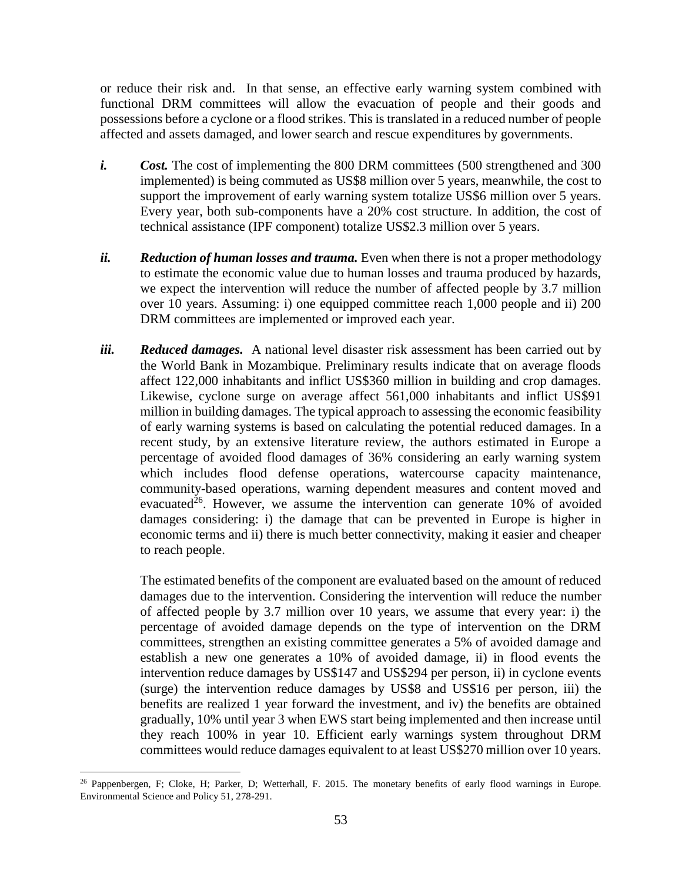or reduce their risk and. In that sense, an effective early warning system combined with functional DRM committees will allow the evacuation of people and their goods and possessions before a cyclone or a flood strikes. This is translated in a reduced number of people affected and assets damaged, and lower search and rescue expenditures by governments.

- *i. Cost.* The cost of implementing the 800 DRM committees (500 strengthened and 300 implemented) is being commuted as US\$8 million over 5 years, meanwhile, the cost to support the improvement of early warning system totalize US\$6 million over 5 years. Every year, both sub-components have a 20% cost structure. In addition, the cost of technical assistance (IPF component) totalize US\$2.3 million over 5 years.
- *ii.* **Reduction of human losses and trauma.** Even when there is not a proper methodology to estimate the economic value due to human losses and trauma produced by hazards, we expect the intervention will reduce the number of affected people by 3.7 million over 10 years. Assuming: i) one equipped committee reach 1,000 people and ii) 200 DRM committees are implemented or improved each year.
- *iii. Reduced damages.* A national level disaster risk assessment has been carried out by the World Bank in Mozambique. Preliminary results indicate that on average floods affect 122,000 inhabitants and inflict US\$360 million in building and crop damages. Likewise, cyclone surge on average affect 561,000 inhabitants and inflict US\$91 million in building damages. The typical approach to assessing the economic feasibility of early warning systems is based on calculating the potential reduced damages. In a recent study, by an extensive literature review, the authors estimated in Europe a percentage of avoided flood damages of 36% considering an early warning system which includes flood defense operations, watercourse capacity maintenance, community-based operations, warning dependent measures and content moved and evacuated<sup>26</sup>. However, we assume the intervention can generate  $10\%$  of avoided damages considering: i) the damage that can be prevented in Europe is higher in economic terms and ii) there is much better connectivity, making it easier and cheaper to reach people.

The estimated benefits of the component are evaluated based on the amount of reduced damages due to the intervention. Considering the intervention will reduce the number of affected people by 3.7 million over 10 years, we assume that every year: i) the percentage of avoided damage depends on the type of intervention on the DRM committees, strengthen an existing committee generates a 5% of avoided damage and establish a new one generates a 10% of avoided damage, ii) in flood events the intervention reduce damages by US\$147 and US\$294 per person, ii) in cyclone events (surge) the intervention reduce damages by US\$8 and US\$16 per person, iii) the benefits are realized 1 year forward the investment, and iv) the benefits are obtained gradually, 10% until year 3 when EWS start being implemented and then increase until they reach 100% in year 10. Efficient early warnings system throughout DRM committees would reduce damages equivalent to at least US\$270 million over 10 years.

 $\overline{a}$ <sup>26</sup> Pappenbergen, F; Cloke, H; Parker, D; Wetterhall, F. 2015. The monetary benefits of early flood warnings in Europe. Environmental Science and Policy 51, 278-291.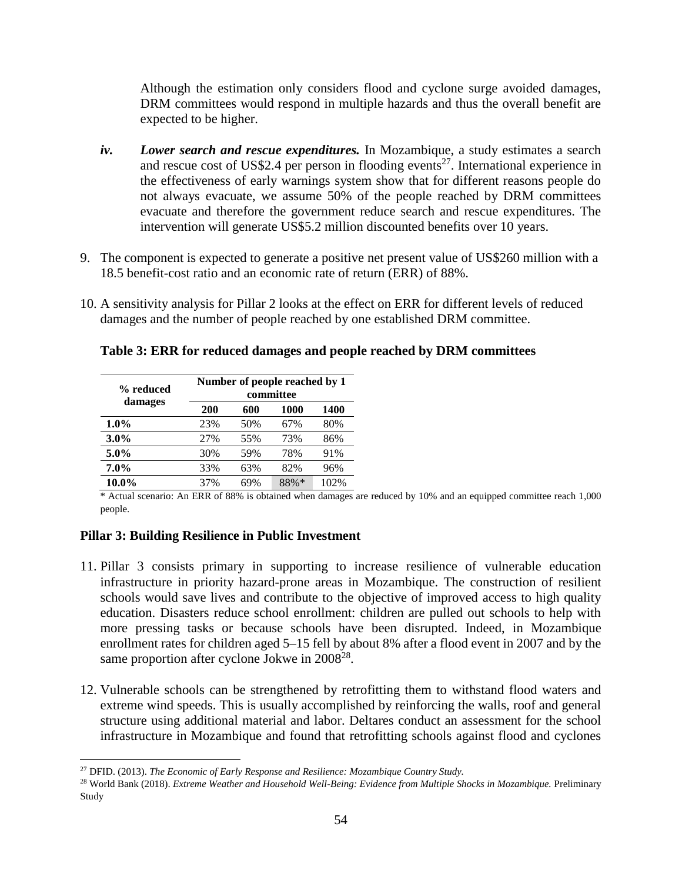Although the estimation only considers flood and cyclone surge avoided damages, DRM committees would respond in multiple hazards and thus the overall benefit are expected to be higher.

- *iv. Lower search and rescue expenditures.* In Mozambique, a study estimates a search and rescue cost of US\$2.4 per person in flooding events<sup>27</sup>. International experience in the effectiveness of early warnings system show that for different reasons people do not always evacuate, we assume 50% of the people reached by DRM committees evacuate and therefore the government reduce search and rescue expenditures. The intervention will generate US\$5.2 million discounted benefits over 10 years.
- 9. The component is expected to generate a positive net present value of US\$260 million with a 18.5 benefit-cost ratio and an economic rate of return (ERR) of 88%.
- 10. A sensitivity analysis for Pillar 2 looks at the effect on ERR for different levels of reduced damages and the number of people reached by one established DRM committee.

**% reduced damages Number of people reached by 1 committee 200 600 1000 1400 1.0%** 23% 50% 67% 80% **3.0%** 27% 55% 73% 86% **5.0%** 30% 59% 78% 91% **7.0%** 33% 63% 82% 96% **10.0%** 37% 69% 88%\* 102%

**Table 3: ERR for reduced damages and people reached by DRM committees**

\* Actual scenario: An ERR of 88% is obtained when damages are reduced by 10% and an equipped committee reach 1,000 people.

#### **Pillar 3: Building Resilience in Public Investment**

 $\overline{a}$ 

- 11. Pillar 3 consists primary in supporting to increase resilience of vulnerable education infrastructure in priority hazard-prone areas in Mozambique. The construction of resilient schools would save lives and contribute to the objective of improved access to high quality education. Disasters reduce school enrollment: children are pulled out schools to help with more pressing tasks or because schools have been disrupted. Indeed, in Mozambique enrollment rates for children aged 5–15 fell by about 8% after a flood event in 2007 and by the same proportion after cyclone Jokwe in  $2008^{28}$ .
- 12. Vulnerable schools can be strengthened by retrofitting them to withstand flood waters and extreme wind speeds. This is usually accomplished by reinforcing the walls, roof and general structure using additional material and labor. Deltares conduct an assessment for the school infrastructure in Mozambique and found that retrofitting schools against flood and cyclones

<sup>27</sup> DFID. (2013). *The Economic of Early Response and Resilience: Mozambique Country Study.*

<sup>&</sup>lt;sup>28</sup> World Bank (2018). *Extreme Weather and Household Well-Being: Evidence from Multiple Shocks in Mozambique. Preliminary* Study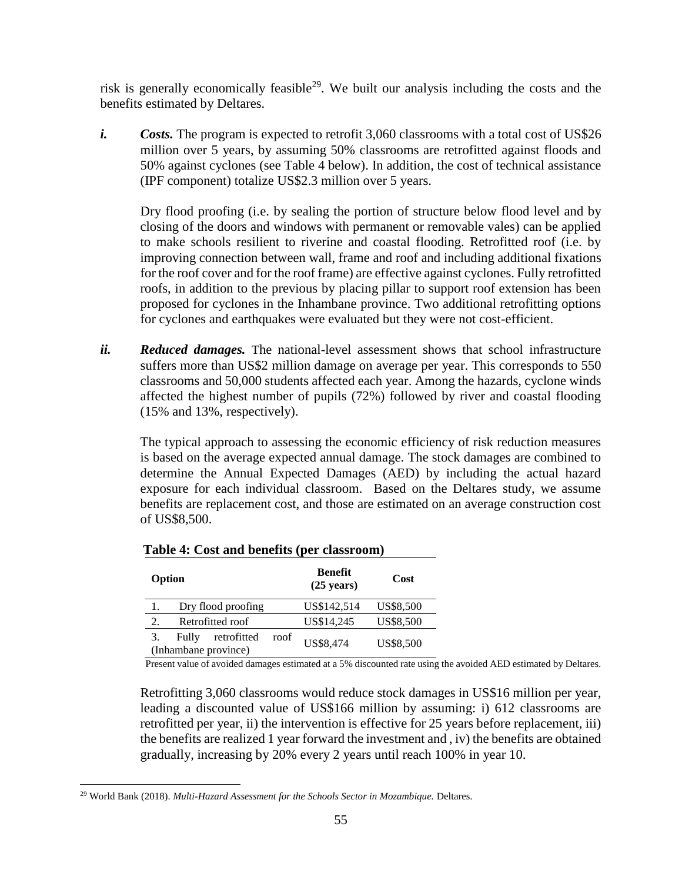risk is generally economically feasible<sup>29</sup>. We built our analysis including the costs and the benefits estimated by Deltares.

*i. Costs.* The program is expected to retrofit 3,060 classrooms with a total cost of US\$26 million over 5 years, by assuming 50% classrooms are retrofitted against floods and 50% against cyclones (see Table 4 below). In addition, the cost of technical assistance (IPF component) totalize US\$2.3 million over 5 years.

Dry flood proofing (i.e. by sealing the portion of structure below flood level and by closing of the doors and windows with permanent or removable vales) can be applied to make schools resilient to riverine and coastal flooding. Retrofitted roof (i.e. by improving connection between wall, frame and roof and including additional fixations for the roof cover and for the roof frame) are effective against cyclones. Fully retrofitted roofs, in addition to the previous by placing pillar to support roof extension has been proposed for cyclones in the Inhambane province. Two additional retrofitting options for cyclones and earthquakes were evaluated but they were not cost-efficient.

*ii. Reduced damages.* The national-level assessment shows that school infrastructure suffers more than US\$2 million damage on average per year. This corresponds to 550 classrooms and 50,000 students affected each year. Among the hazards, cyclone winds affected the highest number of pupils (72%) followed by river and coastal flooding (15% and 13%, respectively).

The typical approach to assessing the economic efficiency of risk reduction measures is based on the average expected annual damage. The stock damages are combined to determine the Annual Expected Damages (AED) by including the actual hazard exposure for each individual classroom. Based on the Deltares study, we assume benefits are replacement cost, and those are estimated on an average construction cost of US\$8,500.

| Option                 |                    | <b>Benefit</b><br>$(25 \text{ years})$ |             | Cost             |           |
|------------------------|--------------------|----------------------------------------|-------------|------------------|-----------|
|                        | Dry flood proofing |                                        | US\$142,514 | <b>US\$8,500</b> |           |
| Retrofitted roof<br>2. |                    | US\$14,245                             | US\$8,500   |                  |           |
|                        | Fully              | retrofitted                            | roof        | US\$8,474        |           |
| (Inhambane province)   |                    |                                        |             |                  | US\$8,500 |

Present value of avoided damages estimated at a 5% discounted rate using the avoided AED estimated by Deltares.

Retrofitting 3,060 classrooms would reduce stock damages in US\$16 million per year, leading a discounted value of US\$166 million by assuming: i) 612 classrooms are retrofitted per year, ii) the intervention is effective for 25 years before replacement, iii) the benefits are realized 1 year forward the investment and , iv) the benefits are obtained gradually, increasing by 20% every 2 years until reach 100% in year 10.

 $\overline{a}$ <sup>29</sup> World Bank (2018). *Multi-Hazard Assessment for the Schools Sector in Mozambique.* Deltares.